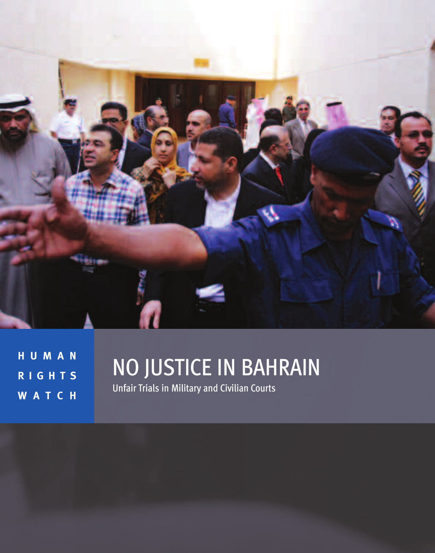

**H U M A N R I G H T S W A T C H**

# NO JUSTICE IN BAHRAIN

Unfair Trials in Military and Civilian Courts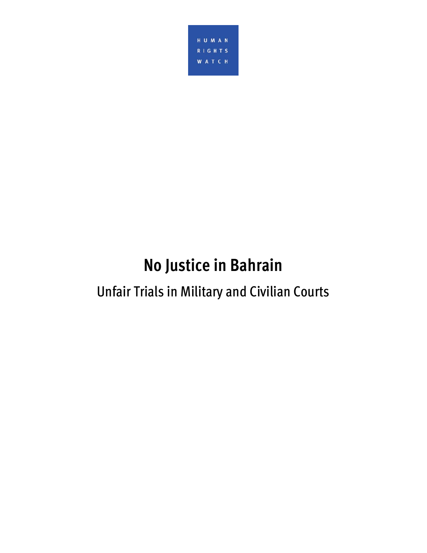

# **No Justice in Bahrain**

# Unfair Trials in Military and Civilian Courts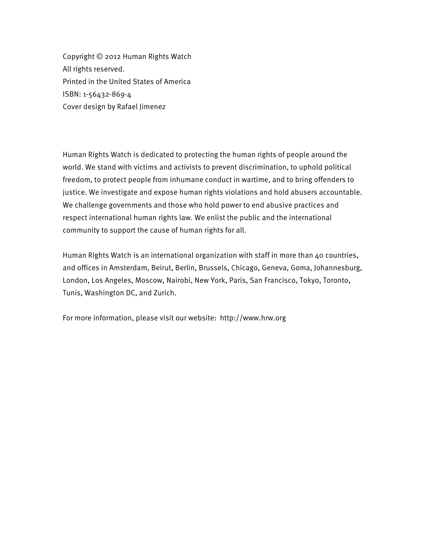Copyright © 2012 Human Rights Watch All rights reserved. Printed in the United States of America ISBN: 1-56432-869-4 Cover design by Rafael Jimenez

Human Rights Watch is dedicated to protecting the human rights of people around the world. We stand with victims and activists to prevent discrimination, to uphold political freedom, to protect people from inhumane conduct in wartime, and to bring offenders to justice. We investigate and expose human rights violations and hold abusers accountable. We challenge governments and those who hold power to end abusive practices and respect international human rights law. We enlist the public and the international community to support the cause of human rights for all.

Human Rights Watch is an international organization with staff in more than 40 countries, and offices in Amsterdam, Beirut, Berlin, Brussels, Chicago, Geneva, Goma, Johannesburg, London, Los Angeles, Moscow, Nairobi, New York, Paris, San Francisco, Tokyo, Toronto, Tunis, Washington DC, and Zurich.

For more information, please visit our website: http://www.hrw.org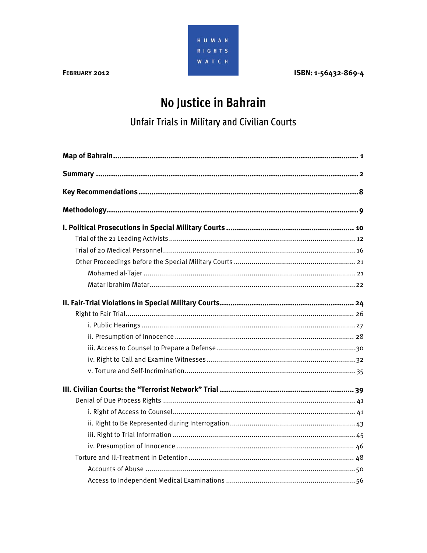

ISBN: 1-56432-869-4

# No Justice in Bahrain

## **Unfair Trials in Military and Civilian Courts**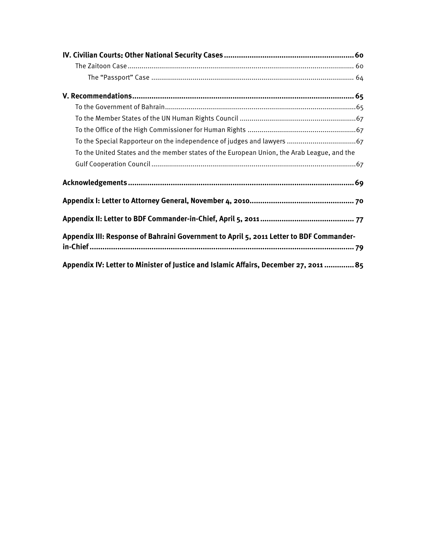| To the United States and the member states of the European Union, the Arab League, and the |
|--------------------------------------------------------------------------------------------|
|                                                                                            |
|                                                                                            |
|                                                                                            |
|                                                                                            |
| Appendix III: Response of Bahraini Government to April 5, 2011 Letter to BDF Commander-    |
| Appendix IV: Letter to Minister of Justice and Islamic Affairs, December 27, 2011  85      |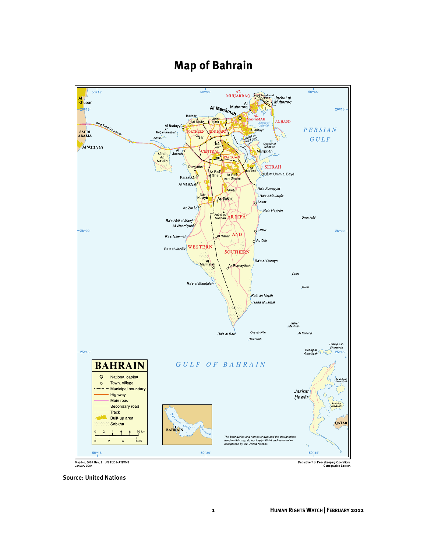## **Map of Bahrain**



Department of Peacekeeping Operations<br>Cartographic Section

Source: United Nations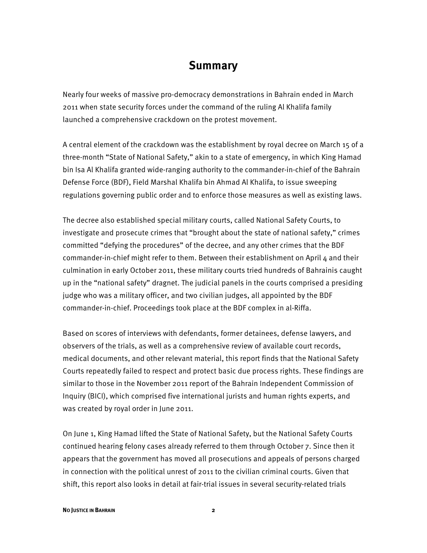### **Summary**

Nearly four weeks of massive pro-democracy demonstrations in Bahrain ended in March 2011 when state security forces under the command of the ruling Al Khalifa family launched a comprehensive crackdown on the protest movement.

A central element of the crackdown was the establishment by royal decree on March 15 of a three-month "State of National Safety," akin to a state of emergency, in which King Hamad bin Isa Al Khalifa granted wide-ranging authority to the commander-in-chief of the Bahrain Defense Force (BDF), Field Marshal Khalifa bin Ahmad Al Khalifa, to issue sweeping regulations governing public order and to enforce those measures as well as existing laws.

The decree also established special military courts, called National Safety Courts, to investigate and prosecute crimes that "brought about the state of national safety," crimes committed "defying the procedures" of the decree, and any other crimes that the BDF commander-in-chief might refer to them. Between their establishment on April  $\mu$  and their culmination in early October 2011, these military courts tried hundreds of Bahrainis caught up in the "national safety" dragnet. The judicial panels in the courts comprised a presiding judge who was a military officer, and two civilian judges, all appointed by the BDF commander-in-chief. Proceedings took place at the BDF complex in al-Riffa.

Based on scores of interviews with defendants, former detainees, defense lawyers, and observers of the trials, as well as a comprehensive review of available court records, medical documents, and other relevant material, this report finds that the National Safety Courts repeatedly failed to respect and protect basic due process rights. These findings are similar to those in the November 2011 report of the Bahrain Independent Commission of Inquiry (BICI), which comprised five international jurists and human rights experts, and was created by royal order in June 2011.

On June 1, King Hamad lifted the State of National Safety, but the National Safety Courts continued hearing felony cases already referred to them through October 7. Since then it appears that the government has moved all prosecutions and appeals of persons charged in connection with the political unrest of 2011 to the civilian criminal courts. Given that shift, this report also looks in detail at fair-trial issues in several security-related trials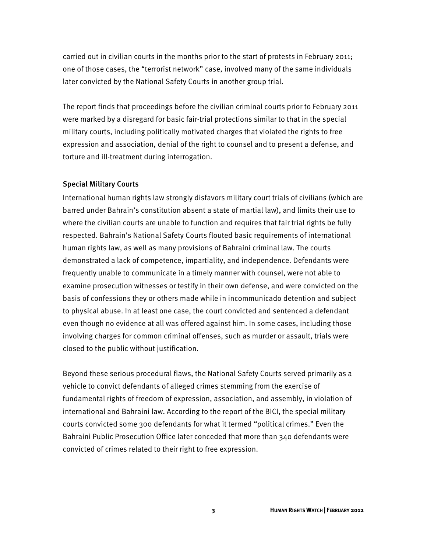carried out in civilian courts in the months prior to the start of protests in February 2011; one of those cases, the "terrorist network" case, involved many of the same individuals later convicted by the National Safety Courts in another group trial.

The report finds that proceedings before the civilian criminal courts prior to February 2011 were marked by a disregard for basic fair-trial protections similar to that in the special military courts, including politically motivated charges that violated the rights to free expression and association, denial of the right to counsel and to present a defense, and torture and ill-treatment during interrogation.

#### Special Military Courts

International human rights law strongly disfavors military court trials of civilians (which are barred under Bahrain's constitution absent a state of martial law), and limits their use to where the civilian courts are unable to function and requires that fair trial rights be fully respected. Bahrain's National Safety Courts flouted basic requirements of international human rights law, as well as many provisions of Bahraini criminal law. The courts demonstrated a lack of competence, impartiality, and independence. Defendants were frequently unable to communicate in a timely manner with counsel, were not able to examine prosecution witnesses or testify in their own defense, and were convicted on the basis of confessions they or others made while in incommunicado detention and subject to physical abuse. In at least one case, the court convicted and sentenced a defendant even though no evidence at all was offered against him. In some cases, including those involving charges for common criminal offenses, such as murder or assault, trials were closed to the public without justification.

Beyond these serious procedural flaws, the National Safety Courts served primarily as a vehicle to convict defendants of alleged crimes stemming from the exercise of fundamental rights of freedom of expression, association, and assembly, in violation of international and Bahraini law. According to the report of the BICI, the special military courts convicted some 300 defendants for what it termed "political crimes." Even the Bahraini Public Prosecution Office later conceded that more than 340 defendants were convicted of crimes related to their right to free expression.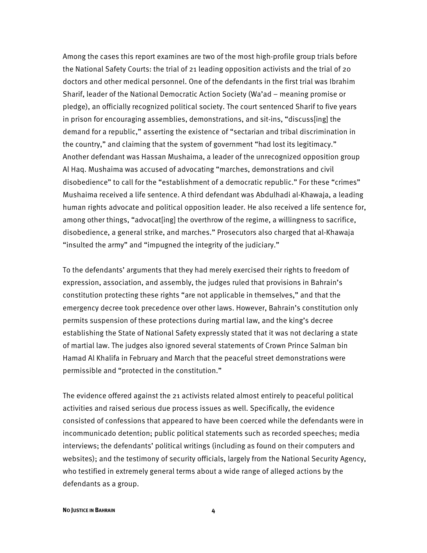Among the cases this report examines are two of the most high-profile group trials before the National Safety Courts: the trial of 21 leading opposition activists and the trial of 20 doctors and other medical personnel. One of the defendants in the first trial was Ibrahim Sharif, leader of the National Democratic Action Society (Wa'ad – meaning promise or pledge), an officially recognized political society. The court sentenced Sharif to five years in prison for encouraging assemblies, demonstrations, and sit-ins, "discuss[ing] the demand for a republic," asserting the existence of "sectarian and tribal discrimination in the country," and claiming that the system of government "had lost its legitimacy." Another defendant was Hassan Mushaima, a leader of the unrecognized opposition group Al Haq. Mushaima was accused of advocating "marches, demonstrations and civil disobedience" to call for the "establishment of a democratic republic." For these "crimes" Mushaima received a life sentence. A third defendant was Abdulhadi al-Khawaja, a leading human rights advocate and political opposition leader. He also received a life sentence for, among other things, "advocat[ing] the overthrow of the regime, a willingness to sacrifice, disobedience, a general strike, and marches." Prosecutors also charged that al-Khawaja "insulted the army" and "impugned the integrity of the judiciary."

To the defendants' arguments that they had merely exercised their rights to freedom of expression, association, and assembly, the judges ruled that provisions in Bahrain's constitution protecting these rights "are not applicable in themselves," and that the emergency decree took precedence over other laws. However, Bahrain's constitution only permits suspension of these protections during martial law, and the king's decree establishing the State of National Safety expressly stated that it was not declaring a state of martial law. The judges also ignored several statements of Crown Prince Salman bin Hamad Al Khalifa in February and March that the peaceful street demonstrations were permissible and "protected in the constitution."

The evidence offered against the 21 activists related almost entirely to peaceful political activities and raised serious due process issues as well. Specifically, the evidence consisted of confessions that appeared to have been coerced while the defendants were in incommunicado detention; public political statements such as recorded speeches; media interviews; the defendants' political writings (including as found on their computers and websites); and the testimony of security officials, largely from the National Security Agency, who testified in extremely general terms about a wide range of alleged actions by the defendants as a group.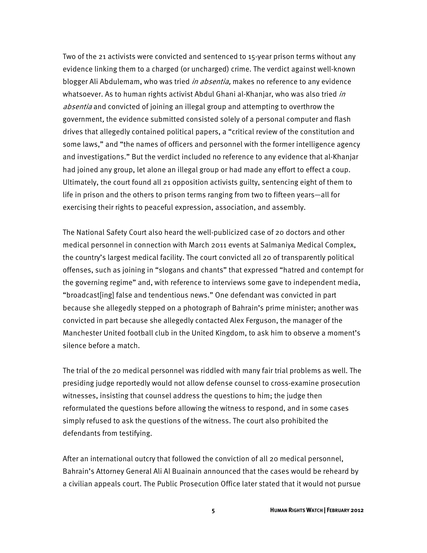Two of the 21 activists were convicted and sentenced to 15-year prison terms without any evidence linking them to a charged (or uncharged) crime. The verdict against well-known blogger Ali Abdulemam, who was tried *in absentia*, makes no reference to any evidence whatsoever. As to human rights activist Abdul Ghani al-Khanjar, who was also tried *in* absentia and convicted of joining an illegal group and attempting to overthrow the government, the evidence submitted consisted solely of a personal computer and flash drives that allegedly contained political papers, a "critical review of the constitution and some laws," and "the names of officers and personnel with the former intelligence agency and investigations." But the verdict included no reference to any evidence that al-Khanjar had joined any group, let alone an illegal group or had made any effort to effect a coup. Ultimately, the court found all 21 opposition activists guilty, sentencing eight of them to life in prison and the others to prison terms ranging from two to fifteen years—all for exercising their rights to peaceful expression, association, and assembly.

The National Safety Court also heard the well-publicized case of 20 doctors and other medical personnel in connection with March 2011 events at Salmaniya Medical Complex, the country's largest medical facility. The court convicted all 20 of transparently political offenses, such as joining in "slogans and chants" that expressed "hatred and contempt for the governing regime" and, with reference to interviews some gave to independent media, "broadcast[ing] false and tendentious news." One defendant was convicted in part because she allegedly stepped on a photograph of Bahrain's prime minister; another was convicted in part because she allegedly contacted Alex Ferguson, the manager of the Manchester United football club in the United Kingdom, to ask him to observe a moment's silence before a match.

The trial of the 20 medical personnel was riddled with many fair trial problems as well. The presiding judge reportedly would not allow defense counsel to cross-examine prosecution witnesses, insisting that counsel address the questions to him; the judge then reformulated the questions before allowing the witness to respond, and in some cases simply refused to ask the questions of the witness. The court also prohibited the defendants from testifying.

After an international outcry that followed the conviction of all 20 medical personnel, Bahrain's Attorney General Ali Al Buainain announced that the cases would be reheard by a civilian appeals court. The Public Prosecution Office later stated that it would not pursue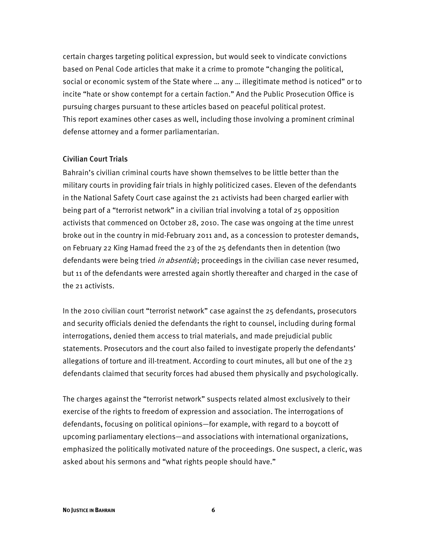certain charges targeting political expression, but would seek to vindicate convictions based on Penal Code articles that make it a crime to promote "changing the political, social or economic system of the State where … any … illegitimate method is noticed" or to incite "hate or show contempt for a certain faction." And the Public Prosecution Office is pursuing charges pursuant to these articles based on peaceful political protest. This report examines other cases as well, including those involving a prominent criminal defense attorney and a former parliamentarian.

#### Civilian Court Trials

Bahrain's civilian criminal courts have shown themselves to be little better than the military courts in providing fair trials in highly politicized cases. Eleven of the defendants in the National Safety Court case against the 21 activists had been charged earlier with being part of a "terrorist network" in a civilian trial involving a total of 25 opposition activists that commenced on October 28, 2010. The case was ongoing at the time unrest broke out in the country in mid-February 2011 and, as a concession to protester demands, on February 22 King Hamad freed the 23 of the 25 defendants then in detention (two defendants were being tried in absentia); proceedings in the civilian case never resumed, but 11 of the defendants were arrested again shortly thereafter and charged in the case of the 21 activists.

In the 2010 civilian court "terrorist network" case against the 25 defendants, prosecutors and security officials denied the defendants the right to counsel, including during formal interrogations, denied them access to trial materials, and made prejudicial public statements. Prosecutors and the court also failed to investigate properly the defendants' allegations of torture and ill-treatment. According to court minutes, all but one of the 23 defendants claimed that security forces had abused them physically and psychologically.

The charges against the "terrorist network" suspects related almost exclusively to their exercise of the rights to freedom of expression and association. The interrogations of defendants, focusing on political opinions—for example, with regard to a boycott of upcoming parliamentary elections—and associations with international organizations, emphasized the politically motivated nature of the proceedings. One suspect, a cleric, was asked about his sermons and "what rights people should have."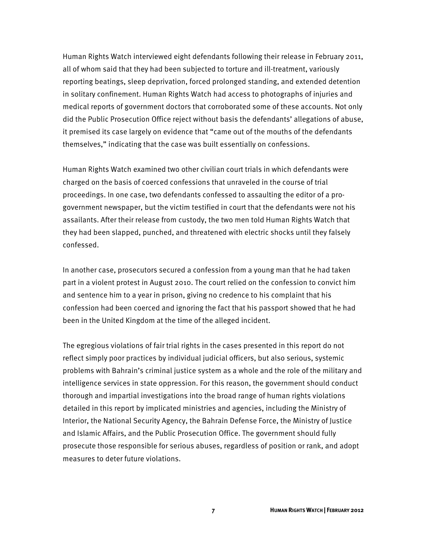Human Rights Watch interviewed eight defendants following their release in February 2011, all of whom said that they had been subjected to torture and ill-treatment, variously reporting beatings, sleep deprivation, forced prolonged standing, and extended detention in solitary confinement. Human Rights Watch had access to photographs of injuries and medical reports of government doctors that corroborated some of these accounts. Not only did the Public Prosecution Office reject without basis the defendants' allegations of abuse, it premised its case largely on evidence that "came out of the mouths of the defendants themselves," indicating that the case was built essentially on confessions.

Human Rights Watch examined two other civilian court trials in which defendants were charged on the basis of coerced confessions that unraveled in the course of trial proceedings. In one case, two defendants confessed to assaulting the editor of a progovernment newspaper, but the victim testified in court that the defendants were not his assailants. After their release from custody, the two men told Human Rights Watch that they had been slapped, punched, and threatened with electric shocks until they falsely confessed.

In another case, prosecutors secured a confession from a young man that he had taken part in a violent protest in August 2010. The court relied on the confession to convict him and sentence him to a year in prison, giving no credence to his complaint that his confession had been coerced and ignoring the fact that his passport showed that he had been in the United Kingdom at the time of the alleged incident.

The egregious violations of fair trial rights in the cases presented in this report do not reflect simply poor practices by individual judicial officers, but also serious, systemic problems with Bahrain's criminal justice system as a whole and the role of the military and intelligence services in state oppression. For this reason, the government should conduct thorough and impartial investigations into the broad range of human rights violations detailed in this report by implicated ministries and agencies, including the Ministry of Interior, the National Security Agency, the Bahrain Defense Force, the Ministry of Justice and Islamic Affairs, and the Public Prosecution Office. The government should fully prosecute those responsible for serious abuses, regardless of position or rank, and adopt measures to deter future violations.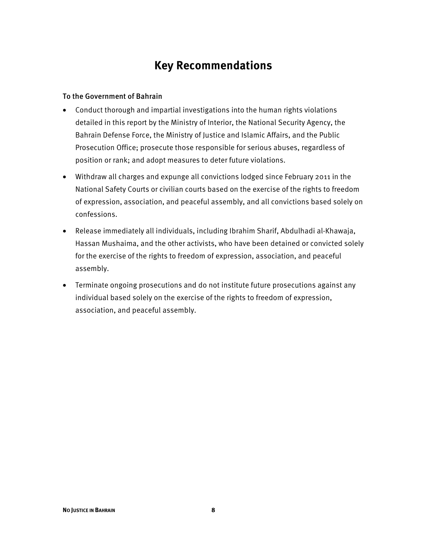## **Key Recommendations**

#### To the Government of Bahrain

- Conduct thorough and impartial investigations into the human rights violations detailed in this report by the Ministry of Interior, the National Security Agency, the Bahrain Defense Force, the Ministry of Justice and Islamic Affairs, and the Public Prosecution Office; prosecute those responsible for serious abuses, regardless of position or rank; and adopt measures to deter future violations.
- Withdraw all charges and expunge all convictions lodged since February 2011 in the National Safety Courts or civilian courts based on the exercise of the rights to freedom of expression, association, and peaceful assembly, and all convictions based solely on confessions.
- Release immediately all individuals, including Ibrahim Sharif, Abdulhadi al-Khawaja, Hassan Mushaima, and the other activists, who have been detained or convicted solely for the exercise of the rights to freedom of expression, association, and peaceful assembly.
- Terminate ongoing prosecutions and do not institute future prosecutions against any individual based solely on the exercise of the rights to freedom of expression, association, and peaceful assembly.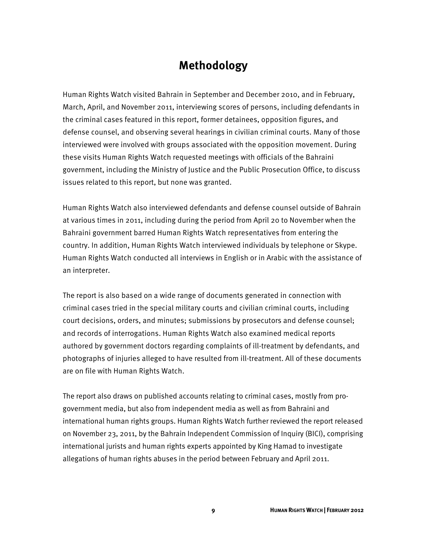### **Methodology**

Human Rights Watch visited Bahrain in September and December 2010, and in February, March, April, and November 2011, interviewing scores of persons, including defendants in the criminal cases featured in this report, former detainees, opposition figures, and defense counsel, and observing several hearings in civilian criminal courts. Many of those interviewed were involved with groups associated with the opposition movement. During these visits Human Rights Watch requested meetings with officials of the Bahraini government, including the Ministry of Justice and the Public Prosecution Office, to discuss issues related to this report, but none was granted.

Human Rights Watch also interviewed defendants and defense counsel outside of Bahrain at various times in 2011, including during the period from April 20 to November when the Bahraini government barred Human Rights Watch representatives from entering the country. In addition, Human Rights Watch interviewed individuals by telephone or Skype. Human Rights Watch conducted all interviews in English or in Arabic with the assistance of an interpreter.

The report is also based on a wide range of documents generated in connection with criminal cases tried in the special military courts and civilian criminal courts, including court decisions, orders, and minutes; submissions by prosecutors and defense counsel; and records of interrogations. Human Rights Watch also examined medical reports authored by government doctors regarding complaints of ill-treatment by defendants, and photographs of injuries alleged to have resulted from ill-treatment. All of these documents are on file with Human Rights Watch.

The report also draws on published accounts relating to criminal cases, mostly from progovernment media, but also from independent media as well as from Bahraini and international human rights groups. Human Rights Watch further reviewed the report released on November 23, 2011, by the Bahrain Independent Commission of Inquiry (BICI), comprising international jurists and human rights experts appointed by King Hamad to investigate allegations of human rights abuses in the period between February and April 2011.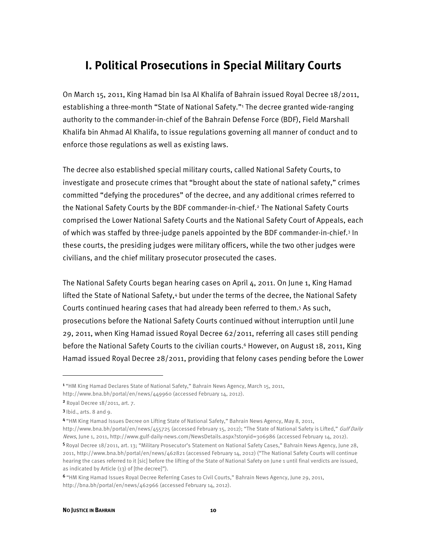### **I. Political Prosecutions in Special Military Courts**

On March 15, 2011, King Hamad bin Isa Al Khalifa of Bahrain issued Royal Decree 18/2011, establishing a three-month "State of National Safety."<sup>1</sup> The decree granted wide-ranging authority to the commander-in-chief of the Bahrain Defense Force (BDF), Field Marshall Khalifa bin Ahmad Al Khalifa, to issue regulations governing all manner of conduct and to enforce those regulations as well as existing laws.

The decree also established special military courts, called National Safety Courts, to investigate and prosecute crimes that "brought about the state of national safety," crimes committed "defying the procedures" of the decree, and any additional crimes referred to the National Safety Courts by the BDF commander-in-chief.2 The National Safety Courts comprised the Lower National Safety Courts and the National Safety Court of Appeals, each of which was staffed by three-judge panels appointed by the BDF commander-in-chief.3 In these courts, the presiding judges were military officers, while the two other judges were civilians, and the chief military prosecutor prosecuted the cases.

The National Safety Courts began hearing cases on April 4, 2011. On June 1, King Hamad lifted the State of National Safety,<sup>4</sup> but under the terms of the decree, the National Safety Courts continued hearing cases that had already been referred to them.5 As such, prosecutions before the National Safety Courts continued without interruption until June 29, 2011, when King Hamad issued Royal Decree 62/2011, referring all cases still pending before the National Safety Courts to the civilian courts.<sup>6</sup> However, on August 18, 2011, King Hamad issued Royal Decree 28/2011, providing that felony cases pending before the Lower

-

<sup>4</sup>"HM King Hamad Issues Decree on Lifting State of National Safety," Bahrain News Agency, May 8, 2011, http://www.bna.bh/portal/en/news/455725 (accessed February 15, 2012); "The State of National Safety is Lifted," Gulf Daily News, June 1, 2011, http://www.gulf-daily-news.com/NewsDetails.aspx?storyid=306986 (accessed February 14, 2012).

5 Royal Decree 18/2011, art. 13; "Military Prosecutor's Statement on National Safety Cases," Bahrain News Agency, June 28, 2011, http://www.bna.bh/portal/en/news/462821 (accessed February 14, 2012) ("The National Safety Courts will continue hearing the cases referred to it [sic] before the lifting of the State of National Safety on June 1 until final verdicts are issued, as indicated by Article (13) of [the decree]").

<sup>&</sup>lt;sup>1</sup> "HM King Hamad Declares State of National Safety," Bahrain News Agency, March 15, 2011,

http://www.bna.bh/portal/en/news/449960 (accessed February 14, 2012).

<sup>2</sup> Royal Decree 18/2011, art. 7.

 $3$  Ibid., arts. 8 and 9.

<sup>6</sup>"HM King Hamad Issues Royal Decree Referring Cases to Civil Courts," Bahrain News Agency, June 29, 2011, http://bna.bh/portal/en/news/462966 (accessed February 14, 2012).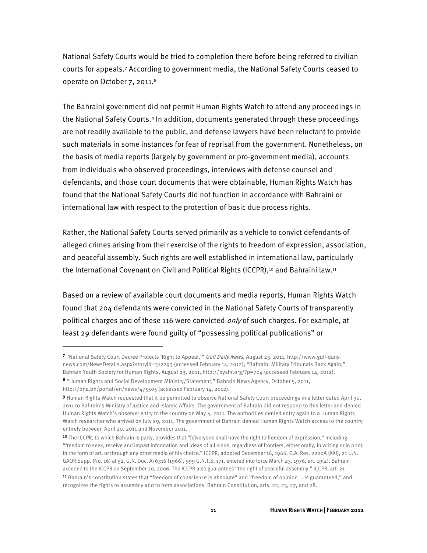National Safety Courts would be tried to completion there before being referred to civilian courts for appeals.7 According to government media, the National Safety Courts ceased to operate on October 7, 2011.<sup>8</sup>

The Bahraini government did not permit Human Rights Watch to attend any proceedings in the National Safety Courts.9 In addition, documents generated through these proceedings are not readily available to the public, and defense lawyers have been reluctant to provide such materials in some instances for fear of reprisal from the government. Nonetheless, on the basis of media reports (largely by government or pro-government media), accounts from individuals who observed proceedings, interviews with defense counsel and defendants, and those court documents that were obtainable, Human Rights Watch has found that the National Safety Courts did not function in accordance with Bahraini or international law with respect to the protection of basic due process rights.

Rather, the National Safety Courts served primarily as a vehicle to convict defendants of alleged crimes arising from their exercise of the rights to freedom of expression, association, and peaceful assembly. Such rights are well established in international law, particularly the International Covenant on Civil and Political Rights (ICCPR),<sup>10</sup> and Bahraini law.<sup>11</sup>

Based on a review of available court documents and media reports, Human Rights Watch found that 204 defendants were convicted in the National Safety Courts of transparently political charges and of these 116 were convicted *only* of such charges. For example, at least 29 defendants were found guilty of "possessing political publications" or

j

<sup>7 &</sup>quot;National Safety Court Decree Protects 'Right to Appeal," Gulf Daily News, August 23, 2011, http://www.gulf-dailynews.com/NewsDetails.aspx?storyid=312293 (accessed February 14, 2012); "Bahrain: Military Tribunals Back Again," Bahrain Youth Society for Human Rights, August 23, 2011, http://byshr.org/?p=704 (accessed February 14, 2012).

<sup>8</sup> "Human Rights and Social Development Ministry/Statement," Bahrain News Agency, October 5, 2011, http://bna.bh/portal/en/news/475505 (accessed February 14, 2012).

<sup>9</sup> Human Rights Watch requested that it be permitted to observe National Safety Court proceedings in a letter dated April 30, 2011 to Bahrain's Ministry of Justice and Islamic Affairs. The government of Bahrain did not respond to this letter and denied Human Rights Watch's observer entry to the country on May 4, 2011. The authorities denied entry again to a Human Rights Watch researcher who arrived on July 29, 2011. The government of Bahrain denied Human Rights Watch access to the country entirely between April 20, 2011 and November 2011.

<sup>&</sup>lt;sup>10</sup> The ICCPR, to which Bahrain is party, provides that "[e]veryone shall have the right to freedom of expression," including "freedom to seek, receive and impart information and ideas of all kinds, regardless of frontiers, either orally, in writing or in print, in the form of art, or through any other media of his choice." ICCPR, adopted December 16, 1966, G.A. Res. 2200A (XXI), 21 U.N. GAOR Supp. (No. 16) at 52, U.N. Doc. A/6316 (1966), 999 U.N.T.S. 171, entered into force March 23, 1976, art. 19(2). Bahrain acceded to the ICCPR on September 20, 2006. The ICCPR also guarantees "the right of peaceful assembly." ICCPR, art. 21.

<sup>11</sup> Bahrain's constitution states that "freedom of conscience is absolute" and "freedom of opinion … is guaranteed," and recognizes the rights to assembly and to form associations. Bahrain Constitution, arts. 22, 23, 27, and 28.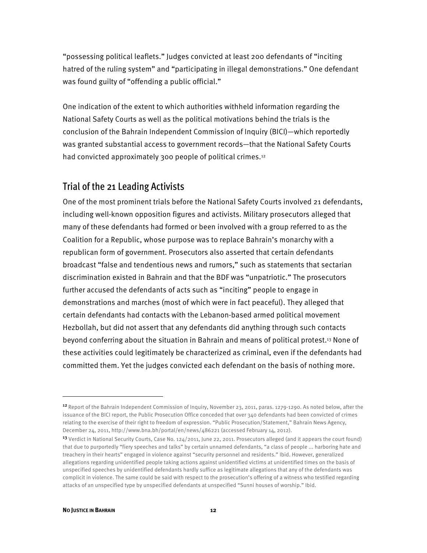"possessing political leaflets." Judges convicted at least 200 defendants of "inciting hatred of the ruling system" and "participating in illegal demonstrations." One defendant was found guilty of "offending a public official."

One indication of the extent to which authorities withheld information regarding the National Safety Courts as well as the political motivations behind the trials is the conclusion of the Bahrain Independent Commission of Inquiry (BICI)—which reportedly was granted substantial access to government records—that the National Safety Courts had convicted approximately 300 people of political crimes.<sup>12</sup>

### Trial of the 21 Leading Activists

One of the most prominent trials before the National Safety Courts involved 21 defendants, including well-known opposition figures and activists. Military prosecutors alleged that many of these defendants had formed or been involved with a group referred to as the Coalition for a Republic, whose purpose was to replace Bahrain's monarchy with a republican form of government. Prosecutors also asserted that certain defendants broadcast "false and tendentious news and rumors," such as statements that sectarian discrimination existed in Bahrain and that the BDF was "unpatriotic." The prosecutors further accused the defendants of acts such as "inciting" people to engage in demonstrations and marches (most of which were in fact peaceful). They alleged that certain defendants had contacts with the Lebanon-based armed political movement Hezbollah, but did not assert that any defendants did anything through such contacts beyond conferring about the situation in Bahrain and means of political protest.13 None of these activities could legitimately be characterized as criminal, even if the defendants had committed them. Yet the judges convicted each defendant on the basis of nothing more.

j

<sup>&</sup>lt;sup>12</sup> Report of the Bahrain Independent Commission of Inquiry, November 23, 2011, paras. 1279-1290. As noted below, after the issuance of the BICI report, the Public Prosecution Office conceded that over 340 defendants had been convicted of crimes relating to the exercise of their right to freedom of expression. "Public Prosecution/Statement," Bahrain News Agency, December 24, 2011, http://www.bna.bh/portal/en/news/486221 (accessed February 14, 2012).

<sup>13</sup> Verdict in National Security Courts, Case No. 124/2011, June 22, 2011. Prosecutors alleged (and it appears the court found) that due to purportedly "fiery speeches and talks" by certain unnamed defendants, "a class of people ... harboring hate and treachery in their hearts" engaged in violence against "security personnel and residents." Ibid. However, generalized allegations regarding unidentified people taking actions against unidentified victims at unidentified times on the basis of unspecified speeches by unidentified defendants hardly suffice as legitimate allegations that any of the defendants was complicit in violence. The same could be said with respect to the prosecution's offering of a witness who testified regarding attacks of an unspecified type by unspecified defendants at unspecified "Sunni houses of worship." Ibid.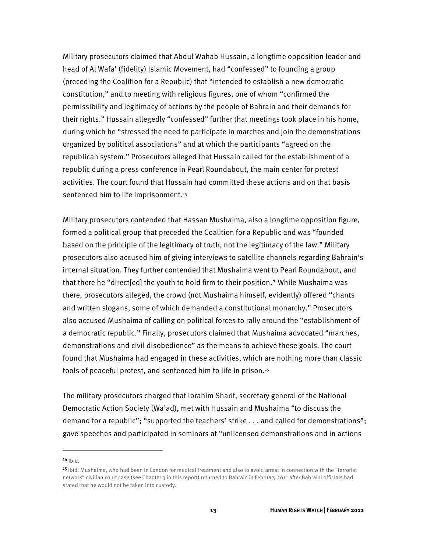Military prosecutors claimed that Abdul Wahab Hussain, a longtime opposition leader and head of Al Wafa' (fidelity) Islamic Movement, had "confessed" to founding a group (preceding the Coalition for a Republic) that "intended to establish a new democratic constitution," and to meeting with religious figures, one of whom "confirmed the permissibility and legitimacy of actions by the people of Bahrain and their demands for their rights." Hussain allegedly "confessed" further that meetings took place in his home, during which he "stressed the need to participate in marches and join the demonstrations organized by political associations" and at which the participants "agreed on the republican system." Prosecutors alleged that Hussain called for the establishment of a republic during a press conference in Pearl Roundabout, the main center for protest activities. The court found that Hussain had committed these actions and on that basis sentenced him to life imprisonment.<sup>14</sup>

Military prosecutors contended that Hassan Mushaima, also a longtime opposition figure, formed a political group that preceded the Coalition for a Republic and was "founded based on the principle of the legitimacy of truth, not the legitimacy of the law." Military prosecutors also accused him of giving interviews to satellite channels regarding Bahrain's internal situation. They further contended that Mushaima went to Pearl Roundabout, and that there he "direct[ed] the youth to hold firm to their position." While Mushaima was there, prosecutors alleged, the crowd (not Mushaima himself, evidently) offered "chants and written slogans, some of which demanded a constitutional monarchy." Prosecutors also accused Mushaima of calling on political forces to rally around the "establishment of a democratic republic." Finally, prosecutors claimed that Mushaima advocated "marches, demonstrations and civil disobedience" as the means to achieve these goals. The court found that Mushaima had engaged in these activities, which are nothing more than classic tools of peaceful protest, and sentenced him to life in prison.15

The military prosecutors charged that Ibrahim Sharif, secretary general of the National Democratic Action Society (Wa'ad), met with Hussain and Mushaima "to discuss the demand for a republic"; "supported the teachers' strike . . . and called for demonstrations"; gave speeches and participated in seminars at "unlicensed demonstrations and in actions

 $14$  Ibid.

 $\overline{a}$ 

<sup>&</sup>lt;sup>15</sup> Ibid. Mushaima, who had been in London for medical treatment and also to avoid arrest in connection with the "terrorist network" civilian court case (see Chapter 3 in this report) returned to Bahrain in February 2011 after Bahraini officials had stated that he would not be taken into custody.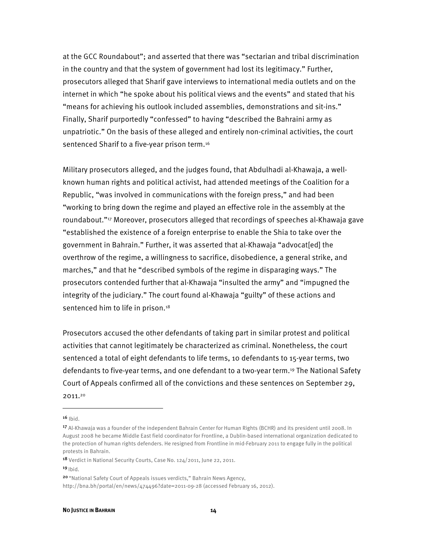at the GCC Roundabout"; and asserted that there was "sectarian and tribal discrimination in the country and that the system of government had lost its legitimacy." Further, prosecutors alleged that Sharif gave interviews to international media outlets and on the internet in which "he spoke about his political views and the events" and stated that his "means for achieving his outlook included assemblies, demonstrations and sit-ins." Finally, Sharif purportedly "confessed" to having "described the Bahraini army as unpatriotic." On the basis of these alleged and entirely non-criminal activities, the court sentenced Sharif to a five-year prison term.<sup>16</sup>

Military prosecutors alleged, and the judges found, that Abdulhadi al-Khawaja, a wellknown human rights and political activist, had attended meetings of the Coalition for a Republic, "was involved in communications with the foreign press," and had been "working to bring down the regime and played an effective role in the assembly at the roundabout."17 Moreover, prosecutors alleged that recordings of speeches al-Khawaja gave "established the existence of a foreign enterprise to enable the Shia to take over the government in Bahrain." Further, it was asserted that al-Khawaja "advocat[ed] the overthrow of the regime, a willingness to sacrifice, disobedience, a general strike, and marches," and that he "described symbols of the regime in disparaging ways." The prosecutors contended further that al-Khawaja "insulted the army" and "impugned the integrity of the judiciary." The court found al-Khawaja "guilty" of these actions and sentenced him to life in prison.<sup>18</sup>

Prosecutors accused the other defendants of taking part in similar protest and political activities that cannot legitimately be characterized as criminal. Nonetheless, the court sentenced a total of eight defendants to life terms, 10 defendants to 15-year terms, two defendants to five-year terms, and one defendant to a two-year term.19 The National Safety Court of Appeals confirmed all of the convictions and these sentences on September 29, 2011.20

 $16$  Ibid.

<sup>17</sup> Al-Khawaja was a founder of the independent Bahrain Center for Human Rights (BCHR) and its president until 2008. In August 2008 he became Middle East field coordinator for Frontline, a Dublin-based international organization dedicated to the protection of human rights defenders. He resigned from Frontline in mid-February 2011 to engage fully in the political protests in Bahrain.

<sup>18</sup> Verdict in National Security Courts, Case No. 124/2011, June 22, 2011.

 $19$  |bid.

<sup>&</sup>lt;sup>20</sup> "National Safety Court of Appeals issues verdicts," Bahrain News Agency,

http://bna.bh/portal/en/news/474496?date=2011-09-28 (accessed February 16, 2012).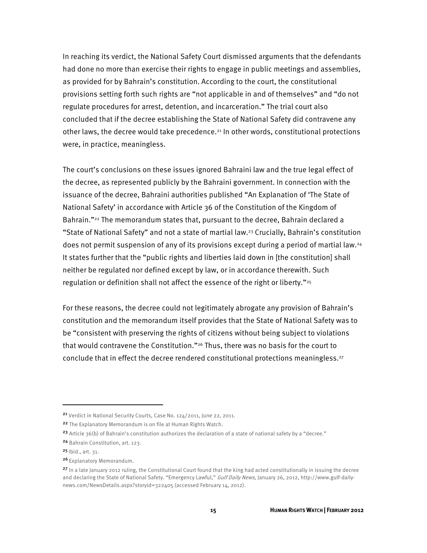In reaching its verdict, the National Safety Court dismissed arguments that the defendants had done no more than exercise their rights to engage in public meetings and assemblies, as provided for by Bahrain's constitution. According to the court, the constitutional provisions setting forth such rights are "not applicable in and of themselves" and "do not regulate procedures for arrest, detention, and incarceration." The trial court also concluded that if the decree establishing the State of National Safety did contravene any other laws, the decree would take precedence.<sup>21</sup> In other words, constitutional protections were, in practice, meaningless.

The court's conclusions on these issues ignored Bahraini law and the true legal effect of the decree, as represented publicly by the Bahraini government. In connection with the issuance of the decree, Bahraini authorities published "An Explanation of 'The State of National Safety' in accordance with Article 36 of the Constitution of the Kingdom of Bahrain."22 The memorandum states that, pursuant to the decree, Bahrain declared a "State of National Safety" and not a state of martial law.23 Crucially, Bahrain's constitution does not permit suspension of any of its provisions except during a period of martial law.24 It states further that the "public rights and liberties laid down in [the constitution] shall neither be regulated nor defined except by law, or in accordance therewith. Such regulation or definition shall not affect the essence of the right or liberty."<sup>25</sup>

For these reasons, the decree could not legitimately abrogate any provision of Bahrain's constitution and the memorandum itself provides that the State of National Safety was to be "consistent with preserving the rights of citizens without being subject to violations that would contravene the Constitution."26 Thus, there was no basis for the court to conclude that in effect the decree rendered constitutional protections meaningless.<sup>27</sup>

<sup>&</sup>lt;sup>21</sup> Verdict in National Security Courts, Case No. 124/2011, June 22, 2011.

<sup>22</sup> The Explanatory Memorandum is on file at Human Rights Watch.

<sup>&</sup>lt;sup>23</sup> Article  $36(b)$  of Bahrain's constitution authorizes the declaration of a state of national safety by a "decree."

<sup>24</sup> Bahrain Constitution, art. 123.

 $25$  Ibid., art. 31.

<sup>&</sup>lt;sup>26</sup> Explanatory Memorandum.

<sup>27</sup> In a late January 2012 ruling, the Constitutional Court found that the king had acted constitutionally in issuing the decree and declaring the State of National Safety. "Emergency Lawful," Gulf Daily News, January 26, 2012, http://www.gulf-dailynews.com/NewsDetails.aspx?storyid=322405 (accessed February 14, 2012).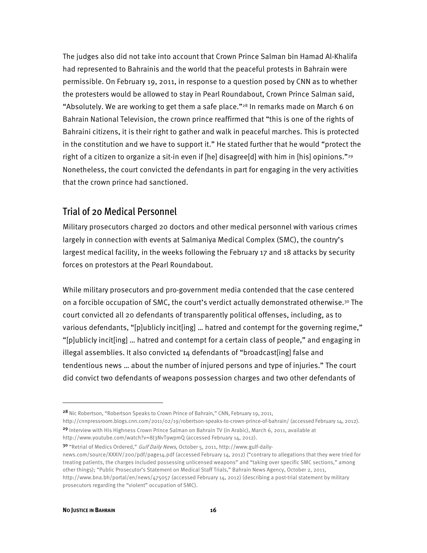The judges also did not take into account that Crown Prince Salman bin Hamad Al-Khalifa had represented to Bahrainis and the world that the peaceful protests in Bahrain were permissible. On February 19, 2011, in response to a question posed by CNN as to whether the protesters would be allowed to stay in Pearl Roundabout, Crown Prince Salman said, "Absolutely. We are working to get them a safe place."28 In remarks made on March 6 on Bahrain National Television, the crown prince reaffirmed that "this is one of the rights of Bahraini citizens, it is their right to gather and walk in peaceful marches. This is protected in the constitution and we have to support it." He stated further that he would "protect the right of a citizen to organize a sit-in even if [he] disagree[d] with him in [his] opinions."<sup>29</sup> Nonetheless, the court convicted the defendants in part for engaging in the very activities that the crown prince had sanctioned.

### Trial of 20 Medical Personnel

Military prosecutors charged 20 doctors and other medical personnel with various crimes largely in connection with events at Salmaniya Medical Complex (SMC), the country's largest medical facility, in the weeks following the February 17 and 18 attacks by security forces on protestors at the Pearl Roundabout.

While military prosecutors and pro-government media contended that the case centered on a forcible occupation of SMC, the court's verdict actually demonstrated otherwise.30 The court convicted all 20 defendants of transparently political offenses, including, as to various defendants, "[p]ublicly incit[ing] … hatred and contempt for the governing regime," "[p]ublicly incit[ing] … hatred and contempt for a certain class of people," and engaging in illegal assemblies. It also convicted 14 defendants of "broadcast[ing] false and tendentious news … about the number of injured persons and type of injuries." The court did convict two defendants of weapons possession charges and two other defendants of

http://www.youtube.com/watch?v=8J3NvT9wpmQ (accessed February 14, 2012).

<sup>&</sup>lt;sup>28</sup> Nic Robertson, "Robertson Speaks to Crown Prince of Bahrain," CNN, February 19, 2011,

http://cnnpressroom.blogs.cnn.com/2011/02/19/robertson-speaks-to-crown-prince-of-bahrain/ (accessed February 14, 2012). 29 Interview with His Highness Crown Prince Salman on Bahrain TV (in Arabic), March 6, 2011, available at

<sup>30 &</sup>quot;Retrial of Medics Ordered," Gulf Daily News, October 5, 2011, http://www.gulf-daily-

news.com/source/XXXIV/200/pdf/page14.pdf (accessed February 14, 2012) ("contrary to allegations that they were tried for treating patients, the charges included possessing unlicensed weapons" and "taking over specific SMC sections," among other things); "Public Prosecutor's Statement on Medical Staff Trials," Bahrain News Agency, October 2, 2011, http://www.bna.bh/portal/en/news/475057 (accessed February 14, 2012) (describing a post-trial statement by military prosecutors regarding the "violent" occupation of SMC).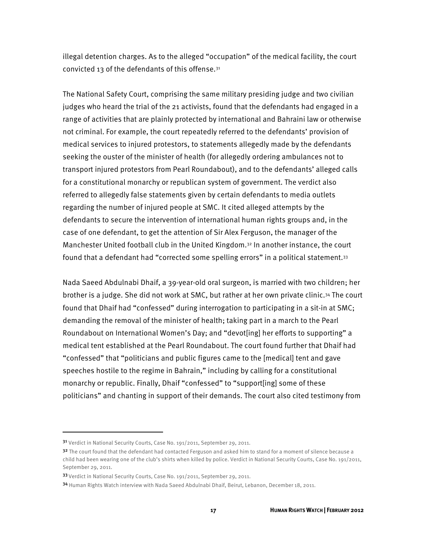illegal detention charges. As to the alleged "occupation" of the medical facility, the court convicted 13 of the defendants of this offense.31

The National Safety Court, comprising the same military presiding judge and two civilian judges who heard the trial of the 21 activists, found that the defendants had engaged in a range of activities that are plainly protected by international and Bahraini law or otherwise not criminal. For example, the court repeatedly referred to the defendants' provision of medical services to injured protestors, to statements allegedly made by the defendants seeking the ouster of the minister of health (for allegedly ordering ambulances not to transport injured protestors from Pearl Roundabout), and to the defendants' alleged calls for a constitutional monarchy or republican system of government. The verdict also referred to allegedly false statements given by certain defendants to media outlets regarding the number of injured people at SMC. It cited alleged attempts by the defendants to secure the intervention of international human rights groups and, in the case of one defendant, to get the attention of Sir Alex Ferguson, the manager of the Manchester United football club in the United Kingdom.32 In another instance, the court found that a defendant had "corrected some spelling errors" in a political statement.33

Nada Saeed Abdulnabi Dhaif, a 39-year-old oral surgeon, is married with two children; her brother is a judge. She did not work at SMC, but rather at her own private clinic.34 The court found that Dhaif had "confessed" during interrogation to participating in a sit-in at SMC; demanding the removal of the minister of health; taking part in a march to the Pearl Roundabout on International Women's Day; and "devot[ing] her efforts to supporting" a medical tent established at the Pearl Roundabout. The court found further that Dhaif had "confessed" that "politicians and public figures came to the [medical] tent and gave speeches hostile to the regime in Bahrain," including by calling for a constitutional monarchy or republic. Finally, Dhaif "confessed" to "support[ing] some of these politicians" and chanting in support of their demands. The court also cited testimony from

j

<sup>&</sup>lt;sup>31</sup> Verdict in National Security Courts, Case No. 191/2011, September 29, 2011.

<sup>&</sup>lt;sup>32</sup> The court found that the defendant had contacted Ferguson and asked him to stand for a moment of silence because a child had been wearing one of the club's shirts when killed by police. Verdict in National Security Courts, Case No. 191/2011, September 29, 2011.

<sup>33</sup> Verdict in National Security Courts, Case No. 191/2011, September 29, 2011.

<sup>34</sup> Human Rights Watch interview with Nada Saeed Abdulnabi Dhaif, Beirut, Lebanon, December 18, 2011.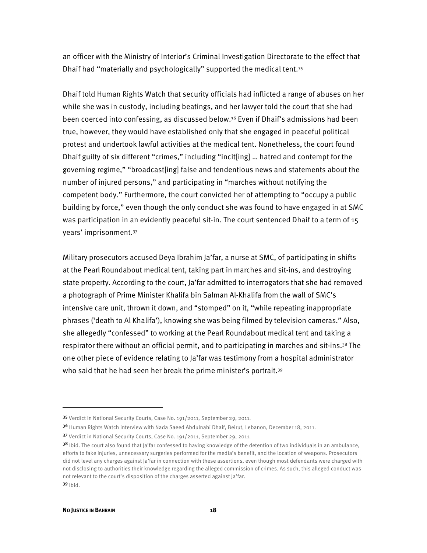an officer with the Ministry of Interior's Criminal Investigation Directorate to the effect that Dhaif had "materially and psychologically" supported the medical tent.35

Dhaif told Human Rights Watch that security officials had inflicted a range of abuses on her while she was in custody, including beatings, and her lawyer told the court that she had been coerced into confessing, as discussed below.36 Even if Dhaif's admissions had been true, however, they would have established only that she engaged in peaceful political protest and undertook lawful activities at the medical tent. Nonetheless, the court found Dhaif guilty of six different "crimes," including "incit[ing] … hatred and contempt for the governing regime," "broadcast[ing] false and tendentious news and statements about the number of injured persons," and participating in "marches without notifying the competent body." Furthermore, the court convicted her of attempting to "occupy a public building by force," even though the only conduct she was found to have engaged in at SMC was participation in an evidently peaceful sit-in. The court sentenced Dhaif to a term of 15 years' imprisonment.37

Military prosecutors accused Deya Ibrahim Ja'far, a nurse at SMC, of participating in shifts at the Pearl Roundabout medical tent, taking part in marches and sit-ins, and destroying state property. According to the court, Ja'far admitted to interrogators that she had removed a photograph of Prime Minister Khalifa bin Salman Al-Khalifa from the wall of SMC's intensive care unit, thrown it down, and "stomped" on it, "while repeating inappropriate phrases ('death to Al Khalifa'), knowing she was being filmed by television cameras." Also, she allegedly "confessed" to working at the Pearl Roundabout medical tent and taking a respirator there without an official permit, and to participating in marches and sit-ins.<sup>38</sup> The one other piece of evidence relating to Ja'far was testimony from a hospital administrator who said that he had seen her break the prime minister's portrait.<sup>39</sup>

 $\overline{a}$ 

<sup>35</sup> Verdict in National Security Courts, Case No. 191/2011, September 29, 2011.

<sup>36</sup> Human Rights Watch interview with Nada Saeed Abdulnabi Dhaif, Beirut, Lebanon, December 18, 2011.

<sup>37</sup> Verdict in National Security Courts, Case No. 191/2011, September 29, 2011.

<sup>&</sup>lt;sup>38</sup> Ibid. The court also found that Ja'far confessed to having knowledge of the detention of two individuals in an ambulance, efforts to fake injuries, unnecessary surgeries performed for the media's benefit, and the location of weapons. Prosecutors did not level any charges against Ja'far in connection with these assertions, even though most defendants were charged with not disclosing to authorities their knowledge regarding the alleged commission of crimes. As such, this alleged conduct was not relevant to the court's disposition of the charges asserted against Ja'far. <sup>39</sup> Ibid.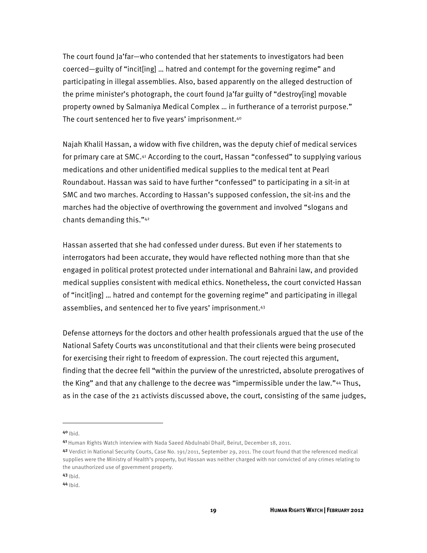The court found Ja'far—who contended that her statements to investigators had been coerced—guilty of "incit[ing] … hatred and contempt for the governing regime" and participating in illegal assemblies. Also, based apparently on the alleged destruction of the prime minister's photograph, the court found Ja'far guilty of "destroy[ing] movable property owned by Salmaniya Medical Complex … in furtherance of a terrorist purpose." The court sentenced her to five years' imprisonment.40

Najah Khalil Hassan, a widow with five children, was the deputy chief of medical services for primary care at SMC.41 According to the court, Hassan "confessed" to supplying various medications and other unidentified medical supplies to the medical tent at Pearl Roundabout. Hassan was said to have further "confessed" to participating in a sit-in at SMC and two marches. According to Hassan's supposed confession, the sit-ins and the marches had the objective of overthrowing the government and involved "slogans and chants demanding this."42

Hassan asserted that she had confessed under duress. But even if her statements to interrogators had been accurate, they would have reflected nothing more than that she engaged in political protest protected under international and Bahraini law, and provided medical supplies consistent with medical ethics. Nonetheless, the court convicted Hassan of "incit[ing] … hatred and contempt for the governing regime" and participating in illegal assemblies, and sentenced her to five years' imprisonment.43

Defense attorneys for the doctors and other health professionals argued that the use of the National Safety Courts was unconstitutional and that their clients were being prosecuted for exercising their right to freedom of expression. The court rejected this argument, finding that the decree fell "within the purview of the unrestricted, absolute prerogatives of the King" and that any challenge to the decree was "impermissible under the law."44 Thus, as in the case of the 21 activists discussed above, the court, consisting of the same judges,

 $40$  Ibid.

1

<sup>41</sup> Human Rights Watch interview with Nada Saeed Abdulnabi Dhaif, Beirut, December 18, 2011.

<sup>42</sup> Verdict in National Security Courts, Case No. 191/2011, September 29, 2011. The court found that the referenced medical supplies were the Ministry of Health's property, but Hassan was neither charged with nor convicted of any crimes relating to the unauthorized use of government property.

 $43$  Ibid.

<sup>44</sup> Ibid.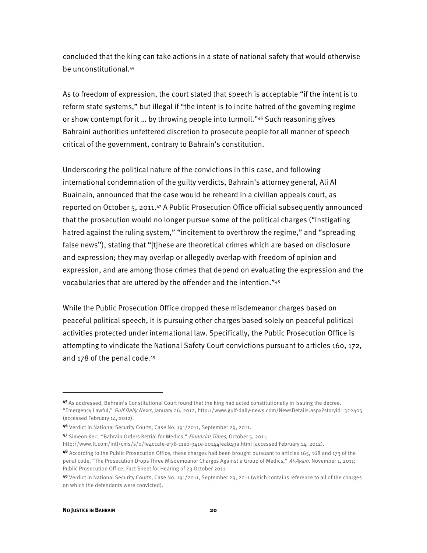concluded that the king can take actions in a state of national safety that would otherwise be unconstitutional.45

As to freedom of expression, the court stated that speech is acceptable "if the intent is to reform state systems," but illegal if "the intent is to incite hatred of the governing regime or show contempt for it … by throwing people into turmoil."46 Such reasoning gives Bahraini authorities unfettered discretion to prosecute people for all manner of speech critical of the government, contrary to Bahrain's constitution.

Underscoring the political nature of the convictions in this case, and following international condemnation of the guilty verdicts, Bahrain's attorney general, Ali Al Buainain, announced that the case would be reheard in a civilian appeals court, as reported on October 5, 2011.47 A Public Prosecution Office official subsequently announced that the prosecution would no longer pursue some of the political charges ("instigating hatred against the ruling system," "incitement to overthrow the regime," and "spreading false news"), stating that "[t]hese are theoretical crimes which are based on disclosure and expression; they may overlap or allegedly overlap with freedom of opinion and expression, and are among those crimes that depend on evaluating the expression and the vocabularies that are uttered by the offender and the intention."48

While the Public Prosecution Office dropped these misdemeanor charges based on peaceful political speech, it is pursuing other charges based solely on peaceful political activities protected under international law. Specifically, the Public Prosecution Office is attempting to vindicate the National Safety Court convictions pursuant to articles 160, 172, and 178 of the penal code.49

http://www.ft.com/intl/cms/s/0/fe4ccafe-ef78-11e0-941e-00144feab49a.html (accessed February 14, 2012).

<sup>45</sup> As addressed, Bahrain's Constitutional Court found that the king had acted constitutionally in issuing the decree. "Emergency Lawful," Gulf Daily News, January 26, 2012, http://www.gulf-daily-news.com/NewsDetails.aspx?storyid=322405 (accessed February 14, 2012).

<sup>4&</sup>lt;sup>6</sup> Verdict in National Security Courts, Case No. 191/2011, September 29, 2011.

<sup>47</sup> Simeon Kerr, "Bahrain Orders Retrial for Medics," Financial Times, October 5, 2011,

<sup>48</sup> According to the Public Prosecution Office, these charges had been brought pursuant to articles 165, 168 and 173 of the penal code. "The Prosecution Drops Three Misdemeanor Charges Against a Group of Medics," Al-Ayam, November 1, 2011; Public Prosecution Office, Fact Sheet for Hearing of 23 October 2011.

<sup>49</sup> Verdict in National Security Courts, Case No. 191/2011, September 29, 2011 (which contains reference to all of the charges on which the defendants were convicted).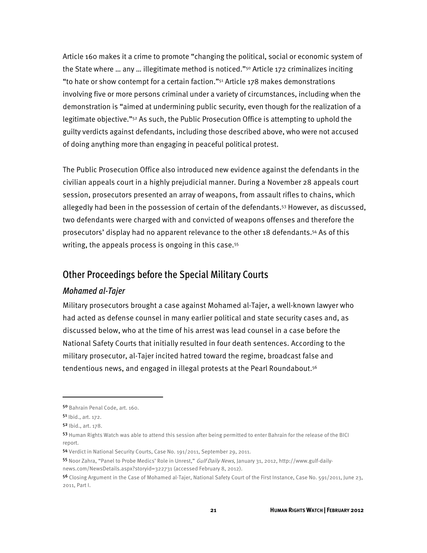Article 160 makes it a crime to promote "changing the political, social or economic system of the State where … any … illegitimate method is noticed."50 Article 172 criminalizes inciting "to hate or show contempt for a certain faction." $51$  Article 178 makes demonstrations involving five or more persons criminal under a variety of circumstances, including when the demonstration is "aimed at undermining public security, even though for the realization of a legitimate objective."52 As such, the Public Prosecution Office is attempting to uphold the guilty verdicts against defendants, including those described above, who were not accused of doing anything more than engaging in peaceful political protest.

The Public Prosecution Office also introduced new evidence against the defendants in the civilian appeals court in a highly prejudicial manner. During a November 28 appeals court session, prosecutors presented an array of weapons, from assault rifles to chains, which allegedly had been in the possession of certain of the defendants.53 However, as discussed, two defendants were charged with and convicted of weapons offenses and therefore the prosecutors' display had no apparent relevance to the other 18 defendants.54 As of this writing, the appeals process is ongoing in this case.<sup>55</sup>

### Other Proceedings before the Special Military Courts

#### *Mohamed al-Tajer*

Military prosecutors brought a case against Mohamed al-Tajer, a well-known lawyer who had acted as defense counsel in many earlier political and state security cases and, as discussed below, who at the time of his arrest was lead counsel in a case before the National Safety Courts that initially resulted in four death sentences. According to the military prosecutor, al-Tajer incited hatred toward the regime, broadcast false and tendentious news, and engaged in illegal protests at the Pearl Roundabout.<sup>56</sup>

<sup>50</sup> Bahrain Penal Code, art. 160.

<sup>51</sup> Ibid., art. 172.

<sup>52</sup> Ibid., art. 178.

<sup>53</sup> Human Rights Watch was able to attend this session after being permitted to enter Bahrain for the release of the BICI report.

<sup>54</sup> Verdict in National Security Courts, Case No. 191/2011, September 29, 2011.

<sup>55</sup> Noor Zahra, "Panel to Probe Medics' Role in Unrest," Gulf Daily News, January 31, 2012, http://www.gulf-dailynews.com/NewsDetails.aspx?storyid=322731 (accessed February 8, 2012).

<sup>56</sup> Closing Argument in the Case of Mohamed al-Tajer, National Safety Court of the First Instance, Case No. 591/2011, June 23, 2011, Part I.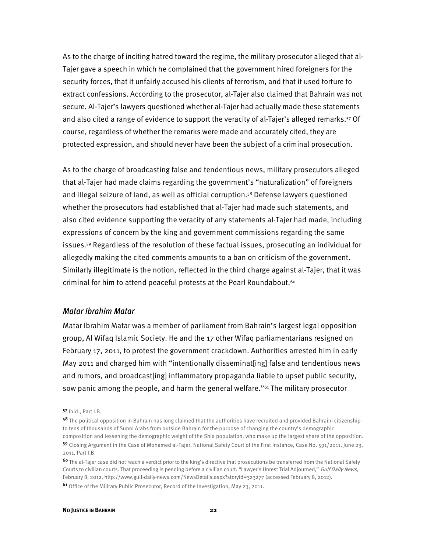As to the charge of inciting hatred toward the regime, the military prosecutor alleged that al-Tajer gave a speech in which he complained that the government hired foreigners for the security forces, that it unfairly accused his clients of terrorism, and that it used torture to extract confessions. According to the prosecutor, al-Tajer also claimed that Bahrain was not secure. Al-Tajer's lawyers questioned whether al-Tajer had actually made these statements and also cited a range of evidence to support the veracity of al-Tajer's alleged remarks.57 Of course, regardless of whether the remarks were made and accurately cited, they are protected expression, and should never have been the subject of a criminal prosecution.

As to the charge of broadcasting false and tendentious news, military prosecutors alleged that al-Tajer had made claims regarding the government's "naturalization" of foreigners and illegal seizure of land, as well as official corruption.58 Defense lawyers questioned whether the prosecutors had established that al-Tajer had made such statements, and also cited evidence supporting the veracity of any statements al-Tajer had made, including expressions of concern by the king and government commissions regarding the same issues.59 Regardless of the resolution of these factual issues, prosecuting an individual for allegedly making the cited comments amounts to a ban on criticism of the government. Similarly illegitimate is the notion, reflected in the third charge against al-Tajer, that it was criminal for him to attend peaceful protests at the Pearl Roundabout.60

#### *Matar Ibrahim Matar*

Matar Ibrahim Matar was a member of parliament from Bahrain's largest legal opposition group, Al Wifaq Islamic Society. He and the 17 other Wifaq parliamentarians resigned on February 17, 2011, to protest the government crackdown. Authorities arrested him in early May 2011 and charged him with "intentionally disseminat[ing] false and tendentious news and rumors, and broadcast[ing] inflammatory propaganda liable to upset public security, sow panic among the people, and harm the general welfare."61 The military prosecutor

<sup>57</sup> Ibid., Part I.B.

<sup>58</sup> The political opposition in Bahrain has long claimed that the authorities have recruited and provided Bahraini citizenship to tens of thousands of Sunni Arabs from outside Bahrain for the purpose of changing the country's demographic composition and lessening the demographic weight of the Shia population, who make up the largest share of the opposition.

<sup>59</sup> Closing Argument in the Case of Mohamed al-Tajer, National Safety Court of the First Instance, Case No. 591/2011, June 23, 2011, Part I.B.

<sup>60</sup> The al-Tajer case did not reach a verdict prior to the king's directive that prosecutions be transferred from the National Safety Courts to civilian courts. That proceeding is pending before a civilian court. "Lawyer's Unrest Trial Adjourned," Gulf Daily News, February 8, 2012, http://www.gulf-daily-news.com/NewsDetails.aspx?storyid=323277 (accessed February 8, 2012). <sup>61</sup> Office of the Military Public Prosecutor, Record of the Investigation, May 23, 2011.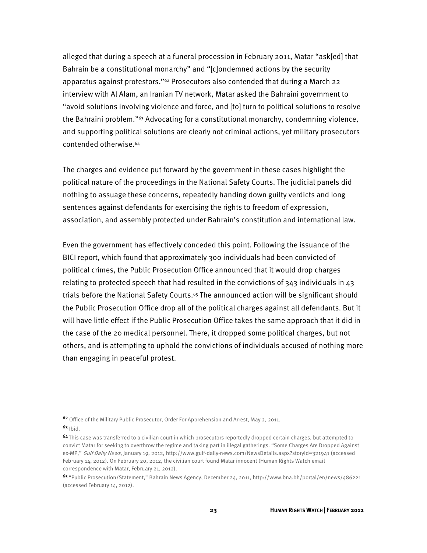alleged that during a speech at a funeral procession in February 2011, Matar "ask[ed] that Bahrain be a constitutional monarchy" and "[c]ondemned actions by the security apparatus against protestors."62 Prosecutors also contended that during a March 22 interview with Al Alam, an Iranian TV network, Matar asked the Bahraini government to "avoid solutions involving violence and force, and [to] turn to political solutions to resolve the Bahraini problem."63 Advocating for a constitutional monarchy, condemning violence, and supporting political solutions are clearly not criminal actions, yet military prosecutors contended otherwise.64

The charges and evidence put forward by the government in these cases highlight the political nature of the proceedings in the National Safety Courts. The judicial panels did nothing to assuage these concerns, repeatedly handing down guilty verdicts and long sentences against defendants for exercising the rights to freedom of expression, association, and assembly protected under Bahrain's constitution and international law.

Even the government has effectively conceded this point. Following the issuance of the BICI report, which found that approximately 300 individuals had been convicted of political crimes, the Public Prosecution Office announced that it would drop charges relating to protected speech that had resulted in the convictions of  $343$  individuals in  $43$ trials before the National Safety Courts.<sup>65</sup> The announced action will be significant should the Public Prosecution Office drop all of the political charges against all defendants. But it will have little effect if the Public Prosecution Office takes the same approach that it did in the case of the 20 medical personnel. There, it dropped some political charges, but not others, and is attempting to uphold the convictions of individuals accused of nothing more than engaging in peaceful protest.

j

<sup>62</sup> Office of the Military Public Prosecutor, Order For Apprehension and Arrest, May 2, 2011.

 $63$  Ibid.

<sup>64</sup>This case was transferred to a civilian court in which prosecutors reportedly dropped certain charges, but attempted to convict Matar for seeking to overthrow the regime and taking part in illegal gatherings. "Some Charges Are Dropped Against ex-MP," Gulf Daily News, January 19, 2012, http://www.gulf-daily-news.com/NewsDetails.aspx?storyid=321941 (accessed February 14, 2012). On February 20, 2012, the civilian court found Matar innocent (Human Rights Watch email correspondence with Matar, February 21, 2012).

<sup>65</sup>"Public Prosecution/Statement," Bahrain News Agency, December 24, 2011, http://www.bna.bh/portal/en/news/486221 (accessed February 14, 2012).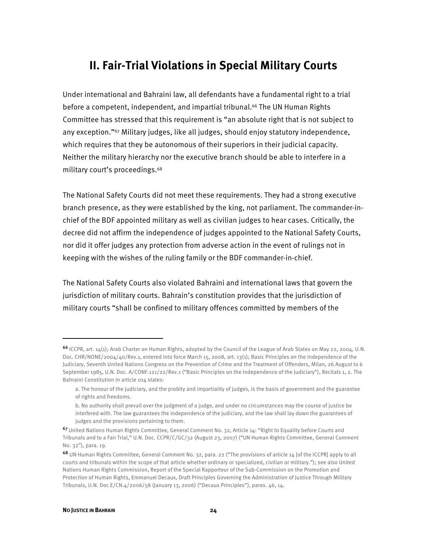### **II. Fair-Trial Violations in Special Military Courts**

Under international and Bahraini law, all defendants have a fundamental right to a trial before a competent, independent, and impartial tribunal.66 The UN Human Rights Committee has stressed that this requirement is "an absolute right that is not subject to any exception."67 Military judges, like all judges, should enjoy statutory independence, which requires that they be autonomous of their superiors in their judicial capacity. Neither the military hierarchy nor the executive branch should be able to interfere in a military court's proceedings.68

The National Safety Courts did not meet these requirements. They had a strong executive branch presence, as they were established by the king, not parliament. The commander-inchief of the BDF appointed military as well as civilian judges to hear cases. Critically, the decree did not affirm the independence of judges appointed to the National Safety Courts, nor did it offer judges any protection from adverse action in the event of rulings not in keeping with the wishes of the ruling family or the BDF commander-in-chief.

The National Safety Courts also violated Bahraini and international laws that govern the jurisdiction of military courts. Bahrain's constitution provides that the jurisdiction of military courts "shall be confined to military offences committed by members of the

 $\overline{a}$ 

<sup>66</sup>ICCPR, art. 14(1); Arab Charter on Human Rights, adopted by the Council of the League of Arab States on May 22, 2004, U.N. Doc. CHR/NONE/2004/40/Rev.1, entered into force March 15, 2008, art. 13(1); Basic Principles on the Independence of the Judiciary, Seventh United Nations Congress on the Prevention of Crime and the Treatment of Offenders, Milan, 26 August to 6 September 1985, U.N. Doc. A/CONF.121/22/Rev.1 ("Basic Principles on the Independence of the Judiciary"), Recitals 1, 2. The Bahraini Constitution in article 104 states:

a. The honour of the judiciary, and the probity and impartiality of judges, is the basis of government and the guarantee of rights and freedoms.

b. No authority shall prevail over the judgment of a judge, and under no circumstances may the course of justice be interfered with. The law guarantees the independence of the judiciary, and the law shall lay down the guarantees of judges and the provisions pertaining to them.

<sup>67</sup>United Nations Human Rights Committee, General Comment No. 32, Article 14: "Right to Equality before Courts and Tribunals and to a Fair Trial," U.N. Doc. CCPR/C/GC/32 (August 23, 2007) ("UN Human Rights Committee, General Comment No. 32"), para. 19.

<sup>68</sup> UN Human Rights Committee, General Comment No. 32, para. 22 ("The provisions of article 14 [of the ICCPR] apply to all courts and tribunals within the scope of that article whether ordinary or specialized, civilian or military."); see also United Nations Human Rights Commission, Report of the Special Rapporteur of the Sub-Commission on the Promotion and Protection of Human Rights, Emmanuel Decaux, Draft Principles Governing the Administration of Justice Through Military Tribunals, U.N. Doc  $E/CN.4/2006/58$  (January 13, 2006) ("Decaux Principles"), paras.  $46, 14$ .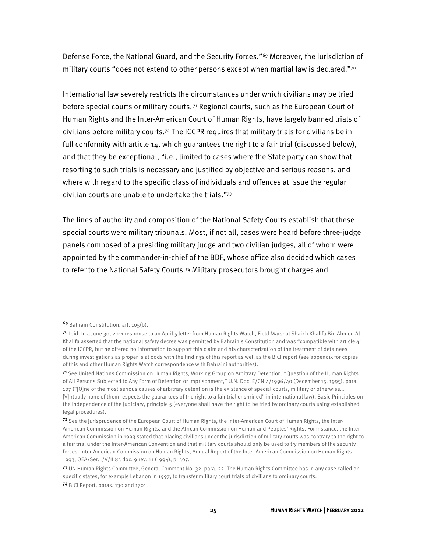Defense Force, the National Guard, and the Security Forces."69 Moreover, the jurisdiction of military courts "does not extend to other persons except when martial law is declared."70

International law severely restricts the circumstances under which civilians may be tried before special courts or military courts. 71 Regional courts, such as the European Court of Human Rights and the Inter-American Court of Human Rights, have largely banned trials of civilians before military courts.72 The ICCPR requires that military trials for civilians be in full conformity with article 14, which guarantees the right to a fair trial (discussed below), and that they be exceptional, "i.e., limited to cases where the State party can show that resorting to such trials is necessary and justified by objective and serious reasons, and where with regard to the specific class of individuals and offences at issue the regular civilian courts are unable to undertake the trials."73

The lines of authority and composition of the National Safety Courts establish that these special courts were military tribunals. Most, if not all, cases were heard before three-judge panels composed of a presiding military judge and two civilian judges, all of whom were appointed by the commander-in-chief of the BDF, whose office also decided which cases to refer to the National Safety Courts.74 Military prosecutors brought charges and

 $\overline{a}$ 

<sup>69</sup> Bahrain Constitution, art. 105(b).

<sup>7</sup>º Ibid. In a June 30, 2011 response to an April 5 letter from Human Rights Watch, Field Marshal Shaikh Khalifa Bin Ahmed Al Khalifa asserted that the national safety decree was permitted by Bahrain's Constitution and was "compatible with article 4" of the ICCPR, but he offered no information to support this claim and his characterization of the treatment of detainees during investigations as proper is at odds with the findings of this report as well as the BICI report (see appendix for copies of this and other Human Rights Watch correspondence with Bahraini authorities).

<sup>71</sup> See United Nations Commission on Human Rights, Working Group on Arbitrary Detention, "Question of the Human Rights of All Persons Subjected to Any Form of Detention or Imprisonment," U.N. Doc. E/CN.4/1996/40 (December 15, 1995), para. 107 ("[O]ne of the most serious causes of arbitrary detention is the existence of special courts, military or otherwise…. [V]irtually none of them respects the guarantees of the right to a fair trial enshrined" in international law); Basic Principles on the Independence of the Judiciary, principle 5 (everyone shall have the right to be tried by ordinary courts using established legal procedures).

<sup>72</sup> See the jurisprudence of the European Court of Human Rights, the Inter-American Court of Human Rights, the Inter-American Commission on Human Rights, and the African Commission on Human and Peoples' Rights. For instance, the Inter-American Commission in 1993 stated that placing civilians under the jurisdiction of military courts was contrary to the right to a fair trial under the Inter-American Convention and that military courts should only be used to try members of the security forces. Inter-American Commission on Human Rights, Annual Report of the Inter-American Commission on Human Rights 1993, OEA/Ser.L/V/II.85 doc. 9 rev. 11 (1994), p. 507.

<sup>73</sup> UN Human Rights Committee, General Comment No. 32, para. 22. The Human Rights Committee has in any case called on specific states, for example Lebanon in 1997, to transfer military court trials of civilians to ordinary courts. <sup>74</sup> BICI Report, paras. 130 and 1701.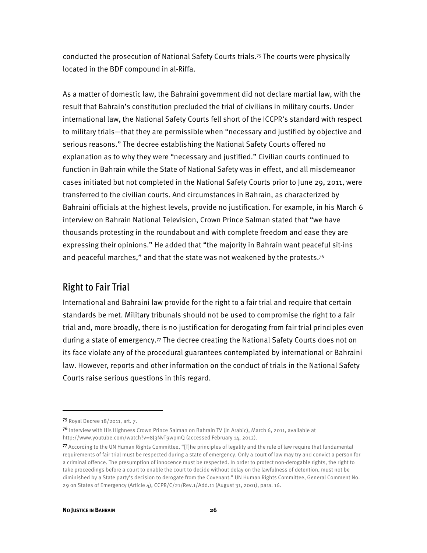conducted the prosecution of National Safety Courts trials.75 The courts were physically located in the BDF compound in al-Riffa.

As a matter of domestic law, the Bahraini government did not declare martial law, with the result that Bahrain's constitution precluded the trial of civilians in military courts. Under international law, the National Safety Courts fell short of the ICCPR's standard with respect to military trials—that they are permissible when "necessary and justified by objective and serious reasons." The decree establishing the National Safety Courts offered no explanation as to why they were "necessary and justified." Civilian courts continued to function in Bahrain while the State of National Safety was in effect, and all misdemeanor cases initiated but not completed in the National Safety Courts prior to June 29, 2011, were transferred to the civilian courts. And circumstances in Bahrain, as characterized by Bahraini officials at the highest levels, provide no justification. For example, in his March 6 interview on Bahrain National Television, Crown Prince Salman stated that "we have thousands protesting in the roundabout and with complete freedom and ease they are expressing their opinions." He added that "the majority in Bahrain want peaceful sit-ins and peaceful marches," and that the state was not weakened by the protests.<sup>76</sup>

### Right to Fair Trial

International and Bahraini law provide for the right to a fair trial and require that certain standards be met. Military tribunals should not be used to compromise the right to a fair trial and, more broadly, there is no justification for derogating from fair trial principles even during a state of emergency.77 The decree creating the National Safety Courts does not on its face violate any of the procedural guarantees contemplated by international or Bahraini law. However, reports and other information on the conduct of trials in the National Safety Courts raise serious questions in this regard.

1

<sup>75</sup> Royal Decree 18/2011, art. 7.

<sup>76</sup> Interview with His Highness Crown Prince Salman on Bahrain TV (in Arabic), March 6, 2011, available at http://www.youtube.com/watch?v=8J3NvT9wpmQ (accessed February 14, 2012).

<sup>77</sup>According to the UN Human Rights Committee, "[T]he principles of legality and the rule of law require that fundamental requirements of fair trial must be respected during a state of emergency. Only a court of law may try and convict a person for a criminal offence. The presumption of innocence must be respected. In order to protect non-derogable rights, the right to take proceedings before a court to enable the court to decide without delay on the lawfulness of detention, must not be diminished by a State party's decision to derogate from the Covenant." UN Human Rights Committee, General Comment No. 29 on States of Emergency (Article 4), CCPR/C/21/Rev.1/Add.11 (August 31, 2001), para. 16.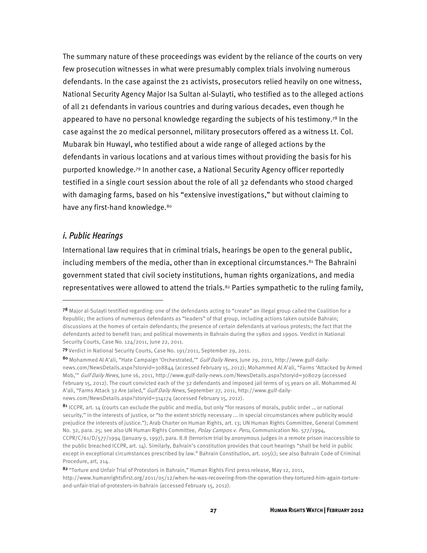The summary nature of these proceedings was evident by the reliance of the courts on very few prosecution witnesses in what were presumably complex trials involving numerous defendants. In the case against the 21 activists, prosecutors relied heavily on one witness, National Security Agency Major Isa Sultan al-Sulayti, who testified as to the alleged actions of all 21 defendants in various countries and during various decades, even though he appeared to have no personal knowledge regarding the subjects of his testimony.<sup>78</sup> In the case against the 20 medical personnel, military prosecutors offered as a witness Lt. Col. Mubarak bin Huwayl, who testified about a wide range of alleged actions by the defendants in various locations and at various times without providing the basis for his purported knowledge.79 In another case, a National Security Agency officer reportedly testified in a single court session about the role of all 32 defendants who stood charged with damaging farms, based on his "extensive investigations," but without claiming to have any first-hand knowledge.<sup>80</sup>

#### *i. Public Hearings*

j

International law requires that in criminal trials, hearings be open to the general public, including members of the media, other than in exceptional circumstances.<sup>81</sup> The Bahraini government stated that civil society institutions, human rights organizations, and media representatives were allowed to attend the trials.<sup>82</sup> Parties sympathetic to the ruling family,

<sup>78</sup> Major al-Sulayti testified regarding: one of the defendants acting to "create" an illegal group called the Coalition for a Republic; the actions of numerous defendants as "leaders" of that group, including actions taken outside Bahrain; discussions at the homes of certain defendants; the presence of certain defendants at various protests; the fact that the defendants acted to benefit Iran; and political movements in Bahrain during the 1980s and 1990s. Verdict in National Security Courts, Case No. 124/2011, June 22, 2011.

<sup>79</sup> Verdict in National Security Courts, Case No. 191/2011, September 29, 2011.

<sup>80</sup> Mohammed Al A'ali, "Hate Campaign 'Orchestrated," Gulf Daily News, June 29, 2011, http://www.gulf-dailynews.com/NewsDetails.aspx?storyid=308844 (accessed February 15, 2012); Mohammed Al A'ali, "Farms 'Attacked by Armed Mob," Gulf Daily News, June 16, 2011, http://www.gulf-daily-news.com/NewsDetails.aspx?storyid=308029 (accessed February 15, 2012). The court convicted each of the 32 defendants and imposed jail terms of 15 years on all. Mohammed Al A'ali, "Farms Attack 32 Are Jailed," Gulf Daily News, September 27, 2011, http://www.gulf-dailynews.com/NewsDetails.aspx?storyid=314174 (accessed February 15, 2012).

<sup>81</sup> ICCPR, art. 14 (courts can exclude the public and media, but only "for reasons of morals, public order ... or national security," in the interests of justice, or "to the extent strictly necessary ... in special circumstances where publicity would prejudice the interests of justice."); Arab Charter on Human Rights, art. 13; UN Human Rights Committee, General Comment No. 32, para. 25; see also UN Human Rights Committee, Polay Campos v. Peru, Communication No. 577/1994,  $CCPR/C/61/D/577/1994$  (January 9, 1997), para. 8.8 (terrorism trial by anonymous judges in a remote prison inaccessible to the public breached ICCPR, art. 14). Similarly, Bahrain's constitution provides that court hearings "shall be held in public except in exceptional circumstances prescribed by law." Bahrain Constitution, art. 105(c); see also Bahrain Code of Criminal Procedure, art, 214.

<sup>82 &</sup>quot;Torture and Unfair Trial of Protestors in Bahrain," Human Rights First press release, May 12, 2011, http://www.humanrightsfirst.org/2011/05/12/when-he-was-recovering-from-the-operation-they-tortured-him-again-tortureand-unfair-trial-of-protesters-in-bahrain (accessed February 15, 2012).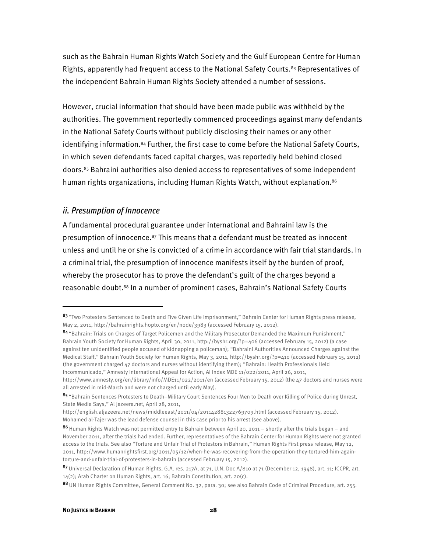such as the Bahrain Human Rights Watch Society and the Gulf European Centre for Human Rights, apparently had frequent access to the National Safety Courts.<sup>83</sup> Representatives of the independent Bahrain Human Rights Society attended a number of sessions.

However, crucial information that should have been made public was withheld by the authorities. The government reportedly commenced proceedings against many defendants in the National Safety Courts without publicly disclosing their names or any other identifying information.84 Further, the first case to come before the National Safety Courts, in which seven defendants faced capital charges, was reportedly held behind closed doors.85 Bahraini authorities also denied access to representatives of some independent human rights organizations, including Human Rights Watch, without explanation.<sup>86</sup>

#### *ii. Presumption of Innocence*

A fundamental procedural guarantee under international and Bahraini law is the presumption of innocence. $87$  This means that a defendant must be treated as innocent unless and until he or she is convicted of a crime in accordance with fair trial standards. In a criminal trial, the presumption of innocence manifests itself by the burden of proof, whereby the prosecutor has to prove the defendant's guilt of the charges beyond a reasonable doubt.88 In a number of prominent cases, Bahrain's National Safety Courts

84 "Bahrain: Trials on Charges of Target Policemen and the Military Prosecutor Demanded the Maximum Punishment," Bahrain Youth Society for Human Rights, April 30, 2011, http://byshr.org/?p=406 (accessed February 15, 2012) (a case against ten unidentified people accused of kidnapping a policeman); "Bahraini Authorities Announced Charges against the Medical Staff," Bahrain Youth Society for Human Rights, May 3, 2011, http://byshr.org/?p=410 (accessed February 15, 2012) (the government charged 47 doctors and nurses without identifying them); "Bahrain: Health Professionals Held Incommunicado," Amnesty International Appeal for Action, AI Index MDE 11/022/2011, April 26, 2011,

<sup>83 &</sup>quot;Two Protesters Sentenced to Death and Five Given Life Imprisonment," Bahrain Center for Human Rights press release, May 2, 2011, http://bahrainrights.hopto.org/en/node/3983 (accessed February 15, 2012).

http://www.amnesty.org/en/library/info/MDE11/022/2011/en (accessed February 15, 2012) (the 47 doctors and nurses were all arrested in mid-March and were not charged until early May).

<sup>85 &</sup>quot;Bahrain Sentences Protesters to Death–Military Court Sentences Four Men to Death over Killing of Police during Unrest, State Media Says," Al Jazeera.net, April 28, 2011,

http://english.aljazeera.net/news/middleeast/2011/04/201142881322769709.html (accessed February 15, 2012). Mohamed al-Tajer was the lead defense counsel in this case prior to his arrest (see above).

<sup>86</sup> Human Rights Watch was not permitted entry to Bahrain between April 20, 2011 – shortly after the trials began – and November 2011, after the trials had ended. Further, representatives of the Bahrain Center for Human Rights were not granted access to the trials. See also "Torture and Unfair Trial of Protestors in Bahrain," Human Rights First press release, May 12, 2011, http://www.humanrightsfirst.org/2011/05/12/when-he-was-recovering-from-the-operation-they-tortured-him-againtorture-and-unfair-trial-of-protesters-in-bahrain (accessed February 15, 2012).

<sup>87</sup> Universal Declaration of Human Rights, G.A. res. 217A, at 71, U.N. Doc A/810 at 71 (December 12, 1948), art. 11; ICCPR, art. 14(2); Arab Charter on Human Rights, art. 16; Bahrain Constitution, art. 20(c).

<sup>88</sup> UN Human Rights Committee, General Comment No. 32, para. 30; see also Bahrain Code of Criminal Procedure, art. 255.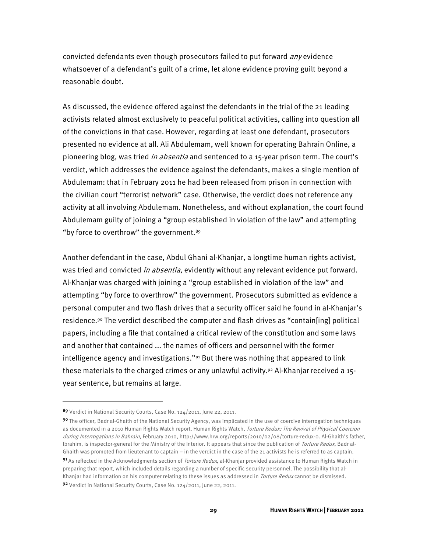convicted defendants even though prosecutors failed to put forward *any* evidence whatsoever of a defendant's guilt of a crime, let alone evidence proving guilt beyond a reasonable doubt.

As discussed, the evidence offered against the defendants in the trial of the 21 leading activists related almost exclusively to peaceful political activities, calling into question all of the convictions in that case. However, regarding at least one defendant, prosecutors presented no evidence at all. Ali Abdulemam, well known for operating Bahrain Online, a pioneering blog, was tried in absentia and sentenced to a 15-year prison term. The court's verdict, which addresses the evidence against the defendants, makes a single mention of Abdulemam: that in February 2011 he had been released from prison in connection with the civilian court "terrorist network" case. Otherwise, the verdict does not reference any activity at all involving Abdulemam. Nonetheless, and without explanation, the court found Abdulemam guilty of joining a "group established in violation of the law" and attempting "by force to overthrow" the government.<sup>89</sup>

Another defendant in the case, Abdul Ghani al-Khanjar, a longtime human rights activist, was tried and convicted *in absentia*, evidently without any relevant evidence put forward. Al-Khanjar was charged with joining a "group established in violation of the law" and attempting "by force to overthrow" the government. Prosecutors submitted as evidence a personal computer and two flash drives that a security officer said he found in al-Khanjar's residence.90 The verdict described the computer and flash drives as "contain[ing] political papers, including a file that contained a critical review of the constitution and some laws and another that contained ... the names of officers and personnel with the former intelligence agency and investigations." $91$  But there was nothing that appeared to link these materials to the charged crimes or any unlawful activity.<sup>92</sup> Al-Khanjar received a 15year sentence, but remains at large.

 $\overline{a}$ 

<sup>89</sup> Verdict in National Security Courts, Case No. 124/2011, June 22, 2011.

<sup>90</sup> The officer, Badr al-Ghaith of the National Security Agency, was implicated in the use of coercive interrogation techniques as documented in a 2010 Human Rights Watch report. Human Rights Watch, Torture Redux: The Revival of Physical Coercion during Interrogations in Bahrain, February 2010, http://www.hrw.org/reports/2010/02/08/torture-redux-0. Al-Ghaith's father, Ibrahim, is inspector-general for the Ministry of the Interior. It appears that since the publication of Torture Redux, Badr al-Ghaith was promoted from lieutenant to captain – in the verdict in the case of the 21 activists he is referred to as captain.

<sup>91</sup> As reflected in the Acknowledgments section of *Torture Redux*, al-Khanjar provided assistance to Human Rights Watch in preparing that report, which included details regarding a number of specific security personnel. The possibility that al-Khanjar had information on his computer relating to these issues as addressed in Torture Redux cannot be dismissed.

<sup>92</sup> Verdict in National Security Courts, Case No. 124/2011, June 22, 2011.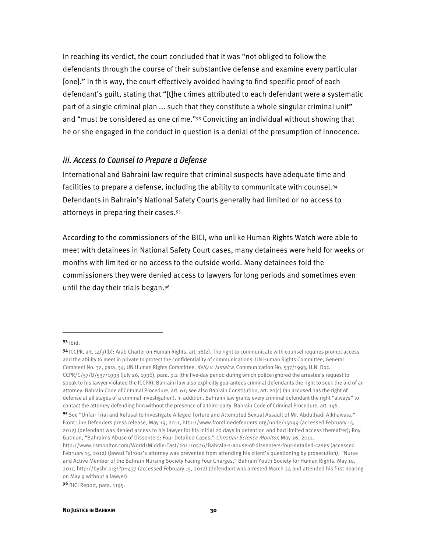In reaching its verdict, the court concluded that it was "not obliged to follow the defendants through the course of their substantive defense and examine every particular [one]." In this way, the court effectively avoided having to find specific proof of each defendant's guilt, stating that "[t]he crimes attributed to each defendant were a systematic part of a single criminal plan ... such that they constitute a whole singular criminal unit" and "must be considered as one crime."93 Convicting an individual without showing that he or she engaged in the conduct in question is a denial of the presumption of innocence.

#### *iii. Access to Counsel to Prepare a Defense*

International and Bahraini law require that criminal suspects have adequate time and facilities to prepare a defense, including the ability to communicate with counsel.94 Defendants in Bahrain's National Safety Courts generally had limited or no access to attorneys in preparing their cases.95

According to the commissioners of the BICI, who unlike Human Rights Watch were able to meet with detainees in National Safety Court cases, many detainees were held for weeks or months with limited or no access to the outside world. Many detainees told the commissioners they were denied access to lawyers for long periods and sometimes even until the day their trials began.96

 $\overline{a}$ 

96 BICI Report, para. 1195.

<sup>93</sup> Ibid.

<sup>94</sup> ICCPR, art.  $14(3)(b)$ ; Arab Charter on Human Rights, art.  $16(2)$ . The right to communicate with counsel requires prompt access and the ability to meet in private to protect the confidentiality of communications. UN Human Rights Committee, General Comment No. 32, para. 34; UN Human Rights Committee, Kelly v. Jamaica, Communication No. 537/1993, U.N. Doc. CCPR/C/57/D/537/1993 (July 26, 1996), para. 9.2 (the five-day period during which police ignored the arrestee's request to speak to his lawyer violated the ICCPR). Bahraini law also explicitly guarantees criminal defendants the right to seek the aid of an attorney. Bahrain Code of Criminal Procedure, art. 61; see also Bahrain Constitution, art. 20(c) (an accused has the right of defense at all stages of a criminal investigation). In addition, Bahraini law grants every criminal defendant the right "always" to contact the attorney defending him without the presence of a third-party. Bahrain Code of Criminal Procedure, art. 146.

<sup>95</sup> See "Unfair Trial and Refusal to Investigate Alleged Torture and Attempted Sexual Assault of Mr. Abdulhadi Alkhawaja," Front Line Defenders press release, May 19, 2011, http://www.frontlinedefenders.org/node/15099 (accessed February 15, 2012) (defendant was denied access to his lawyer for his initial 20 days in detention and had limited access thereafter); Roy Gutman, "Bahrain's Abuse of Dissenters: Four Detailed Cases," Christian Science Monitor, May 26, 2011,

http://www.csmonitor.com/World/Middle-East/2011/0526/Bahrain-s-abuse-of-dissenters-four-detailed-cases (accessed February 15, 2012) (Jawad Fairooz's attorney was prevented from attending his client's questioning by prosecution); "Nurse and Active Member of the Bahrain Nursing Society Facing Four Charges," Bahrain Youth Society for Human Rights, May 10, 2011, http://byshr.org/?p=437 (accessed February 15, 2012) (defendant was arrested March 24 and attended his first hearing on May 9 without a lawyer).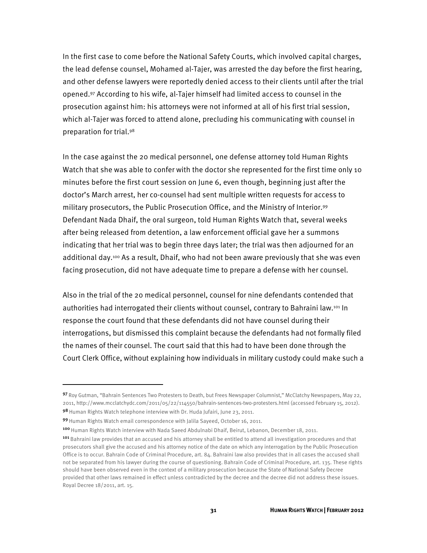In the first case to come before the National Safety Courts, which involved capital charges, the lead defense counsel, Mohamed al-Tajer, was arrested the day before the first hearing, and other defense lawyers were reportedly denied access to their clients until after the trial opened.97 According to his wife, al-Tajer himself had limited access to counsel in the prosecution against him: his attorneys were not informed at all of his first trial session, which al-Tajer was forced to attend alone, precluding his communicating with counsel in preparation for trial.98

In the case against the 20 medical personnel, one defense attorney told Human Rights Watch that she was able to confer with the doctor she represented for the first time only 10 minutes before the first court session on June 6, even though, beginning just after the doctor's March arrest, her co-counsel had sent multiple written requests for access to military prosecutors, the Public Prosecution Office, and the Ministry of Interior.99 Defendant Nada Dhaif, the oral surgeon, told Human Rights Watch that, several weeks after being released from detention, a law enforcement official gave her a summons indicating that her trial was to begin three days later; the trial was then adjourned for an additional day.100 As a result, Dhaif, who had not been aware previously that she was even facing prosecution, did not have adequate time to prepare a defense with her counsel.

Also in the trial of the 20 medical personnel, counsel for nine defendants contended that authorities had interrogated their clients without counsel, contrary to Bahraini law.101 In response the court found that these defendants did not have counsel during their interrogations, but dismissed this complaint because the defendants had not formally filed the names of their counsel. The court said that this had to have been done through the Court Clerk Office, without explaining how individuals in military custody could make such a

 $\overline{a}$ 

<sup>97</sup> Roy Gutman, "Bahrain Sentences Two Protesters to Death, but Frees Newspaper Columnist," McClatchy Newspapers, May 22, 2011, http://www.mcclatchydc.com/2011/05/22/114550/bahrain-sentences-two-protesters.html (accessed February 15, 2012). 98 Human Rights Watch telephone interview with Dr. Huda Jufairi, June 23, 2011.

<sup>99</sup> Human Rights Watch email correspondence with Jalila Sayeed, October 16, 2011.

<sup>100</sup> Human Rights Watch interview with Nada Saeed Abdulnabi Dhaif, Beirut, Lebanon, December 18, 2011.

<sup>&</sup>lt;sup>101</sup> Bahraini law provides that an accused and his attorney shall be entitled to attend all investigation procedures and that prosecutors shall give the accused and his attorney notice of the date on which any interrogation by the Public Prosecution Office is to occur. Bahrain Code of Criminal Procedure, art. 84. Bahraini law also provides that in all cases the accused shall not be separated from his lawyer during the course of questioning. Bahrain Code of Criminal Procedure, art. 135. These rights should have been observed even in the context of a military prosecution because the State of National Safety Decree provided that other laws remained in effect unless contradicted by the decree and the decree did not address these issues. Royal Decree 18/2011, art. 15.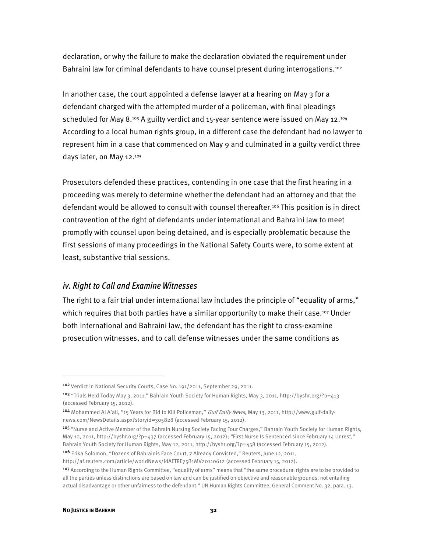declaration, or why the failure to make the declaration obviated the requirement under Bahraini law for criminal defendants to have counsel present during interrogations.<sup>102</sup>

In another case, the court appointed a defense lawyer at a hearing on May 3 for a defendant charged with the attempted murder of a policeman, with final pleadings scheduled for May 8. $103$  A guilty verdict and 15-year sentence were issued on May 12. $104$ According to a local human rights group, in a different case the defendant had no lawyer to represent him in a case that commenced on May 9 and culminated in a guilty verdict three days later, on May 12.105

Prosecutors defended these practices, contending in one case that the first hearing in a proceeding was merely to determine whether the defendant had an attorney and that the defendant would be allowed to consult with counsel thereafter.<sup>106</sup> This position is in direct contravention of the right of defendants under international and Bahraini law to meet promptly with counsel upon being detained, and is especially problematic because the first sessions of many proceedings in the National Safety Courts were, to some extent at least, substantive trial sessions.

### *iv. Right to Call and Examine Witnesses*

The right to a fair trial under international law includes the principle of "equality of arms," which requires that both parties have a similar opportunity to make their case.<sup>107</sup> Under both international and Bahraini law, the defendant has the right to cross-examine prosecution witnesses, and to call defense witnesses under the same conditions as

<sup>106</sup> Erika Solomon, "Dozens of Bahrainis Face Court, 7 Already Convicted," Reuters, June 12, 2011, http://af.reuters.com/article/worldNews/idAFTRE75B1MV20110612 (accessed February 15, 2012).

j

<sup>102</sup> Verdict in National Security Courts, Case No. 191/2011, September 29, 2011.

<sup>103</sup> "Trials Held Today May 3, 2011," Bahrain Youth Society for Human Rights, May 3, 2011, http://byshr.org/?p=413 (accessed February 15, 2012).

<sup>104</sup> Mohammed Al A'ali, "15 Years for Bid to Kill Policeman," Gulf Daily News, May 13, 2011, http://www.gulf-dailynews.com/NewsDetails.aspx?storyid=305828 (accessed February 15, 2012).

<sup>105 &</sup>quot;Nurse and Active Member of the Bahrain Nursing Society Facing Four Charges," Bahrain Youth Society for Human Rights, May 10, 2011, http://byshr.org/?p=437 (accessed February 15, 2012); "First Nurse Is Sentenced since February 14 Unrest," Bahrain Youth Society for Human Rights, May 12, 2011, http://byshr.org/?p=458 (accessed February 15, 2012).

<sup>107</sup>According to the Human Rights Committee, "equality of arms" means that "the same procedural rights are to be provided to all the parties unless distinctions are based on law and can be justified on objective and reasonable grounds, not entailing actual disadvantage or other unfairness to the defendant." UN Human Rights Committee, General Comment No. 32, para. 13.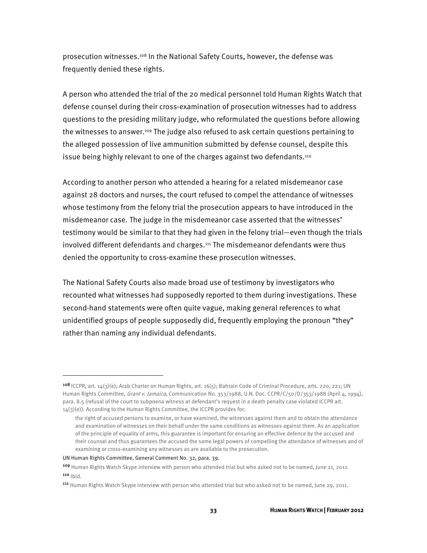prosecution witnesses.108 In the National Safety Courts, however, the defense was frequently denied these rights.

A person who attended the trial of the 20 medical personnel told Human Rights Watch that defense counsel during their cross-examination of prosecution witnesses had to address questions to the presiding military judge, who reformulated the questions before allowing the witnesses to answer.109 The judge also refused to ask certain questions pertaining to the alleged possession of live ammunition submitted by defense counsel, despite this issue being highly relevant to one of the charges against two defendants.<sup>110</sup>

According to another person who attended a hearing for a related misdemeanor case against 28 doctors and nurses, the court refused to compel the attendance of witnesses whose testimony from the felony trial the prosecution appears to have introduced in the misdemeanor case. The judge in the misdemeanor case asserted that the witnesses' testimony would be similar to that they had given in the felony trial—even though the trials involved different defendants and charges.111 The misdemeanor defendants were thus denied the opportunity to cross-examine these prosecution witnesses.

The National Safety Courts also made broad use of testimony by investigators who recounted what witnesses had supposedly reported to them during investigations. These second-hand statements were often quite vague, making general references to what unidentified groups of people supposedly did, frequently employing the pronoun "they" rather than naming any individual defendants.

UN Human Rights Committee, General Comment No. 32, para. 39.

<sup>108</sup> ICCPR, art. 14(3)(e); Arab Charter on Human Rights, art. 16(5); Bahrain Code of Criminal Procedure, arts. 220, 221; UN Human Rights Committee, Grant v. Jamaica, Communication No. 353/1988, U.N. Doc. CCPR/C/50/D/353/1988 (April 4, 1994), para. 8.5 (refusal of the court to subpoena witness at defendant's request in a death penalty case violated ICCPR art.  $14(3)(e)$ ). According to the Human Rights Committee, the ICCPR provides for:

the right of accused persons to examine, or have examined, the witnesses against them and to obtain the attendance and examination of witnesses on their behalf under the same conditions as witnesses against them. As an application of the principle of equality of arms, this guarantee is important for ensuring an effective defence by the accused and their counsel and thus guarantees the accused the same legal powers of compelling the attendance of witnesses and of examining or cross-examining any witnesses as are available to the prosecution.

<sup>109</sup> Human Rights Watch Skype interview with person who attended trial but who asked not to be named, June 21, 2011.  $110$   $|bid.$ 

<sup>111</sup> Human Rights Watch Skype interview with person who attended trial but who asked not to be named, June 29, 2011.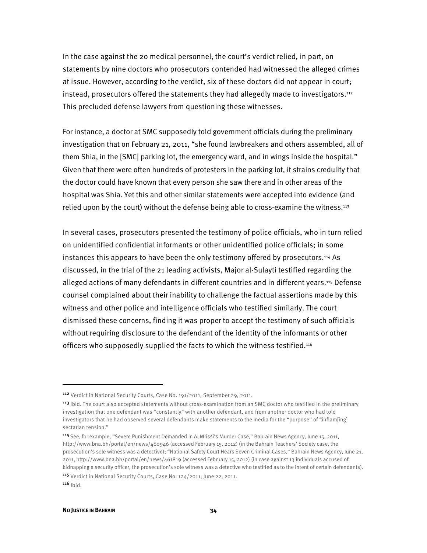In the case against the 20 medical personnel, the court's verdict relied, in part, on statements by nine doctors who prosecutors contended had witnessed the alleged crimes at issue. However, according to the verdict, six of these doctors did not appear in court; instead, prosecutors offered the statements they had allegedly made to investigators.112 This precluded defense lawyers from questioning these witnesses.

For instance, a doctor at SMC supposedly told government officials during the preliminary investigation that on February 21, 2011, "she found lawbreakers and others assembled, all of them Shia, in the [SMC] parking lot, the emergency ward, and in wings inside the hospital." Given that there were often hundreds of protesters in the parking lot, it strains credulity that the doctor could have known that every person she saw there and in other areas of the hospital was Shia. Yet this and other similar statements were accepted into evidence (and relied upon by the court) without the defense being able to cross-examine the witness.<sup>113</sup>

In several cases, prosecutors presented the testimony of police officials, who in turn relied on unidentified confidential informants or other unidentified police officials; in some instances this appears to have been the only testimony offered by prosecutors.<sup>114</sup> As discussed, in the trial of the 21 leading activists, Major al-Sulayti testified regarding the alleged actions of many defendants in different countries and in different years.<sup>115</sup> Defense counsel complained about their inability to challenge the factual assertions made by this witness and other police and intelligence officials who testified similarly. The court dismissed these concerns, finding it was proper to accept the testimony of such officials without requiring disclosure to the defendant of the identity of the informants or other officers who supposedly supplied the facts to which the witness testified.<sup>116</sup>

<sup>112</sup> Verdict in National Security Courts, Case No. 191/2011, September 29, 2011.

<sup>&</sup>lt;sup>113</sup> Ibid. The court also accepted statements without cross-examination from an SMC doctor who testified in the preliminary investigation that one defendant was "constantly" with another defendant, and from another doctor who had told investigators that he had observed several defendants make statements to the media for the "purpose" of "inflam[ing] sectarian tension."

<sup>114</sup>See, for example, "Severe Punishment Demanded in Al Mrissi's Murder Case," Bahrain News Agency, June 15, 2011, http://www.bna.bh/portal/en/news/460946 (accessed February 15, 2012) (in the Bahrain Teachers' Society case, the prosecution's sole witness was a detective); "National Safety Court Hears Seven Criminal Cases," Bahrain News Agency, June 21, 2011, http://www.bna.bh/portal/en/news/461819 (accessed February 15, 2012) (in case against 13 individuals accused of kidnapping a security officer, the prosecution's sole witness was a detective who testified as to the intent of certain defendants). <sup>115</sup> Verdict in National Security Courts, Case No. 124/2011, June 22, 2011.  $116$  Ibid.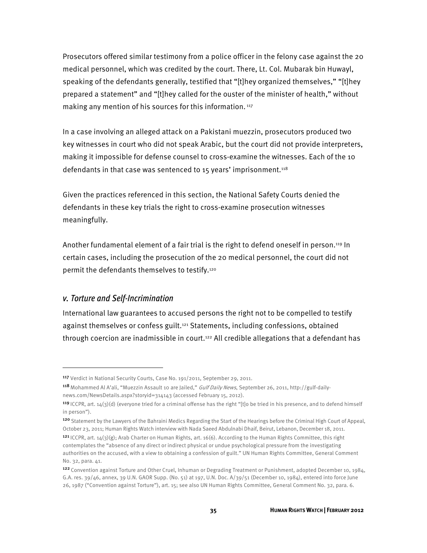Prosecutors offered similar testimony from a police officer in the felony case against the 20 medical personnel, which was credited by the court. There, Lt. Col. Mubarak bin Huwayl, speaking of the defendants generally, testified that "[t]hey organized themselves," "[t]hey prepared a statement" and "[t]hey called for the ouster of the minister of health," without making any mention of his sources for this information.<sup>117</sup>

In a case involving an alleged attack on a Pakistani muezzin, prosecutors produced two key witnesses in court who did not speak Arabic, but the court did not provide interpreters, making it impossible for defense counsel to cross-examine the witnesses. Each of the 10 defendants in that case was sentenced to 15 years' imprisonment.<sup>118</sup>

Given the practices referenced in this section, the National Safety Courts denied the defendants in these key trials the right to cross-examine prosecution witnesses meaningfully.

Another fundamental element of a fair trial is the right to defend oneself in person.119 In certain cases, including the prosecution of the 20 medical personnel, the court did not permit the defendants themselves to testify.120

### *v. Torture and Self-Incrimination*

-

International law guarantees to accused persons the right not to be compelled to testify against themselves or confess guilt.121 Statements, including confessions, obtained through coercion are inadmissible in court.<sup>122</sup> All credible allegations that a defendant has

<sup>117</sup> Verdict in National Security Courts, Case No. 191/2011, September 29, 2011.

<sup>118</sup> Mohammed Al A'ali, "Muezzin Assault 10 are Jailed," Gulf Daily News, September 26, 2011, http://gulf-dailynews.com/NewsDetails.aspx?storyid=314143 (accessed February 15, 2012).

<sup>119</sup> ICCPR, art. 14(3)(d) (everyone tried for a criminal offense has the right "[t]o be tried in his presence, and to defend himself in person").

<sup>120</sup> Statement by the Lawyers of the Bahraini Medics Regarding the Start of the Hearings before the Criminal High Court of Appeal, October 23, 2011; Human Rights Watch interview with Nada Saeed Abdulnabi Dhaif, Beirut, Lebanon, December 18, 2011.

<sup>121</sup> ICCPR, art. 14(3)(g); Arab Charter on Human Rights, art. 16(6). According to the Human Rights Committee, this right contemplates the "absence of any direct or indirect physical or undue psychological pressure from the investigating authorities on the accused, with a view to obtaining a confession of guilt." UN Human Rights Committee, General Comment No. 32, para. 41.

<sup>122</sup> Convention against Torture and Other Cruel, Inhuman or Degrading Treatment or Punishment, adopted December 10, 1984, G.A. res. 39/46, annex, 39 U.N. GAOR Supp. (No. 51) at 197, U.N. Doc. A/39/51 (December 10, 1984), entered into force June 26, 1987 ("Convention against Torture"), art. 15; see also UN Human Rights Committee, General Comment No. 32, para. 6.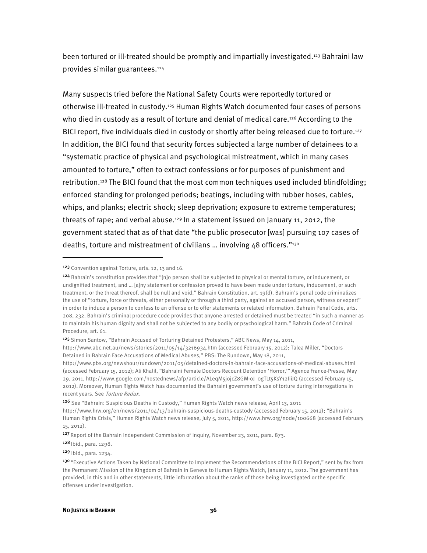been tortured or ill-treated should be promptly and impartially investigated.123 Bahraini law provides similar guarantees.124

Many suspects tried before the National Safety Courts were reportedly tortured or otherwise ill-treated in custody.125 Human Rights Watch documented four cases of persons who died in custody as a result of torture and denial of medical care.<sup>126</sup> According to the BICI report, five individuals died in custody or shortly after being released due to torture.127 In addition, the BICI found that security forces subjected a large number of detainees to a "systematic practice of physical and psychological mistreatment, which in many cases amounted to torture," often to extract confessions or for purposes of punishment and retribution.128 The BICI found that the most common techniques used included blindfolding; enforced standing for prolonged periods; beatings, including with rubber hoses, cables, whips, and planks; electric shock; sleep deprivation; exposure to extreme temperatures; threats of rape; and verbal abuse.129 In a statement issued on January 11, 2012, the government stated that as of that date "the public prosecutor [was] pursuing 107 cases of deaths, torture and mistreatment of civilians … involving 48 officers."130

<sup>123</sup> Convention against Torture, arts. 12, 13 and 16.

<sup>124</sup> Bahrain's constitution provides that "[n]o person shall be subjected to physical or mental torture, or inducement, or undignified treatment, and … [a]ny statement or confession proved to have been made under torture, inducement, or such treatment, or the threat thereof, shall be null and void." Bahrain Constitution, art. 19(d). Bahrain's penal code criminalizes the use of "torture, force or threats, either personally or through a third party, against an accused person, witness or expert" in order to induce a person to confess to an offense or to offer statements or related information. Bahrain Penal Code, arts. 208, 232. Bahrain's criminal procedure code provides that anyone arrested or detained must be treated "in such a manner as to maintain his human dignity and shall not be subjected to any bodily or psychological harm." Bahrain Code of Criminal Procedure, art. 61.

<sup>125</sup> Simon Santow, "Bahrain Accused of Torturing Detained Protesters," ABC News, May 14, 2011,

http://www.abc.net.au/news/stories/2011/05/14/3216934.htm (accessed February 15, 2012); Talea Miller, "Doctors Detained in Bahrain Face Accusations of Medical Abuses," PBS: The Rundown, May 18, 2011,

http://www.pbs.org/newshour/rundown/2011/05/detained-doctors-in-bahrain-face-accusations-of-medical-abuses.html (accessed February 15, 2012); Ali Khalil, "Bahraini Female Doctors Recount Detention 'Horror,'" Agence France-Presse, May 29, 2011, http://www.google.com/hostednews/afp/article/ALeqM5jojcZ8GM-0J\_0gTLt5KsY12IiiJQ (accessed February 15, 2012). Moreover, Human Rights Watch has documented the Bahraini government's use of torture during interrogations in recent years. See Torture Redux.

<sup>126</sup> See "Bahrain: Suspicious Deaths in Custody," Human Rights Watch news release, April 13, 2011

http://www.hrw.org/en/news/2011/04/13/bahrain-suspicious-deaths-custody (accessed February 15, 2012); "Bahrain's Human Rights Crisis," Human Rights Watch news release, July 5, 2011, http://www.hrw.org/node/100668 (accessed February 15, 2012).

<sup>127</sup> Report of the Bahrain Independent Commission of Inquiry, November 23, 2011, para. 873.

<sup>128</sup> Ibid., para. 1298.

<sup>129</sup> Ibid., para. 1234.

<sup>&</sup>lt;sup>130</sup> "Executive Actions Taken by National Committee to Implement the Recommendations of the BICI Report," sent by fax from the Permanent Mission of the Kingdom of Bahrain in Geneva to Human Rights Watch, January 11, 2012. The government has provided, in this and in other statements, little information about the ranks of those being investigated or the specific offenses under investigation.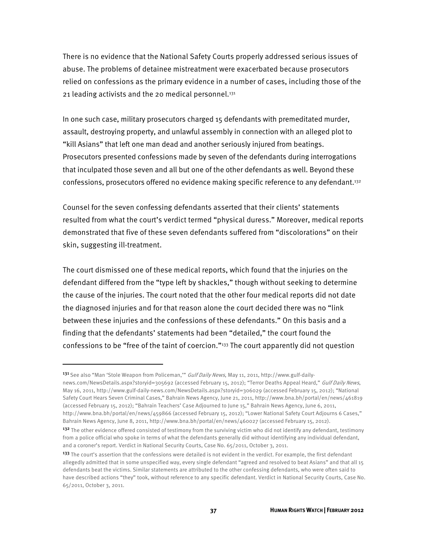There is no evidence that the National Safety Courts properly addressed serious issues of abuse. The problems of detainee mistreatment were exacerbated because prosecutors relied on confessions as the primary evidence in a number of cases, including those of the 21 leading activists and the 20 medical personnel. $131$ 

In one such case, military prosecutors charged 15 defendants with premeditated murder, assault, destroying property, and unlawful assembly in connection with an alleged plot to "kill Asians" that left one man dead and another seriously injured from beatings. Prosecutors presented confessions made by seven of the defendants during interrogations that inculpated those seven and all but one of the other defendants as well. Beyond these confessions, prosecutors offered no evidence making specific reference to any defendant.132

Counsel for the seven confessing defendants asserted that their clients' statements resulted from what the court's verdict termed "physical duress." Moreover, medical reports demonstrated that five of these seven defendants suffered from "discolorations" on their skin, suggesting ill-treatment.

The court dismissed one of these medical reports, which found that the injuries on the defendant differed from the "type left by shackles," though without seeking to determine the cause of the injuries. The court noted that the other four medical reports did not date the diagnosed injuries and for that reason alone the court decided there was no "link between these injuries and the confessions of these defendants." On this basis and a finding that the defendants' statements had been "detailed," the court found the confessions to be "free of the taint of coercion."133 The court apparently did not question

1

<sup>131</sup> See also "Man 'Stole Weapon from Policeman," Gulf Daily News, May 11, 2011, http://www.gulf-dailynews.com/NewsDetails.aspx?storyid=305692 (accessed February 15, 2012); "Terror Deaths Appeal Heard," Gulf Daily News, May 16, 2011, http://www.gulf-daily-news.com/NewsDetails.aspx?storyid=306029 (accessed February 15, 2012); "National Safety Court Hears Seven Criminal Cases," Bahrain News Agency, June 21, 2011, http://www.bna.bh/portal/en/news/461819 (accessed February 15, 2012); "Bahrain Teachers' Case Adjourned to June 15," Bahrain News Agency, June 6, 2011, http://www.bna.bh/portal/en/news/459866 (accessed February 15, 2012); "Lower National Safety Court Adjourns 6 Cases," Bahrain News Agency, June 8, 2011, http://www.bna.bh/portal/en/news/460027 (accessed February 15, 2012).

<sup>&</sup>lt;sup>132</sup> The other evidence offered consisted of testimony from the surviving victim who did not identify any defendant, testimony from a police official who spoke in terms of what the defendants generally did without identifying any individual defendant, and a coroner's report. Verdict in National Security Courts, Case No. 65/2011, October 3, 2011.

<sup>&</sup>lt;sup>133</sup> The court's assertion that the confessions were detailed is not evident in the verdict. For example, the first defendant allegedly admitted that in some unspecified way, every single defendant "agreed and resolved to beat Asians" and that all 15 defendants beat the victims. Similar statements are attributed to the other confessing defendants, who were often said to have described actions "they" took, without reference to any specific defendant. Verdict in National Security Courts, Case No. 65/2011, October 3, 2011.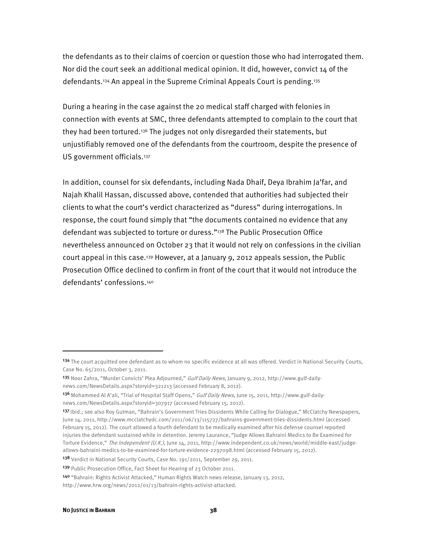the defendants as to their claims of coercion or question those who had interrogated them. Nor did the court seek an additional medical opinion. It did, however, convict 14 of the defendants.<sup>134</sup> An appeal in the Supreme Criminal Appeals Court is pending.<sup>135</sup>

During a hearing in the case against the 20 medical staff charged with felonies in connection with events at SMC, three defendants attempted to complain to the court that they had been tortured.136 The judges not only disregarded their statements, but unjustifiably removed one of the defendants from the courtroom, despite the presence of US government officials.<sup>137</sup>

In addition, counsel for six defendants, including Nada Dhaif, Deya Ibrahim Ja'far, and Najah Khalil Hassan, discussed above, contended that authorities had subjected their clients to what the court's verdict characterized as "duress" during interrogations. In response, the court found simply that "the documents contained no evidence that any defendant was subjected to torture or duress."138 The Public Prosecution Office nevertheless announced on October 23 that it would not rely on confessions in the civilian court appeal in this case.139 However, at a January 9, 2012 appeals session, the Public Prosecution Office declined to confirm in front of the court that it would not introduce the defendants' confessions.140

138 Verdict in National Security Courts, Case No. 191/2011, September 29, 2011.

<sup>134</sup> The court acquitted one defendant as to whom no specific evidence at all was offered. Verdict in National Security Courts, Case No. 65/2011, October 3, 2011.

<sup>135</sup> Noor Zahra, "Murder Convicts' Plea Adjourned," *Gulf Daily News*, January 9, 2012, http://www.gulf-dailynews.com/NewsDetails.aspx?storyid=321213 (accessed February 8, 2012).

<sup>136</sup> Mohammed Al A'ali, "Trial of Hospital Staff Opens," Gulf Daily News, June 15, 2011, http://www.gulf-dailynews.com/NewsDetails.aspx?storyid=307917 (accessed February 15, 2012).

<sup>137</sup> Ibid.; see also Roy Gutman, "Bahrain's Government Tries Dissidents While Calling for Dialogue," McClatchy Newspapers, June 14, 2011, http://www.mcclatchydc.com/2011/06/13/115727/bahrains-government-tries-dissidents.html (accessed February 15, 2012). The court allowed a fourth defendant to be medically examined after his defense counsel reported injuries the defendant sustained while in detention. Jeremy Laurance, "Judge Allows Bahraini Medics to Be Examined for Torture Evidence," The Independent (U.K.), June 14, 2011, http://www.independent.co.uk/news/world/middle-east/judgeallows-bahraini-medics-to-be-examined-for-torture-evidence-2297098.html (accessed February 15, 2012).

<sup>139</sup> Public Prosecution Office, Fact Sheet for Hearing of 23 October 2011.

<sup>140</sup> "Bahrain: Rights Activist Attacked," Human Rights Watch news release, January 13, 2012, http://www.hrw.org/news/2012/01/13/bahrain-rights-activist-attacked.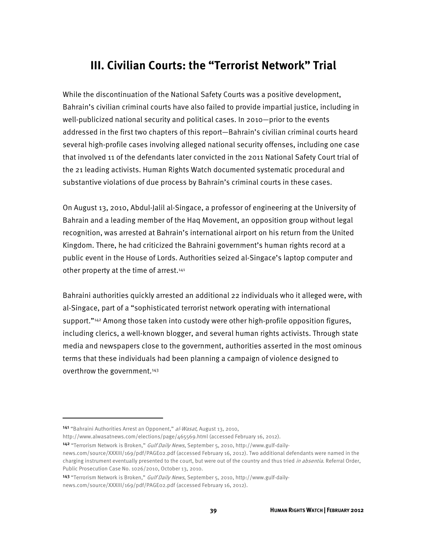# **III. Civilian Courts: the "Terrorist Network" Trial**

While the discontinuation of the National Safety Courts was a positive development, Bahrain's civilian criminal courts have also failed to provide impartial justice, including in well-publicized national security and political cases. In 2010—prior to the events addressed in the first two chapters of this report—Bahrain's civilian criminal courts heard several high-profile cases involving alleged national security offenses, including one case that involved 11 of the defendants later convicted in the 2011 National Safety Court trial of the 21 leading activists. Human Rights Watch documented systematic procedural and substantive violations of due process by Bahrain's criminal courts in these cases.

On August 13, 2010, Abdul-Jalil al-Singace, a professor of engineering at the University of Bahrain and a leading member of the Haq Movement, an opposition group without legal recognition, was arrested at Bahrain's international airport on his return from the United Kingdom. There, he had criticized the Bahraini government's human rights record at a public event in the House of Lords. Authorities seized al-Singace's laptop computer and other property at the time of arrest.<sup>141</sup>

Bahraini authorities quickly arrested an additional 22 individuals who it alleged were, with al-Singace, part of a "sophisticated terrorist network operating with international support."<sup>142</sup> Among those taken into custody were other high-profile opposition figures, including clerics, a well-known blogger, and several human rights activists. Through state media and newspapers close to the government, authorities asserted in the most ominous terms that these individuals had been planning a campaign of violence designed to overthrow the government.<sup>143</sup>

 $\overline{a}$ 

http://www.alwasatnews.com/elections/page/465569.html (accessed February 16, 2012).

142 "Terrorism Network is Broken," Gulf Daily News, September 5, 2010, http://www.gulf-daily-

<sup>141 &</sup>quot;Bahraini Authorities Arrest an Opponent," al-Wasat, August 13, 2010,

news.com/source/XXXIII/169/pdf/PAGE02.pdf (accessed February 16, 2012). Two additional defendants were named in the charging instrument eventually presented to the court, but were out of the country and thus tried *in absentia*. Referral Order, Public Prosecution Case No. 1026/2010, October 13, 2010.

<sup>143 &</sup>quot;Terrorism Network is Broken," *Gulf Daily News*, September 5, 2010, http://www.gulf-dailynews.com/source/XXXIII/169/pdf/PAGE02.pdf (accessed February 16, 2012).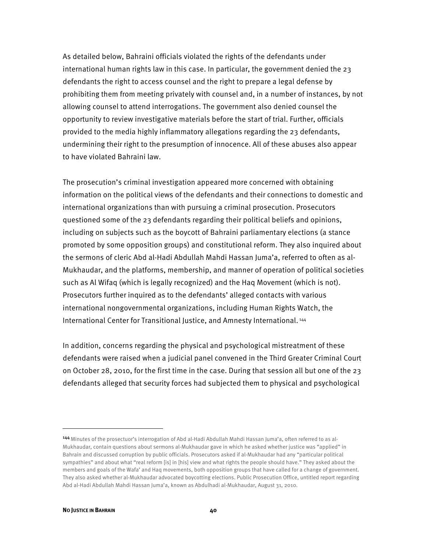As detailed below, Bahraini officials violated the rights of the defendants under international human rights law in this case. In particular, the government denied the 23 defendants the right to access counsel and the right to prepare a legal defense by prohibiting them from meeting privately with counsel and, in a number of instances, by not allowing counsel to attend interrogations. The government also denied counsel the opportunity to review investigative materials before the start of trial. Further, officials provided to the media highly inflammatory allegations regarding the 23 defendants, undermining their right to the presumption of innocence. All of these abuses also appear to have violated Bahraini law.

The prosecution's criminal investigation appeared more concerned with obtaining information on the political views of the defendants and their connections to domestic and international organizations than with pursuing a criminal prosecution. Prosecutors questioned some of the 23 defendants regarding their political beliefs and opinions, including on subjects such as the boycott of Bahraini parliamentary elections (a stance promoted by some opposition groups) and constitutional reform. They also inquired about the sermons of cleric Abd al-Hadi Abdullah Mahdi Hassan Juma'a, referred to often as al-Mukhaudar, and the platforms, membership, and manner of operation of political societies such as Al Wifaq (which is legally recognized) and the Haq Movement (which is not). Prosecutors further inquired as to the defendants' alleged contacts with various international nongovernmental organizations, including Human Rights Watch, the International Center for Transitional Justice, and Amnesty International. 144

In addition, concerns regarding the physical and psychological mistreatment of these defendants were raised when a judicial panel convened in the Third Greater Criminal Court on October 28, 2010, for the first time in the case. During that session all but one of the 23 defendants alleged that security forces had subjected them to physical and psychological

<sup>144</sup>Minutes of the prosectuor's interrogation of Abd al-Hadi Abdullah Mahdi Hassan Juma'a, often referred to as al-Mukhaudar, contain questions about sermons al-Mukhaudar gave in which he asked whether justice was "applied" in Bahrain and discussed corruption by public officials. Prosecutors asked if al-Mukhaudar had any "particular political sympathies" and about what "real reform [is] in [his] view and what rights the people should have." They asked about the members and goals of the Wafa' and Haq movements, both opposition groups that have called for a change of government. They also asked whether al-Mukhaudar advocated boycotting elections. Public Prosecution Office, untitled report regarding Abd al-Hadi Abdullah Mahdi Hassan Juma'a, known as Abdulhadi al-Mukhaudar, August 31, 2010.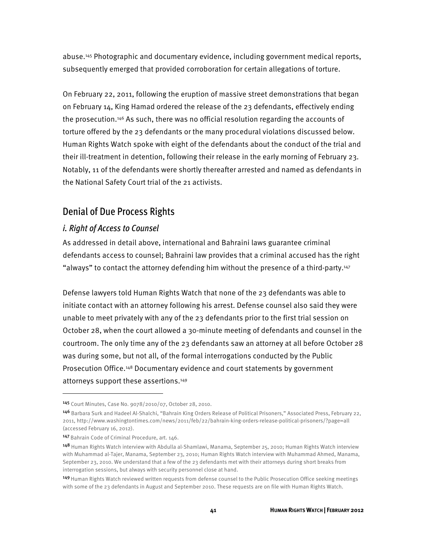abuse.145 Photographic and documentary evidence, including government medical reports, subsequently emerged that provided corroboration for certain allegations of torture.

On February 22, 2011, following the eruption of massive street demonstrations that began on February 14, King Hamad ordered the release of the 23 defendants, effectively ending the prosecution.146 As such, there was no official resolution regarding the accounts of torture offered by the 23 defendants or the many procedural violations discussed below. Human Rights Watch spoke with eight of the defendants about the conduct of the trial and their ill-treatment in detention, following their release in the early morning of February 23. Notably, 11 of the defendants were shortly thereafter arrested and named as defendants in the National Safety Court trial of the 21 activists.

# Denial of Due Process Rights

## *i. Right of Access to Counsel*

As addressed in detail above, international and Bahraini laws guarantee criminal defendants access to counsel; Bahraini law provides that a criminal accused has the right "always" to contact the attorney defending him without the presence of a third-party.147

Defense lawyers told Human Rights Watch that none of the 23 defendants was able to initiate contact with an attorney following his arrest. Defense counsel also said they were unable to meet privately with any of the 23 defendants prior to the first trial session on October 28, when the court allowed a 30-minute meeting of defendants and counsel in the courtroom. The only time any of the 23 defendants saw an attorney at all before October 28 was during some, but not all, of the formal interrogations conducted by the Public Prosecution Office.<sup>148</sup> Documentary evidence and court statements by government attorneys support these assertions.149

<sup>145</sup> Court Minutes, Case No. 9078/2010/07, October 28, 2010.

<sup>146</sup> Barbara Surk and Hadeel Al-Shalchi, "Bahrain King Orders Release of Political Prisoners," Associated Press, February 22, 2011, http://www.washingtontimes.com/news/2011/feb/22/bahrain-king-orders-release-political-prisoners/?page=all (accessed February 16, 2012).

<sup>147</sup> Bahrain Code of Criminal Procedure, art. 146.

<sup>148</sup> Human Rights Watch interview with Abdulla al-Shamlawi, Manama, September 25, 2010; Human Rights Watch interview with Muhammad al-Tajer, Manama, September 23, 2010; Human Rights Watch interview with Muhammad Ahmed, Manama, September 23, 2010. We understand that a few of the 23 defendants met with their attorneys during short breaks from interrogation sessions, but always with security personnel close at hand.

<sup>149</sup> Human Rights Watch reviewed written requests from defense counsel to the Public Prosecution Office seeking meetings with some of the 23 defendants in August and September 2010. These requests are on file with Human Rights Watch.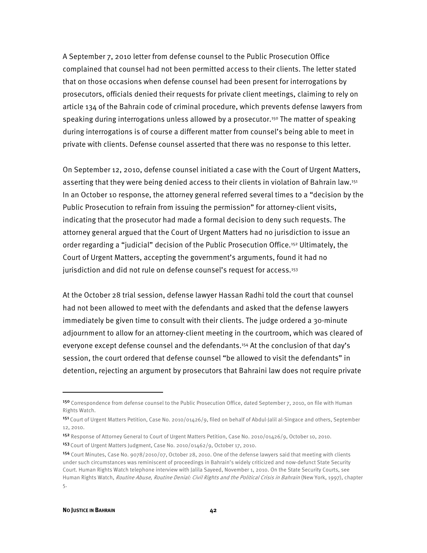A September 7, 2010 letter from defense counsel to the Public Prosecution Office complained that counsel had not been permitted access to their clients. The letter stated that on those occasions when defense counsel had been present for interrogations by prosecutors, officials denied their requests for private client meetings, claiming to rely on article 134 of the Bahrain code of criminal procedure, which prevents defense lawyers from speaking during interrogations unless allowed by a prosecutor.<sup>150</sup> The matter of speaking during interrogations is of course a different matter from counsel's being able to meet in private with clients. Defense counsel asserted that there was no response to this letter.

On September 12, 2010, defense counsel initiated a case with the Court of Urgent Matters, asserting that they were being denied access to their clients in violation of Bahrain law.151 In an October 10 response, the attorney general referred several times to a "decision by the Public Prosecution to refrain from issuing the permission" for attorney-client visits, indicating that the prosecutor had made a formal decision to deny such requests. The attorney general argued that the Court of Urgent Matters had no jurisdiction to issue an order regarding a "judicial" decision of the Public Prosecution Office.152 Ultimately, the Court of Urgent Matters, accepting the government's arguments, found it had no jurisdiction and did not rule on defense counsel's request for access.<sup>153</sup>

At the October 28 trial session, defense lawyer Hassan Radhi told the court that counsel had not been allowed to meet with the defendants and asked that the defense lawyers immediately be given time to consult with their clients. The judge ordered a 30-minute adjournment to allow for an attorney-client meeting in the courtroom, which was cleared of everyone except defense counsel and the defendants.<sup>154</sup> At the conclusion of that day's session, the court ordered that defense counsel "be allowed to visit the defendants" in detention, rejecting an argument by prosecutors that Bahraini law does not require private

j

<sup>150</sup> Correspondence from defense counsel to the Public Prosecution Office, dated September 7, 2010, on file with Human Rights Watch.

<sup>151</sup> Court of Urgent Matters Petition, Case No. 2010/01426/9, filed on behalf of Abdul-Jalil al-Singace and others, September 12, 2010.

<sup>152</sup> Response of Attorney General to Court of Urgent Matters Petition, Case No. 2010/01426/9, October 10, 2010. 153 Court of Urgent Matters Judgment, Case No. 2010/01462/9, October 17, 2010.

<sup>154</sup> Court Minutes, Case No. 9078/2010/07, October 28, 2010. One of the defense lawyers said that meeting with clients under such circumstances was reminiscent of proceedings in Bahrain's widely criticized and now-defunct State Security Court. Human Rights Watch telephone interview with Jalila Sayeed, November 1, 2010. On the State Security Courts, see Human Rights Watch, *Routine Abuse, Routine Denial: Civil Rights and the Political Crisis in Bahrain* (New York, 1997), chapter 5.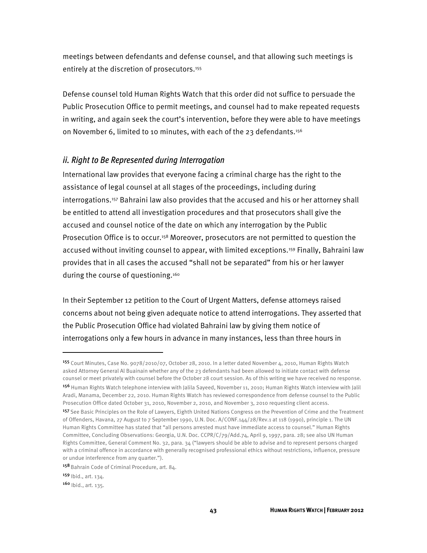meetings between defendants and defense counsel, and that allowing such meetings is entirely at the discretion of prosecutors.<sup>155</sup>

Defense counsel told Human Rights Watch that this order did not suffice to persuade the Public Prosecution Office to permit meetings, and counsel had to make repeated requests in writing, and again seek the court's intervention, before they were able to have meetings on November 6, limited to 10 minutes, with each of the 23 defendants.<sup>156</sup>

### *ii. Right to Be Represented during Interrogation*

International law provides that everyone facing a criminal charge has the right to the assistance of legal counsel at all stages of the proceedings, including during interrogations.157 Bahraini law also provides that the accused and his or her attorney shall be entitled to attend all investigation procedures and that prosecutors shall give the accused and counsel notice of the date on which any interrogation by the Public Prosecution Office is to occur.<sup>158</sup> Moreover, prosecutors are not permitted to question the accused without inviting counsel to appear, with limited exceptions.159 Finally, Bahraini law provides that in all cases the accused "shall not be separated" from his or her lawyer during the course of questioning.<sup>160</sup>

In their September 12 petition to the Court of Urgent Matters, defense attorneys raised concerns about not being given adequate notice to attend interrogations. They asserted that the Public Prosecution Office had violated Bahraini law by giving them notice of interrogations only a few hours in advance in many instances, less than three hours in

<sup>155</sup> Court Minutes, Case No. 9078/2010/07, October 28, 2010. In a letter dated November 4, 2010, Human Rights Watch asked Attorney General Al Buainain whether any of the 23 defendants had been allowed to initiate contact with defense counsel or meet privately with counsel before the October 28 court session. As of this writing we have received no response.

<sup>156</sup> Human Rights Watch telephone interview with Jalila Sayeed, November 11, 2010; Human Rights Watch interview with Jalil Aradi, Manama, December 22, 2010. Human Rights Watch has reviewed correspondence from defense counsel to the Public Prosecution Office dated October 31, 2010, November 2, 2010, and November 3, 2010 requesting client access.

<sup>157</sup> See Basic Principles on the Role of Lawyers, Eighth United Nations Congress on the Prevention of Crime and the Treatment of Offenders, Havana, 27 August to 7 September 1990, U.N. Doc. A/CONF.144/28/Rev.1 at 118 (1990), principle 1. The UN Human Rights Committee has stated that "all persons arrested must have immediate access to counsel." Human Rights Committee, Concluding Observations: Georgia, U.N. Doc. CCPR/C/79/Add.74, April 9, 1997, para. 28; see also UN Human Rights Committee, General Comment No. 32, para. 34 ("lawyers should be able to advise and to represent persons charged with a criminal offence in accordance with generally recognised professional ethics without restrictions, influence, pressure or undue interference from any quarter.").

<sup>158</sup> Bahrain Code of Criminal Procedure, art. 84.

<sup>159</sup> Ibid., art. 134.

<sup>160 |</sup> bid., art. 135.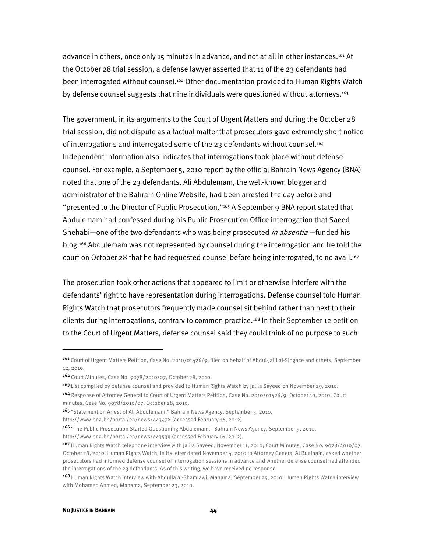advance in others, once only 15 minutes in advance, and not at all in other instances.161 At the October 28 trial session, a defense lawyer asserted that 11 of the 23 defendants had been interrogated without counsel.162 Other documentation provided to Human Rights Watch by defense counsel suggests that nine individuals were questioned without attorneys.<sup>163</sup>

The government, in its arguments to the Court of Urgent Matters and during the October 28 trial session, did not dispute as a factual matter that prosecutors gave extremely short notice of interrogations and interrogated some of the 23 defendants without counsel.<sup>164</sup> Independent information also indicates that interrogations took place without defense counsel. For example, a September 5, 2010 report by the official Bahrain News Agency (BNA) noted that one of the 23 defendants, Ali Abdulemam, the well-known blogger and administrator of the Bahrain Online Website, had been arrested the day before and "presented to the Director of Public Prosecution."165 A September 9 BNA report stated that Abdulemam had confessed during his Public Prosecution Office interrogation that Saeed Shehabi—one of the two defendants who was being prosecuted *in absentia* —funded his blog.166 Abdulemam was not represented by counsel during the interrogation and he told the court on October 28 that he had requested counsel before being interrogated, to no avail.<sup>167</sup>

The prosecution took other actions that appeared to limit or otherwise interfere with the defendants' right to have representation during interrogations. Defense counsel told Human Rights Watch that prosecutors frequently made counsel sit behind rather than next to their clients during interrogations, contrary to common practice.168 In their September 12 petition to the Court of Urgent Matters, defense counsel said they could think of no purpose to such

<sup>161</sup> Court of Urgent Matters Petition, Case No. 2010/01426/9, filed on behalf of Abdul-Jalil al-Singace and others, September 12, 2010.

<sup>162</sup> Court Minutes, Case No. 9078/2010/07, October 28, 2010.

<sup>&</sup>lt;sup>163</sup> List compiled by defense counsel and provided to Human Rights Watch by Jalila Sayeed on November 29, 2010.

<sup>164</sup> Response of Attorney General to Court of Urgent Matters Petition, Case No. 2010/01426/9, October 10, 2010; Court minutes, Case No. 9078/2010/07, October 28, 2010.

<sup>165 &</sup>quot;Statement on Arrest of Ali Abdulemam," Bahrain News Agency, September 5, 2010,

http://www.bna.bh/portal/en/news/443478 (accessed February 16, 2012).

<sup>166</sup>"The Public Prosecution Started Questioning Abdulemam," Bahrain News Agency, September 9, 2010,

http://www.bna.bh/portal/en/news/443539 (accessed February 16, 2012).

<sup>167</sup> Human Rights Watch telephone interview with Jalila Sayeed, November 11, 2010; Court Minutes, Case No. 9078/2010/07, October 28, 2010. Human Rights Watch, in its letter dated November 4, 2010 to Attorney General Al Buainain, asked whether prosecutors had informed defense counsel of interrogation sessions in advance and whether defense counsel had attended the interrogations of the 23 defendants. As of this writing, we have received no response.

<sup>168</sup>Human Rights Watch interview with Abdulla al-Shamlawi, Manama, September 25, 2010; Human Rights Watch interview with Mohamed Ahmed, Manama, September 23, 2010.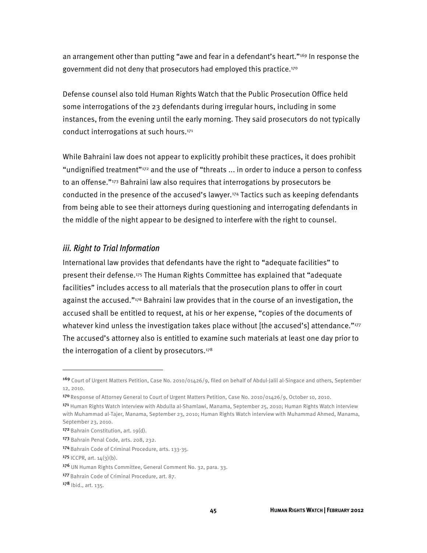an arrangement other than putting "awe and fear in a defendant's heart."169 In response the government did not deny that prosecutors had employed this practice.<sup>170</sup>

Defense counsel also told Human Rights Watch that the Public Prosecution Office held some interrogations of the 23 defendants during irregular hours, including in some instances, from the evening until the early morning. They said prosecutors do not typically conduct interrogations at such hours.171

While Bahraini law does not appear to explicitly prohibit these practices, it does prohibit "undignified treatment"172 and the use of "threats ... in order to induce a person to confess to an offense."173 Bahraini law also requires that interrogations by prosecutors be conducted in the presence of the accused's lawyer.174 Tactics such as keeping defendants from being able to see their attorneys during questioning and interrogating defendants in the middle of the night appear to be designed to interfere with the right to counsel.

### *iii. Right to Trial Information*

International law provides that defendants have the right to "adequate facilities" to present their defense.175 The Human Rights Committee has explained that "adequate facilities" includes access to all materials that the prosecution plans to offer in court against the accused."176 Bahraini law provides that in the course of an investigation, the accused shall be entitled to request, at his or her expense, "copies of the documents of whatever kind unless the investigation takes place without [the accused's] attendance."<sup>177</sup> The accused's attorney also is entitled to examine such materials at least one day prior to the interrogation of a client by prosecutors. $178$ 

<sup>169</sup> Court of Urgent Matters Petition, Case No. 2010/01426/9, filed on behalf of Abdul-Jalil al-Singace and others, September 12, 2010.

<sup>170</sup>Response of Attorney General to Court of Urgent Matters Petition, Case No. 2010/01426/9, October 10, 2010.

<sup>171</sup> Human Rights Watch interview with Abdulla al-Shamlawi, Manama, September 25, 2010; Human Rights Watch interview with Muhammad al-Tajer, Manama, September 23, 2010; Human Rights Watch interview with Muhammad Ahmed, Manama, September 23, 2010.

<sup>172</sup> Bahrain Constitution, art. 19(d).

<sup>173</sup> Bahrain Penal Code, arts. 208, 232.

<sup>174</sup> Bahrain Code of Criminal Procedure, arts. 133-35.

<sup>175</sup> ICCPR, art.  $14(3)(b)$ .

<sup>176</sup> UN Human Rights Committee, General Comment No. 32, para. 33.

<sup>177</sup> Bahrain Code of Criminal Procedure, art. 87.

<sup>178 |</sup> bid., art. 135.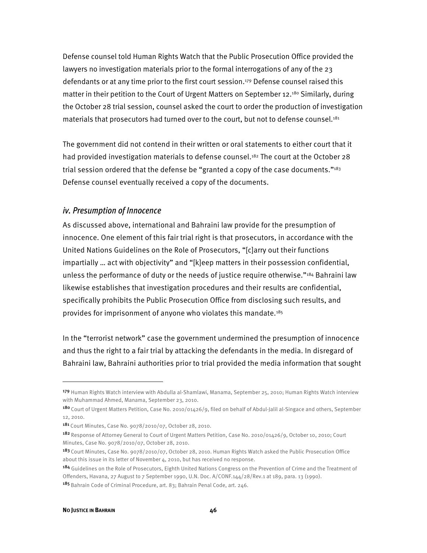Defense counsel told Human Rights Watch that the Public Prosecution Office provided the lawyers no investigation materials prior to the formal interrogations of any of the 23 defendants or at any time prior to the first court session.179 Defense counsel raised this matter in their petition to the Court of Urgent Matters on September 12.180 Similarly, during the October 28 trial session, counsel asked the court to order the production of investigation materials that prosecutors had turned over to the court, but not to defense counsel.181

The government did not contend in their written or oral statements to either court that it had provided investigation materials to defense counsel.<sup>182</sup> The court at the October 28 trial session ordered that the defense be "granted a copy of the case documents."<sup>183</sup> Defense counsel eventually received a copy of the documents.

### *iv. Presumption of Innocence*

As discussed above, international and Bahraini law provide for the presumption of innocence. One element of this fair trial right is that prosecutors, in accordance with the United Nations Guidelines on the Role of Prosecutors, "[c]arry out their functions impartially … act with objectivity" and "[k]eep matters in their possession confidential, unless the performance of duty or the needs of justice require otherwise."<sup>184</sup> Bahraini law likewise establishes that investigation procedures and their results are confidential, specifically prohibits the Public Prosecution Office from disclosing such results, and provides for imprisonment of anyone who violates this mandate.185

In the "terrorist network" case the government undermined the presumption of innocence and thus the right to a fair trial by attacking the defendants in the media. In disregard of Bahraini law, Bahraini authorities prior to trial provided the media information that sought

<sup>179</sup> Human Rights Watch interview with Abdulla al-Shamlawi, Manama, September 25, 2010; Human Rights Watch interview with Muhammad Ahmed, Manama, September 23, 2010.

<sup>180</sup> Court of Urgent Matters Petition, Case No. 2010/01426/9, filed on behalf of Abdul-Jalil al-Singace and others, September 12, 2010.

<sup>181</sup> Court Minutes, Case No. 9078/2010/07, October 28, 2010.

<sup>182</sup> Response of Attorney General to Court of Urgent Matters Petition, Case No. 2010/01426/9, October 10, 2010; Court Minutes, Case No. 9078/2010/07, October 28, 2010.

<sup>183</sup> Court Minutes, Case No. 9078/2010/07, October 28, 2010. Human Rights Watch asked the Public Prosecution Office about this issue in its letter of November 4, 2010, but has received no response.

<sup>184</sup> Guidelines on the Role of Prosecutors, Eighth United Nations Congress on the Prevention of Crime and the Treatment of Offenders, Havana, 27 August to 7 September 1990, U.N. Doc. A/CONF.144/28/Rev.1 at 189, para. 13 (1990). 185 Bahrain Code of Criminal Procedure, art. 83; Bahrain Penal Code, art. 246.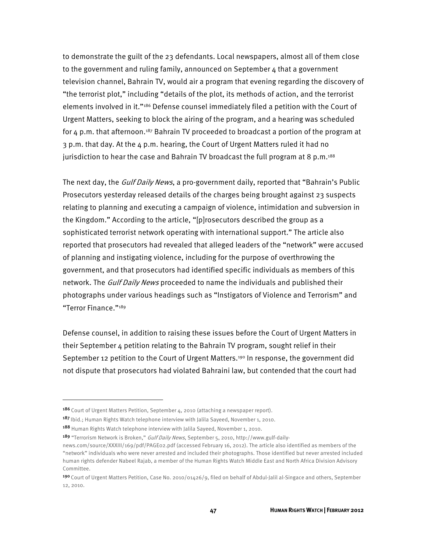to demonstrate the guilt of the 23 defendants. Local newspapers, almost all of them close to the government and ruling family, announced on September 4 that a government television channel, Bahrain TV, would air a program that evening regarding the discovery of "the terrorist plot," including "details of the plot, its methods of action, and the terrorist elements involved in it."186 Defense counsel immediately filed a petition with the Court of Urgent Matters, seeking to block the airing of the program, and a hearing was scheduled for  $4$  p.m. that afternoon.<sup>187</sup> Bahrain TV proceeded to broadcast a portion of the program at 3 p.m. that day. At the 4 p.m. hearing, the Court of Urgent Matters ruled it had no jurisdiction to hear the case and Bahrain TV broadcast the full program at 8 p.m.<sup>188</sup>

The next day, the *Gulf Daily News*, a pro-government daily, reported that "Bahrain's Public Prosecutors yesterday released details of the charges being brought against 23 suspects relating to planning and executing a campaign of violence, intimidation and subversion in the Kingdom." According to the article, "[p]rosecutors described the group as a sophisticated terrorist network operating with international support." The article also reported that prosecutors had revealed that alleged leaders of the "network" were accused of planning and instigating violence, including for the purpose of overthrowing the government, and that prosecutors had identified specific individuals as members of this network. The *Gulf Daily News* proceeded to name the individuals and published their photographs under various headings such as "Instigators of Violence and Terrorism" and "Terror Finance."189

Defense counsel, in addition to raising these issues before the Court of Urgent Matters in their September 4 petition relating to the Bahrain TV program, sought relief in their September 12 petition to the Court of Urgent Matters.<sup>190</sup> In response, the government did not dispute that prosecutors had violated Bahraini law, but contended that the court had

1

<sup>186</sup> Court of Urgent Matters Petition, September 4, 2010 (attaching a newspaper report).

<sup>187</sup> Ibid.; Human Rights Watch telephone interview with Jalila Sayeed, November 1, 2010.

<sup>188</sup> Human Rights Watch telephone interview with Jalila Sayeed, November 1, 2010.

<sup>189 &</sup>quot;Terrorism Network is Broken," Gulf Daily News, September 5, 2010, http://www.gulf-dailynews.com/source/XXXIII/169/pdf/PAGE02.pdf (accessed February 16, 2012). The article also identified as members of the "network" individuals who were never arrested and included their photographs. Those identified but never arrested included human rights defender Nabeel Rajab, a member of the Human Rights Watch Middle East and North Africa Division Advisory Committee.

<sup>19</sup>º Court of Urgent Matters Petition, Case No. 2010/01426/9, filed on behalf of Abdul-Jalil al-Singace and others, September 12, 2010.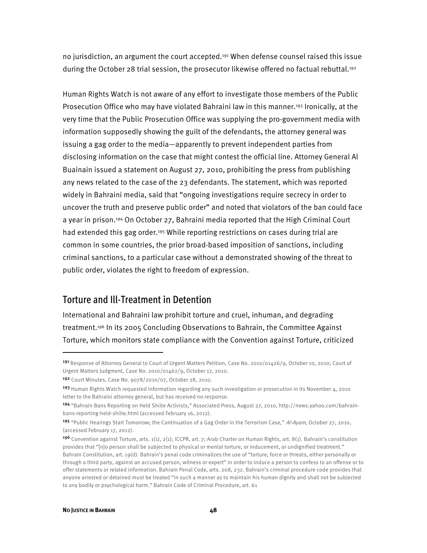no jurisdiction, an argument the court accepted.<sup>191</sup> When defense counsel raised this issue during the October 28 trial session, the prosecutor likewise offered no factual rebuttal.<sup>192</sup>

Human Rights Watch is not aware of any effort to investigate those members of the Public Prosecution Office who may have violated Bahraini law in this manner.193 Ironically, at the very time that the Public Prosecution Office was supplying the pro-government media with information supposedly showing the guilt of the defendants, the attorney general was issuing a gag order to the media—apparently to prevent independent parties from disclosing information on the case that might contest the official line. Attorney General Al Buainain issued a statement on August 27, 2010, prohibiting the press from publishing any news related to the case of the 23 defendants. The statement, which was reported widely in Bahraini media, said that "ongoing investigations require secrecy in order to uncover the truth and preserve public order" and noted that violators of the ban could face a year in prison.194 On October 27, Bahraini media reported that the High Criminal Court had extended this gag order.<sup>195</sup> While reporting restrictions on cases during trial are common in some countries, the prior broad-based imposition of sanctions, including criminal sanctions, to a particular case without a demonstrated showing of the threat to public order, violates the right to freedom of expression.

# Torture and Ill-Treatment in Detention

International and Bahraini law prohibit torture and cruel, inhuman, and degrading treatment.196 In its 2005 Concluding Observations to Bahrain, the Committee Against Torture, which monitors state compliance with the Convention against Torture, criticized

j

<sup>191</sup> Response of Attorney General to Court of Urgent Matters Petition, Case No. 2010/01426/9, October 10, 2010; Court of Urgent Matters Judgment, Case No. 2010/01462/9, October 17, 2010.

<sup>192</sup> Court Minutes, Case No. 9078/2010/07, October 28, 2010.

<sup>193</sup> Human Rights Watch requested information regarding any such investigation or prosecution in its November 4, 2010 letter to the Bahraini attorney general, but has received no response.

<sup>194</sup> "Bahrain Bans Reporting on Held Shiite Activists," Associated Press, August 27, 2010, http://news.yahoo.com/bahrainbans-reporting-held-shiite.html (accessed February 16, 2012).

<sup>195 &</sup>quot;Public Hearings Start Tomorrow; the Continuation of a Gag Order in the Terrorism Case," Al-Ayam, October 27, 2010, (accessed February 17, 2012).

<sup>196</sup> Convention against Torture, arts. 1(1), 2(1); ICCPR, art. 7; Arab Charter on Human Rights, art. 8(1). Bahrain's constitution provides that "[n]o person shall be subjected to physical or mental torture, or inducement, or undignified treatment." Bahrain Constitution, art. 19(d). Bahrain's penal code criminalizes the use of "torture, force or threats, either personally or through a third party, against an accused person, witness or expert" in order to induce a person to confess to an offense or to offer statements or related information. Bahrain Penal Code, arts. 208, 232. Bahrain's criminal procedure code provides that anyone arrested or detained must be treated "in such a manner as to maintain his human dignity and shall not be subjected to any bodily or psychological harm." Bahrain Code of Criminal Procedure, art. 61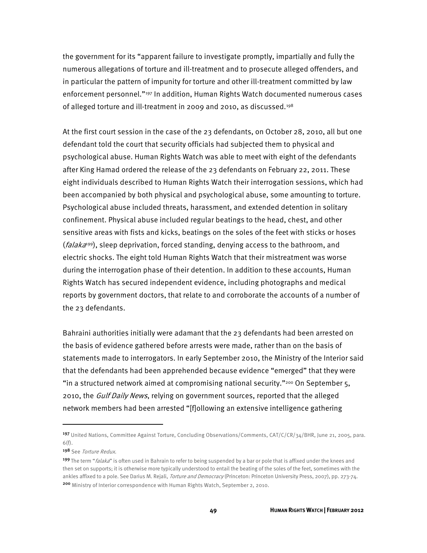the government for its "apparent failure to investigate promptly, impartially and fully the numerous allegations of torture and ill-treatment and to prosecute alleged offenders, and in particular the pattern of impunity for torture and other ill-treatment committed by law enforcement personnel."197 In addition, Human Rights Watch documented numerous cases of alleged torture and ill-treatment in 2009 and 2010, as discussed.198

At the first court session in the case of the 23 defendants, on October 28, 2010, all but one defendant told the court that security officials had subjected them to physical and psychological abuse. Human Rights Watch was able to meet with eight of the defendants after King Hamad ordered the release of the 23 defendants on February 22, 2011. These eight individuals described to Human Rights Watch their interrogation sessions, which had been accompanied by both physical and psychological abuse, some amounting to torture. Psychological abuse included threats, harassment, and extended detention in solitary confinement. Physical abuse included regular beatings to the head, chest, and other sensitive areas with fists and kicks, beatings on the soles of the feet with sticks or hoses ( $falaka<sup>199</sup>$ ), sleep deprivation, forced standing, denying access to the bathroom, and electric shocks. The eight told Human Rights Watch that their mistreatment was worse during the interrogation phase of their detention. In addition to these accounts, Human Rights Watch has secured independent evidence, including photographs and medical reports by government doctors, that relate to and corroborate the accounts of a number of the 23 defendants.

Bahraini authorities initially were adamant that the 23 defendants had been arrested on the basis of evidence gathered before arrests were made, rather than on the basis of statements made to interrogators. In early September 2010, the Ministry of the Interior said that the defendants had been apprehended because evidence "emerged" that they were "in a structured network aimed at compromising national security."<sup>200</sup> On September 5, 2010, the *Gulf Daily News*, relying on government sources, reported that the alleged network members had been arrested "[f]ollowing an extensive intelligence gathering

<sup>197</sup> United Nations, Committee Against Torture, Concluding Observations/Comments, CAT/C/CR/34/BHR, June 21, 2005, para. 6(f).

<sup>198</sup> See Torture Redux.

<sup>199</sup> The term "*falaka*" is often used in Bahrain to refer to being suspended by a bar or pole that is affixed under the knees and then set on supports; it is otherwise more typically understood to entail the beating of the soles of the feet, sometimes with the ankles affixed to a pole. See Darius M. Rejali, Torture and Democracy (Princeton: Princeton University Press, 2007), pp. 273-74. <sup>200</sup> Ministry of Interior correspondence with Human Rights Watch, September 2, 2010.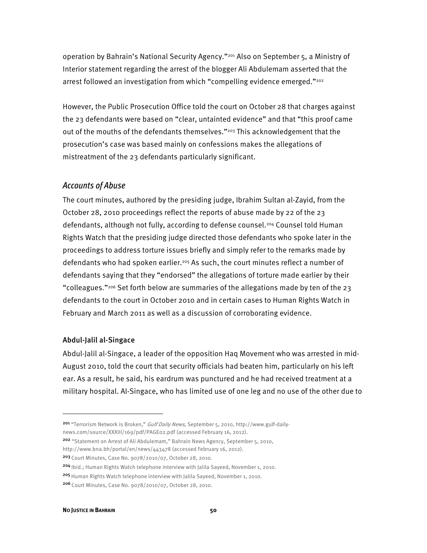operation by Bahrain's National Security Agency."201 Also on September 5, a Ministry of Interior statement regarding the arrest of the blogger Ali Abdulemam asserted that the arrest followed an investigation from which "compelling evidence emerged."<sup>202</sup>

However, the Public Prosecution Office told the court on October 28 that charges against the 23 defendants were based on "clear, untainted evidence" and that "this proof came out of the mouths of the defendants themselves."<sup>203</sup> This acknowledgement that the prosecution's case was based mainly on confessions makes the allegations of mistreatment of the 23 defendants particularly significant.

## *Accounts of Abuse*

The court minutes, authored by the presiding judge, Ibrahim Sultan al-Zayid, from the October 28, 2010 proceedings reflect the reports of abuse made by 22 of the 23 defendants, although not fully, according to defense counsel.204 Counsel told Human Rights Watch that the presiding judge directed those defendants who spoke later in the proceedings to address torture issues briefly and simply refer to the remarks made by defendants who had spoken earlier.205 As such, the court minutes reflect a number of defendants saying that they "endorsed" the allegations of torture made earlier by their "colleagues."206 Set forth below are summaries of the allegations made by ten of the 23 defendants to the court in October 2010 and in certain cases to Human Rights Watch in February and March 2011 as well as a discussion of corroborating evidence.

#### Abdul-Jalil al-Singace

Abdul-Jalil al-Singace, a leader of the opposition Haq Movement who was arrested in mid-August 2010, told the court that security officials had beaten him, particularly on his left ear. As a result, he said, his eardrum was punctured and he had received treatment at a military hospital. Al-Singace, who has limited use of one leg and no use of the other due to

- 201 "Terrorism Network is Broken," Gulf Daily News, September 5, 2010, http://www.gulf-dailynews.com/source/XXXIII/169/pdf/PAGE02.pdf (accessed February 16, 2012).
- <sup>202</sup> "Statement on Arrest of Ali Abdulemam," Bahrain News Agency, September 5, 2010,
- http://www.bna.bh/portal/en/news/443478 (accessed February 16, 2012).

- 204 Ibid.; Human Rights Watch telephone interview with Jalila Sayeed, November 1, 2010.
- <sup>205</sup> Human Rights Watch telephone interview with Jalila Sayeed, November 1, 2010.

<sup>203</sup>Court Minutes, Case No. 9078/2010/07, October 28, 2010.

<sup>206</sup> Court Minutes, Case No. 9078/2010/07, October 28, 2010.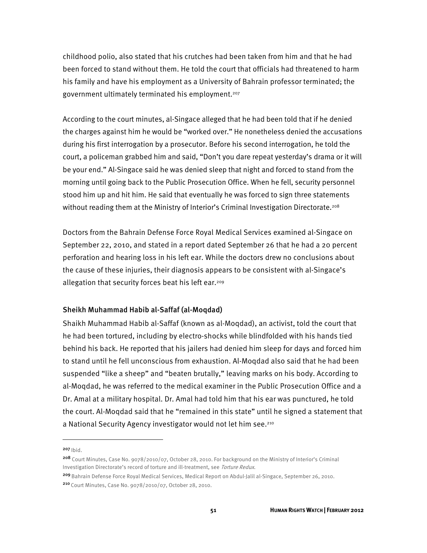childhood polio, also stated that his crutches had been taken from him and that he had been forced to stand without them. He told the court that officials had threatened to harm his family and have his employment as a University of Bahrain professor terminated; the government ultimately terminated his employment.207

According to the court minutes, al-Singace alleged that he had been told that if he denied the charges against him he would be "worked over." He nonetheless denied the accusations during his first interrogation by a prosecutor. Before his second interrogation, he told the court, a policeman grabbed him and said, "Don't you dare repeat yesterday's drama or it will be your end." Al-Singace said he was denied sleep that night and forced to stand from the morning until going back to the Public Prosecution Office. When he fell, security personnel stood him up and hit him. He said that eventually he was forced to sign three statements without reading them at the Ministry of Interior's Criminal Investigation Directorate.<sup>208</sup>

Doctors from the Bahrain Defense Force Royal Medical Services examined al-Singace on September 22, 2010, and stated in a report dated September 26 that he had a 20 percent perforation and hearing loss in his left ear. While the doctors drew no conclusions about the cause of these injuries, their diagnosis appears to be consistent with al-Singace's allegation that security forces beat his left ear.209

#### Sheikh Muhammad Habib al-Saffaf (al-Moqdad)

Shaikh Muhammad Habib al-Saffaf (known as al-Moqdad), an activist, told the court that he had been tortured, including by electro-shocks while blindfolded with his hands tied behind his back. He reported that his jailers had denied him sleep for days and forced him to stand until he fell unconscious from exhaustion. Al-Moqdad also said that he had been suspended "like a sheep" and "beaten brutally," leaving marks on his body. According to al-Moqdad, he was referred to the medical examiner in the Public Prosecution Office and a Dr. Amal at a military hospital. Dr. Amal had told him that his ear was punctured, he told the court. Al-Moqdad said that he "remained in this state" until he signed a statement that a National Security Agency investigator would not let him see.<sup>210</sup>

 $207$  Ibid.

 $\overline{a}$ 

<sup>209</sup>Bahrain Defense Force Royal Medical Services, Medical Report on Abdul-Jalil al-Singace, September 26, 2010. 210 Court Minutes, Case No. 9078/2010/07, October 28, 2010.

<sup>208</sup> Court Minutes, Case No. 9078/2010/07, October 28, 2010. For background on the Ministry of Interior's Criminal Investigation Directorate's record of torture and ill-treatment, see Torture Redux.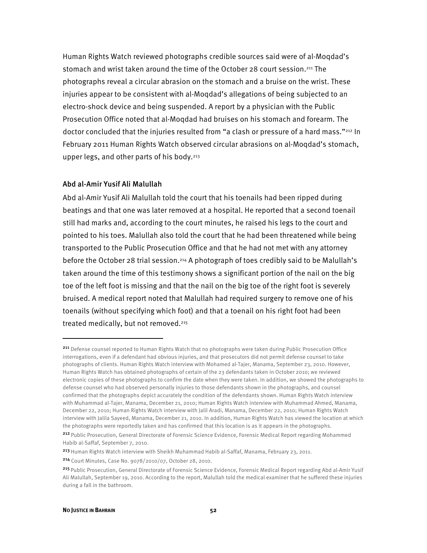Human Rights Watch reviewed photographs credible sources said were of al-Moqdad's stomach and wrist taken around the time of the October 28 court session.<sup>211</sup> The photographs reveal a circular abrasion on the stomach and a bruise on the wrist. These injuries appear to be consistent with al-Moqdad's allegations of being subjected to an electro-shock device and being suspended. A report by a physician with the Public Prosecution Office noted that al-Moqdad had bruises on his stomach and forearm. The doctor concluded that the injuries resulted from "a clash or pressure of a hard mass."212 In February 2011 Human Rights Watch observed circular abrasions on al-Moqdad's stomach, upper legs, and other parts of his body.<sup>213</sup>

#### Abd al-Amir Yusif Ali Malullah

Abd al-Amir Yusif Ali Malullah told the court that his toenails had been ripped during beatings and that one was later removed at a hospital. He reported that a second toenail still had marks and, according to the court minutes, he raised his legs to the court and pointed to his toes. Malullah also told the court that he had been threatened while being transported to the Public Prosecution Office and that he had not met with any attorney before the October 28 trial session.<sup>214</sup> A photograph of toes credibly said to be Malullah's taken around the time of this testimony shows a significant portion of the nail on the big toe of the left foot is missing and that the nail on the big toe of the right foot is severely bruised. A medical report noted that Malullah had required surgery to remove one of his toenails (without specifying which foot) and that a toenail on his right foot had been treated medically, but not removed.<sup>215</sup>

<sup>211</sup> Defense counsel reported to Human Rights Watch that no photographs were taken during Public Prosecution Office interrogations, even if a defendant had obvious injuries, and that prosecutors did not permit defense counsel to take photographs of clients. Human Rights Watch interview with Mohamed al-Tajer, Manama, September 23, 2010. However, Human Rights Watch has obtained photographs of certain of the 23 defendants taken in October 2010; we reviewed electronic copies of these photographs to confirm the date when they were taken. In addition, we showed the photographs to defense counsel who had observed personally injuries to those defendants shown in the photographs, and counsel confirmed that the photographs depict accurately the condition of the defendants shown. Human Rights Watch interview with Muhammad al-Tajer, Manama, December 21, 2010; Human Rights Watch interview with Muhammad Ahmed, Manama, December 22, 2010; Human Rights Watch interview with Jalil Aradi, Manama, December 22, 2010; Human Rights Watch interview with Jalila Sayeed, Manama, December 21, 2010. In addition, Human Rights Watch has viewed the location at which the photographs were reportedly taken and has confirmed that this location is as it appears in the photographs.

<sup>212</sup> Public Prosecution, General Directorate of Forensic Science Evidence, Forensic Medical Report regarding Mohammed Habib al-Saffaf, September 7, 2010.

<sup>213</sup> Human Rights Watch interview with Sheikh Muhammad Habib al-Saffaf, Manama, February 23, 2011.

<sup>214</sup> Court Minutes, Case No. 9078/2010/07, October 28, 2010.

<sup>215</sup> Public Prosecution, General Directorate of Forensic Science Evidence, Forensic Medical Report regarding Abd al-Amir Yusif Ali Malullah, September 19, 2010. According to the report, Malullah told the medical examiner that he suffered these injuries during a fall in the bathroom.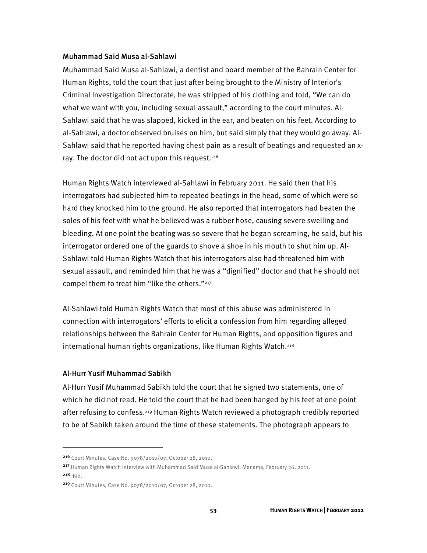#### Muhammad Said Musa al-Sahlawi

Muhammad Said Musa al-Sahlawi, a dentist and board member of the Bahrain Center for Human Rights, told the court that just after being brought to the Ministry of Interior's Criminal Investigation Directorate, he was stripped of his clothing and told, "We can do what we want with you, including sexual assault," according to the court minutes. Al-Sahlawi said that he was slapped, kicked in the ear, and beaten on his feet. According to al-Sahlawi, a doctor observed bruises on him, but said simply that they would go away. Al-Sahlawi said that he reported having chest pain as a result of beatings and requested an xray. The doctor did not act upon this request.<sup>216</sup>

Human Rights Watch interviewed al-Sahlawi in February 2011. He said then that his interrogators had subjected him to repeated beatings in the head, some of which were so hard they knocked him to the ground. He also reported that interrogators had beaten the soles of his feet with what he believed was a rubber hose, causing severe swelling and bleeding. At one point the beating was so severe that he began screaming, he said, but his interrogator ordered one of the guards to shove a shoe in his mouth to shut him up. Al-Sahlawi told Human Rights Watch that his interrogators also had threatened him with sexual assault, and reminded him that he was a "dignified" doctor and that he should not compel them to treat him "like the others."<sup>217</sup>

Al-Sahlawi told Human Rights Watch that most of this abuse was administered in connection with interrogators' efforts to elicit a confession from him regarding alleged relationships between the Bahrain Center for Human Rights, and opposition figures and international human rights organizations, like Human Rights Watch.<sup>218</sup>

#### Al-Hurr Yusif Muhammad Sabikh

 $\overline{a}$ 

Al-Hurr Yusif Muhammad Sabikh told the court that he signed two statements, one of which he did not read. He told the court that he had been hanged by his feet at one point after refusing to confess.<sup>219</sup> Human Rights Watch reviewed a photograph credibly reported to be of Sabikh taken around the time of these statements. The photograph appears to

<sup>216</sup> Court Minutes, Case No. 9078/2010/07, October 28, 2010.

<sup>217</sup> Human Rights Watch interview with Muhammad Said Musa al-Sahlawi, Manama, February 26, 2011.  $218$  Ibid.

<sup>219</sup> Court Minutes, Case No. 9078/2010/07, October 28, 2010.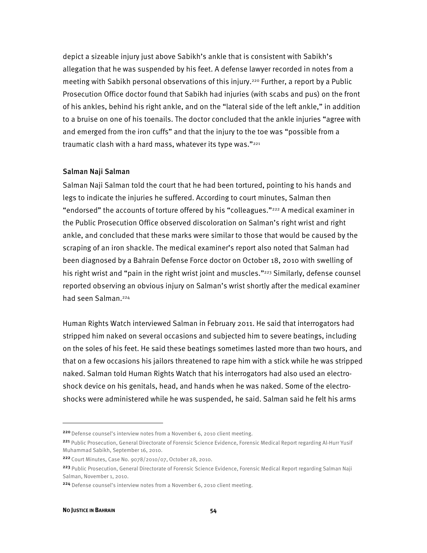depict a sizeable injury just above Sabikh's ankle that is consistent with Sabikh's allegation that he was suspended by his feet. A defense lawyer recorded in notes from a meeting with Sabikh personal observations of this injury.<sup>220</sup> Further, a report by a Public Prosecution Office doctor found that Sabikh had injuries (with scabs and pus) on the front of his ankles, behind his right ankle, and on the "lateral side of the left ankle," in addition to a bruise on one of his toenails. The doctor concluded that the ankle injuries "agree with and emerged from the iron cuffs" and that the injury to the toe was "possible from a traumatic clash with a hard mass, whatever its type was."<sup>221</sup>

#### Salman Naji Salman

Salman Naji Salman told the court that he had been tortured, pointing to his hands and legs to indicate the injuries he suffered. According to court minutes, Salman then "endorsed" the accounts of torture offered by his "colleagues."222 A medical examiner in the Public Prosecution Office observed discoloration on Salman's right wrist and right ankle, and concluded that these marks were similar to those that would be caused by the scraping of an iron shackle. The medical examiner's report also noted that Salman had been diagnosed by a Bahrain Defense Force doctor on October 18, 2010 with swelling of his right wrist and "pain in the right wrist joint and muscles."<sup>223</sup> Similarly, defense counsel reported observing an obvious injury on Salman's wrist shortly after the medical examiner had seen Salman.<sup>224</sup>

Human Rights Watch interviewed Salman in February 2011. He said that interrogators had stripped him naked on several occasions and subjected him to severe beatings, including on the soles of his feet. He said these beatings sometimes lasted more than two hours, and that on a few occasions his jailors threatened to rape him with a stick while he was stripped naked. Salman told Human Rights Watch that his interrogators had also used an electroshock device on his genitals, head, and hands when he was naked. Some of the electroshocks were administered while he was suspended, he said. Salman said he felt his arms

1

<sup>&</sup>lt;sup>220</sup> Defense counsel's interview notes from a November 6, 2010 client meeting.

<sup>221</sup> Public Prosecution, General Directorate of Forensic Science Evidence, Forensic Medical Report regarding Al-Hurr Yusif Muhammad Sabikh, September 16, 2010.

<sup>222</sup> Court Minutes, Case No. 9078/2010/07, October 28, 2010.

<sup>223</sup> Public Prosecution, General Directorate of Forensic Science Evidence, Forensic Medical Report regarding Salman Naji Salman, November 1, 2010.

<sup>224</sup> Defense counsel's interview notes from a November 6, 2010 client meeting.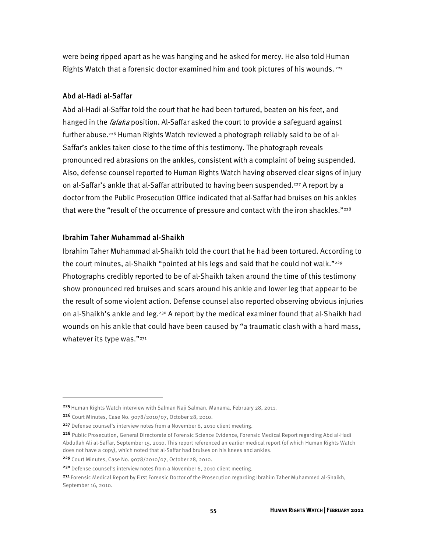were being ripped apart as he was hanging and he asked for mercy. He also told Human Rights Watch that a forensic doctor examined him and took pictures of his wounds.<sup>225</sup>

#### Abd al-Hadi al-Saffar

Abd al-Hadi al-Saffar told the court that he had been tortured, beaten on his feet, and hanged in the *falaka* position. Al-Saffar asked the court to provide a safeguard against further abuse.226 Human Rights Watch reviewed a photograph reliably said to be of al-Saffar's ankles taken close to the time of this testimony. The photograph reveals pronounced red abrasions on the ankles, consistent with a complaint of being suspended. Also, defense counsel reported to Human Rights Watch having observed clear signs of injury on al-Saffar's ankle that al-Saffar attributed to having been suspended.227 A report by a doctor from the Public Prosecution Office indicated that al-Saffar had bruises on his ankles that were the "result of the occurrence of pressure and contact with the iron shackles."<sup>228</sup>

#### Ibrahim Taher Muhammad al-Shaikh

Ibrahim Taher Muhammad al-Shaikh told the court that he had been tortured. According to the court minutes, al-Shaikh "pointed at his legs and said that he could not walk."229 Photographs credibly reported to be of al-Shaikh taken around the time of this testimony show pronounced red bruises and scars around his ankle and lower leg that appear to be the result of some violent action. Defense counsel also reported observing obvious injuries on al-Shaikh's ankle and leg.230 A report by the medical examiner found that al-Shaikh had wounds on his ankle that could have been caused by "a traumatic clash with a hard mass, whatever its type was."<sup>231</sup>

<sup>225</sup> Human Rights Watch interview with Salman Naji Salman, Manama, February 28, 2011.

<sup>226</sup> Court Minutes, Case No. 9078/2010/07, October 28, 2010.

<sup>&</sup>lt;sup>227</sup> Defense counsel's interview notes from a November 6, 2010 client meeting.

<sup>228</sup> Public Prosecution, General Directorate of Forensic Science Evidence, Forensic Medical Report regarding Abd al-Hadi Abdullah Ali al-Saffar, September 15, 2010. This report referenced an earlier medical report (of which Human Rights Watch does not have a copy), which noted that al-Saffar had bruises on his knees and ankles.

<sup>229</sup>Court Minutes, Case No. 9078/2010/07, October 28, 2010.

<sup>&</sup>lt;sup>230</sup> Defense counsel's interview notes from a November 6, 2010 client meeting.

<sup>&</sup>lt;sup>231</sup> Forensic Medical Report by First Forensic Doctor of the Prosecution regarding Ibrahim Taher Muhammed al-Shaikh, September 16, 2010.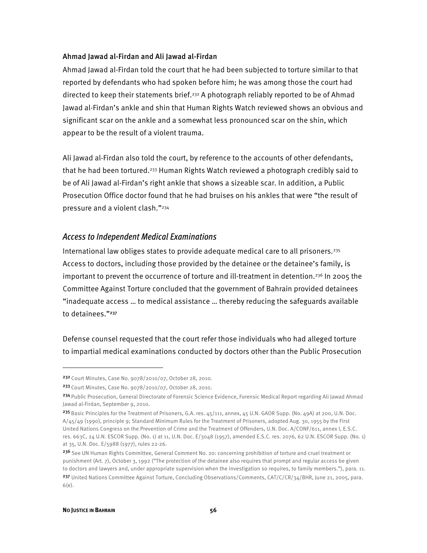#### Ahmad Jawad al-Firdan and Ali Jawad al-Firdan

Ahmad Jawad al-Firdan told the court that he had been subjected to torture similar to that reported by defendants who had spoken before him; he was among those the court had directed to keep their statements brief.232 A photograph reliably reported to be of Ahmad Jawad al-Firdan's ankle and shin that Human Rights Watch reviewed shows an obvious and significant scar on the ankle and a somewhat less pronounced scar on the shin, which appear to be the result of a violent trauma.

Ali Jawad al-Firdan also told the court, by reference to the accounts of other defendants, that he had been tortured.233 Human Rights Watch reviewed a photograph credibly said to be of Ali Jawad al-Firdan's right ankle that shows a sizeable scar. In addition, a Public Prosecution Office doctor found that he had bruises on his ankles that were "the result of pressure and a violent clash."234

## *Access to Independent Medical Examinations*

International law obliges states to provide adequate medical care to all prisoners.235 Access to doctors, including those provided by the detainee or the detainee's family, is important to prevent the occurrence of torture and ill-treatment in detention.<sup>236</sup> In 2005 the Committee Against Torture concluded that the government of Bahrain provided detainees "inadequate access … to medical assistance … thereby reducing the safeguards available to detainees."<sup>237</sup>

Defense counsel requested that the court refer those individuals who had alleged torture to impartial medical examinations conducted by doctors other than the Public Prosecution

<sup>232</sup> Court Minutes, Case No. 9078/2010/07, October 28, 2010.

<sup>233</sup>Court Minutes, Case No. 9078/2010/07, October 28, 2010.

<sup>234</sup> Public Prosecution, General Directorate of Forensic Science Evidence, Forensic Medical Report regarding Ali Jawad Ahmad Jawad al-Firdan, September 9, 2010.

<sup>235</sup> Basic Principles for the Treatment of Prisoners, G.A. res. 45/111, annex, 45 U.N. GAOR Supp. (No. 49A) at 200, U.N. Doc. A/45/49 (1990), principle 9; Standard Minimum Rules for the Treatment of Prisoners, adopted Aug. 30, 1955 by the First United Nations Congress on the Prevention of Crime and the Treatment of Offenders, U.N. Doc. A/CONF/611, annex I, E.S.C. res. 663C, 24 U.N. ESCOR Supp. (No. 1) at 11, U.N. Doc. E/3048 (1957), amended E.S.C. res. 2076, 62 U.N. ESCOR Supp. (No. 1) at 35, U.N. Doc. E/5988 (1977), rules 22-26.

<sup>236</sup> See UN Human Rights Committee, General Comment No. 20: concerning prohibition of torture and cruel treatment or punishment (Art. 7), October 3, 1992 ("The protection of the detainee also requires that prompt and regular access be given to doctors and lawyers and, under appropriate supervision when the investigation so requires, to family members."), para. 11.

<sup>237</sup> United Nations Committee Against Torture, Concluding Observations/Comments, CAT/C/CR/34/BHR, June 21, 2005, para. 6(e).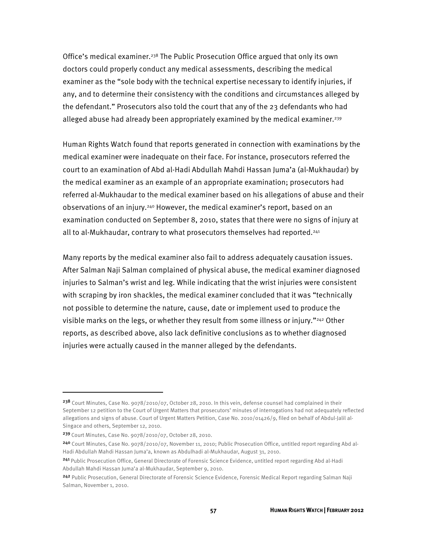Office's medical examiner.<sup>238</sup> The Public Prosecution Office argued that only its own doctors could properly conduct any medical assessments, describing the medical examiner as the "sole body with the technical expertise necessary to identify injuries, if any, and to determine their consistency with the conditions and circumstances alleged by the defendant." Prosecutors also told the court that any of the 23 defendants who had alleged abuse had already been appropriately examined by the medical examiner.<sup>239</sup>

Human Rights Watch found that reports generated in connection with examinations by the medical examiner were inadequate on their face. For instance, prosecutors referred the court to an examination of Abd al-Hadi Abdullah Mahdi Hassan Juma'a (al-Mukhaudar) by the medical examiner as an example of an appropriate examination; prosecutors had referred al-Mukhaudar to the medical examiner based on his allegations of abuse and their observations of an injury.240 However, the medical examiner's report, based on an examination conducted on September 8, 2010, states that there were no signs of injury at all to al-Mukhaudar, contrary to what prosecutors themselves had reported.<sup>241</sup>

Many reports by the medical examiner also fail to address adequately causation issues. After Salman Naji Salman complained of physical abuse, the medical examiner diagnosed injuries to Salman's wrist and leg. While indicating that the wrist injuries were consistent with scraping by iron shackles, the medical examiner concluded that it was "technically not possible to determine the nature, cause, date or implement used to produce the visible marks on the legs, or whether they result from some illness or injury."242 Other reports, as described above, also lack definitive conclusions as to whether diagnosed injuries were actually caused in the manner alleged by the defendants.

<sup>238</sup> Court Minutes, Case No. 9078/2010/07, October 28, 2010. In this vein, defense counsel had complained in their September 12 petition to the Court of Urgent Matters that prosecutors' minutes of interrogations had not adequately reflected allegations and signs of abuse. Court of Urgent Matters Petition, Case No. 2010/01426/9, filed on behalf of Abdul-Jalil al-Singace and others, September 12, 2010.

<sup>239</sup>Court Minutes, Case No. 9078/2010/07, October 28, 2010.

<sup>240</sup> Court Minutes, Case No. 9078/2010/07, November 11, 2010; Public Prosecution Office, untitled report regarding Abd al-Hadi Abdullah Mahdi Hassan Juma'a, known as Abdulhadi al-Mukhaudar, August 31, 2010.

<sup>241</sup> Public Prosecution Office, General Directorate of Forensic Science Evidence, untitled report regarding Abd al-Hadi Abdullah Mahdi Hassan Juma'a al-Mukhaudar, September 9, 2010.

<sup>242</sup> Public Prosecution, General Directorate of Forensic Science Evidence, Forensic Medical Report regarding Salman Naji Salman, November 1, 2010.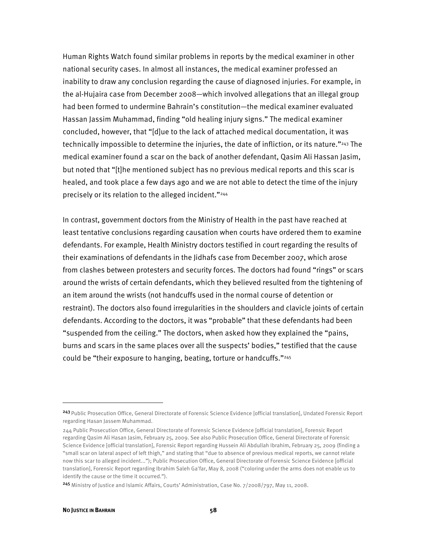Human Rights Watch found similar problems in reports by the medical examiner in other national security cases. In almost all instances, the medical examiner professed an inability to draw any conclusion regarding the cause of diagnosed injuries. For example, in the al-Hujaira case from December 2008—which involved allegations that an illegal group had been formed to undermine Bahrain's constitution—the medical examiner evaluated Hassan Jassim Muhammad, finding "old healing injury signs." The medical examiner concluded, however, that "[d]ue to the lack of attached medical documentation, it was technically impossible to determine the injuries, the date of infliction, or its nature."243 The medical examiner found a scar on the back of another defendant, Qasim Ali Hassan Jasim, but noted that "[t]he mentioned subject has no previous medical reports and this scar is healed, and took place a few days ago and we are not able to detect the time of the injury precisely or its relation to the alleged incident."244

In contrast, government doctors from the Ministry of Health in the past have reached at least tentative conclusions regarding causation when courts have ordered them to examine defendants. For example, Health Ministry doctors testified in court regarding the results of their examinations of defendants in the Jidhafs case from December 2007, which arose from clashes between protesters and security forces. The doctors had found "rings" or scars around the wrists of certain defendants, which they believed resulted from the tightening of an item around the wrists (not handcuffs used in the normal course of detention or restraint). The doctors also found irregularities in the shoulders and clavicle joints of certain defendants. According to the doctors, it was "probable" that these defendants had been "suspended from the ceiling." The doctors, when asked how they explained the "pains, burns and scars in the same places over all the suspects' bodies," testified that the cause could be "their exposure to hanging, beating, torture or handcuffs."245

j

<sup>243</sup> Public Prosecution Office, General Directorate of Forensic Science Evidence [official translation], Undated Forensic Report regarding Hasan Jassem Muhammad.

<sup>244</sup> Public Prosecution Office, General Directorate of Forensic Science Evidence [official translation], Forensic Report regarding Qasim Ali Hasan Jasim, February 25, 2009. See also Public Prosecution Office, General Directorate of Forensic Science Evidence [official translation], Forensic Report regarding Hussein Ali Abdullah Ibrahim, February 25, 2009 (finding a "small scar on lateral aspect of left thigh," and stating that "due to absence of previous medical reports, we cannot relate now this scar to alleged incident..."); Public Prosecution Office, General Directorate of Forensic Science Evidence [official translation], Forensic Report regarding Ibrahim Saleh Ga'far, May 8, 2008 ("coloring under the arms does not enable us to identify the cause or the time it occurred.").

<sup>245</sup> Ministry of Justice and Islamic Affairs, Courts' Administration, Case No. 7/2008/797, May 11, 2008.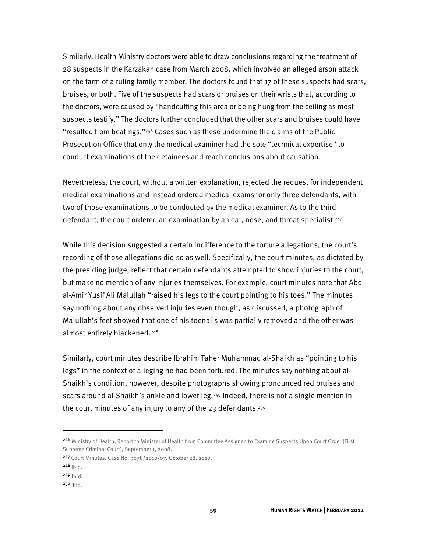Similarly, Health Ministry doctors were able to draw conclusions regarding the treatment of 28 suspects in the Karzakan case from March 2008, which involved an alleged arson attack on the farm of a ruling family member. The doctors found that 17 of these suspects had scars, bruises, or both. Five of the suspects had scars or bruises on their wrists that, according to the doctors, were caused by "handcuffing this area or being hung from the ceiling as most suspects testify." The doctors further concluded that the other scars and bruises could have "resulted from beatings."246 Cases such as these undermine the claims of the Public Prosecution Office that only the medical examiner had the sole "technical expertise" to conduct examinations of the detainees and reach conclusions about causation.

Nevertheless, the court, without a written explanation, rejected the request for independent medical examinations and instead ordered medical exams for only three defendants, with two of those examinations to be conducted by the medical examiner. As to the third defendant, the court ordered an examination by an ear, nose, and throat specialist.247

While this decision suggested a certain indifference to the torture allegations, the court's recording of those allegations did so as well. Specifically, the court minutes, as dictated by the presiding judge, reflect that certain defendants attempted to show injuries to the court, but make no mention of any injuries themselves. For example, court minutes note that Abd al-Amir Yusif Ali Malullah "raised his legs to the court pointing to his toes." The minutes say nothing about any observed injuries even though, as discussed, a photograph of Malullah's feet showed that one of his toenails was partially removed and the other was almost entirely blackened.<sup>248</sup>

Similarly, court minutes describe Ibrahim Taher Muhammad al-Shaikh as "pointing to his legs" in the context of alleging he had been tortured. The minutes say nothing about al-Shaikh's condition, however, despite photographs showing pronounced red bruises and scars around al-Shaikh's ankle and lower leg.<sup>249</sup> Indeed, there is not a single mention in the court minutes of any injury to any of the 23 defendants.<sup>250</sup>

<sup>246</sup> Ministry of Health, Report to Minister of Health from Committee Assigned to Examine Suspects Upon Court Order (First Supreme Criminal Court), September 1, 2008.

<sup>247</sup>Court Minutes, Case No. 9078/2010/07, October 28, 2010.

 $248$  Ibid.

 $249$  Ibid.

 $250$  Ibid.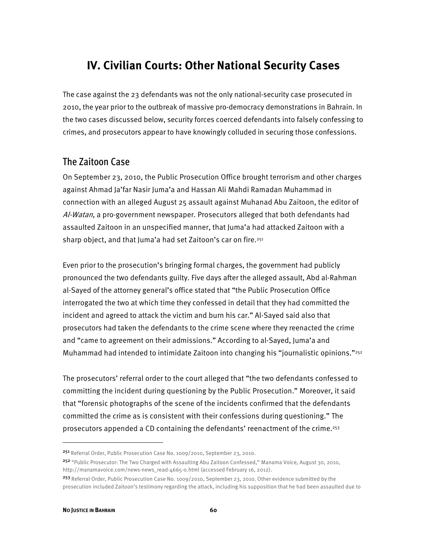# **IV. Civilian Courts: Other National Security Cases**

The case against the 23 defendants was not the only national-security case prosecuted in 2010, the year prior to the outbreak of massive pro-democracy demonstrations in Bahrain. In the two cases discussed below, security forces coerced defendants into falsely confessing to crimes, and prosecutors appear to have knowingly colluded in securing those confessions.

## The Zaitoon Case

On September 23, 2010, the Public Prosecution Office brought terrorism and other charges against Ahmad Ja'far Nasir Juma'a and Hassan Ali Mahdi Ramadan Muhammad in connection with an alleged August 25 assault against Muhanad Abu Zaitoon, the editor of Al-Watan, a pro-government newspaper. Prosecutors alleged that both defendants had assaulted Zaitoon in an unspecified manner, that Juma'a had attacked Zaitoon with a sharp object, and that Juma'a had set Zaitoon's car on fire.<sup>251</sup>

Even prior to the prosecution's bringing formal charges, the government had publicly pronounced the two defendants guilty. Five days after the alleged assault, Abd al-Rahman al-Sayed of the attorney general's office stated that "the Public Prosecution Office interrogated the two at which time they confessed in detail that they had committed the incident and agreed to attack the victim and burn his car." Al-Sayed said also that prosecutors had taken the defendants to the crime scene where they reenacted the crime and "came to agreement on their admissions." According to al-Sayed, Juma'a and Muhammad had intended to intimidate Zaitoon into changing his "journalistic opinions."<sup>252</sup>

The prosecutors' referral order to the court alleged that "the two defendants confessed to committing the incident during questioning by the Public Prosecution." Moreover, it said that "forensic photographs of the scene of the incidents confirmed that the defendants committed the crime as is consistent with their confessions during questioning." The prosecutors appended a CD containing the defendants' reenactment of the crime.253

j

<sup>251</sup> Referral Order, Public Prosecution Case No. 1009/2010, September 23, 2010.

<sup>252</sup> "Public Prosecutor: The Two Charged with Assaulting Abu Zaitoon Confessed," Manama Voice, August 30, 2010, http://manamavoice.com/news-news\_read-4665-0.html (accessed February 16, 2012).

<sup>253</sup> Referral Order, Public Prosecution Case No. 1009/2010, September 23, 2010. Other evidence submitted by the prosecution included Zaitoon's testimony regarding the attack, including his supposition that he had been assaulted due to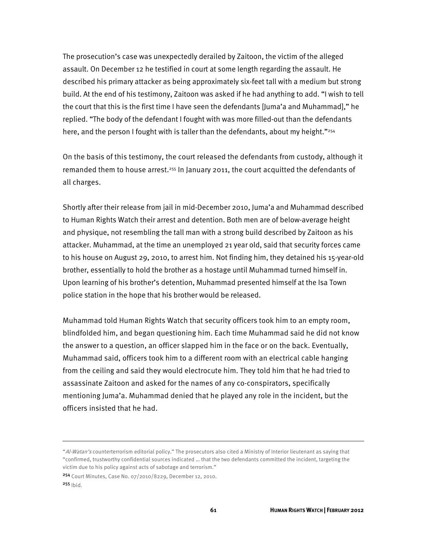The prosecution's case was unexpectedly derailed by Zaitoon, the victim of the alleged assault. On December 12 he testified in court at some length regarding the assault. He described his primary attacker as being approximately six-feet tall with a medium but strong build. At the end of his testimony, Zaitoon was asked if he had anything to add. "I wish to tell the court that this is the first time I have seen the defendants [Juma'a and Muhammad]," he replied. "The body of the defendant I fought with was more filled-out than the defendants here, and the person I fought with is taller than the defendants, about my height."<sup>254</sup>

On the basis of this testimony, the court released the defendants from custody, although it remanded them to house arrest.255 In January 2011, the court acquitted the defendants of all charges.

Shortly after their release from jail in mid-December 2010, Juma'a and Muhammad described to Human Rights Watch their arrest and detention. Both men are of below-average height and physique, not resembling the tall man with a strong build described by Zaitoon as his attacker. Muhammad, at the time an unemployed 21 year old, said that security forces came to his house on August 29, 2010, to arrest him. Not finding him, they detained his 15-year-old brother, essentially to hold the brother as a hostage until Muhammad turned himself in. Upon learning of his brother's detention, Muhammad presented himself at the Isa Town police station in the hope that his brother would be released.

Muhammad told Human Rights Watch that security officers took him to an empty room, blindfolded him, and began questioning him. Each time Muhammad said he did not know the answer to a question, an officer slapped him in the face or on the back. Eventually, Muhammad said, officers took him to a different room with an electrical cable hanging from the ceiling and said they would electrocute him. They told him that he had tried to assassinate Zaitoon and asked for the names of any co-conspirators, specifically mentioning Juma'a. Muhammad denied that he played any role in the incident, but the officers insisted that he had.

<sup>&</sup>quot;Al-Watan's counterterrorism editorial policy." The prosecutors also cited a Ministry of Interior lieutenant as saying that "confirmed, trustworthy confidential sources indicated … that the two defendants committed the incident, targeting the victim due to his policy against acts of sabotage and terrorism."

<sup>254</sup> Court Minutes, Case No. 07/2010/8229, December 12, 2010.  $255$  Ibid.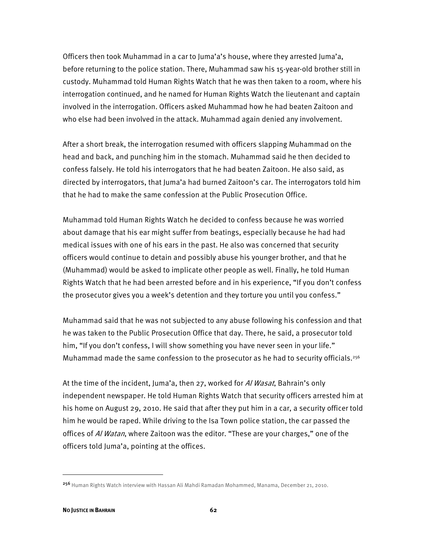Officers then took Muhammad in a car to Juma'a's house, where they arrested Juma'a, before returning to the police station. There, Muhammad saw his 15-year-old brother still in custody. Muhammad told Human Rights Watch that he was then taken to a room, where his interrogation continued, and he named for Human Rights Watch the lieutenant and captain involved in the interrogation. Officers asked Muhammad how he had beaten Zaitoon and who else had been involved in the attack. Muhammad again denied any involvement.

After a short break, the interrogation resumed with officers slapping Muhammad on the head and back, and punching him in the stomach. Muhammad said he then decided to confess falsely. He told his interrogators that he had beaten Zaitoon. He also said, as directed by interrogators, that Juma'a had burned Zaitoon's car. The interrogators told him that he had to make the same confession at the Public Prosecution Office.

Muhammad told Human Rights Watch he decided to confess because he was worried about damage that his ear might suffer from beatings, especially because he had had medical issues with one of his ears in the past. He also was concerned that security officers would continue to detain and possibly abuse his younger brother, and that he (Muhammad) would be asked to implicate other people as well. Finally, he told Human Rights Watch that he had been arrested before and in his experience, "If you don't confess the prosecutor gives you a week's detention and they torture you until you confess."

Muhammad said that he was not subjected to any abuse following his confession and that he was taken to the Public Prosecution Office that day. There, he said, a prosecutor told him, "If you don't confess, I will show something you have never seen in your life." Muhammad made the same confession to the prosecutor as he had to security officials.<sup>256</sup>

At the time of the incident, Juma'a, then 27, worked for *Al Wasat*, Bahrain's only independent newspaper. He told Human Rights Watch that security officers arrested him at his home on August 29, 2010. He said that after they put him in a car, a security officer told him he would be raped. While driving to the Isa Town police station, the car passed the offices of Al Watan, where Zaitoon was the editor. "These are your charges," one of the officers told Juma'a, pointing at the offices.

<sup>256</sup> Human Rights Watch interview with Hassan Ali Mahdi Ramadan Mohammed, Manama, December 21, 2010.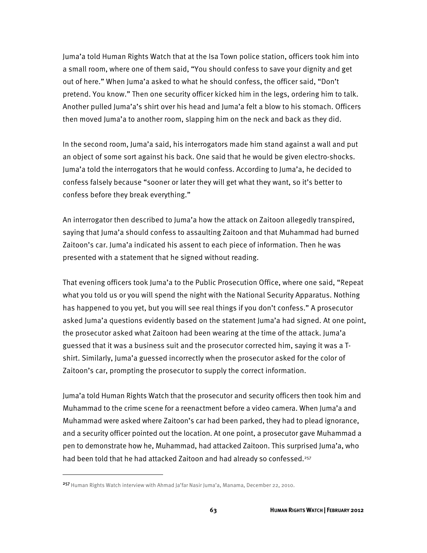Juma'a told Human Rights Watch that at the Isa Town police station, officers took him into a small room, where one of them said, "You should confess to save your dignity and get out of here." When Juma'a asked to what he should confess, the officer said, "Don't pretend. You know." Then one security officer kicked him in the legs, ordering him to talk. Another pulled Juma'a's shirt over his head and Juma'a felt a blow to his stomach. Officers then moved Juma'a to another room, slapping him on the neck and back as they did.

In the second room, Juma'a said, his interrogators made him stand against a wall and put an object of some sort against his back. One said that he would be given electro-shocks. Juma'a told the interrogators that he would confess. According to Juma'a, he decided to confess falsely because "sooner or later they will get what they want, so it's better to confess before they break everything."

An interrogator then described to Juma'a how the attack on Zaitoon allegedly transpired, saying that Juma'a should confess to assaulting Zaitoon and that Muhammad had burned Zaitoon's car. Juma'a indicated his assent to each piece of information. Then he was presented with a statement that he signed without reading.

That evening officers took Juma'a to the Public Prosecution Office, where one said, "Repeat what you told us or you will spend the night with the National Security Apparatus. Nothing has happened to you yet, but you will see real things if you don't confess." A prosecutor asked Juma'a questions evidently based on the statement Juma'a had signed. At one point, the prosecutor asked what Zaitoon had been wearing at the time of the attack. Juma'a guessed that it was a business suit and the prosecutor corrected him, saying it was a Tshirt. Similarly, Juma'a guessed incorrectly when the prosecutor asked for the color of Zaitoon's car, prompting the prosecutor to supply the correct information.

Juma'a told Human Rights Watch that the prosecutor and security officers then took him and Muhammad to the crime scene for a reenactment before a video camera. When Juma'a and Muhammad were asked where Zaitoon's car had been parked, they had to plead ignorance, and a security officer pointed out the location. At one point, a prosecutor gave Muhammad a pen to demonstrate how he, Muhammad, had attacked Zaitoon. This surprised Juma'a, who had been told that he had attacked Zaitoon and had already so confessed.<sup>257</sup>

<sup>&</sup>lt;sup>257</sup> Human Rights Watch interview with Ahmad Ja'far Nasir Juma'a, Manama, December 22, 2010.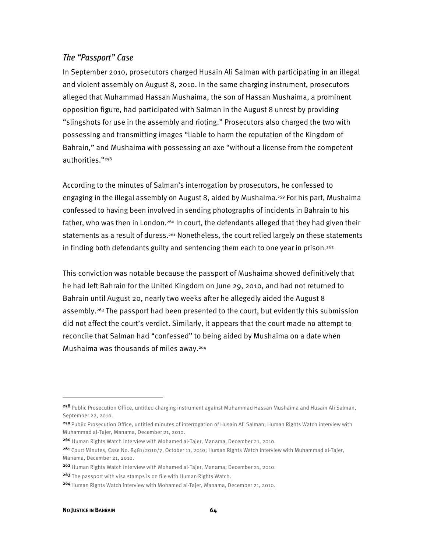### *The "Passport" Case*

In September 2010, prosecutors charged Husain Ali Salman with participating in an illegal and violent assembly on August 8, 2010. In the same charging instrument, prosecutors alleged that Muhammad Hassan Mushaima, the son of Hassan Mushaima, a prominent opposition figure, had participated with Salman in the August 8 unrest by providing "slingshots for use in the assembly and rioting." Prosecutors also charged the two with possessing and transmitting images "liable to harm the reputation of the Kingdom of Bahrain," and Mushaima with possessing an axe "without a license from the competent authorities."258

According to the minutes of Salman's interrogation by prosecutors, he confessed to engaging in the illegal assembly on August 8, aided by Mushaima.<sup>259</sup> For his part, Mushaima confessed to having been involved in sending photographs of incidents in Bahrain to his father, who was then in London.<sup>260</sup> In court, the defendants alleged that they had given their statements as a result of duress.<sup>261</sup> Nonetheless, the court relied largely on these statements in finding both defendants guilty and sentencing them each to one year in prison.<sup>262</sup>

This conviction was notable because the passport of Mushaima showed definitively that he had left Bahrain for the United Kingdom on June 29, 2010, and had not returned to Bahrain until August 20, nearly two weeks after he allegedly aided the August 8 assembly.<sup>263</sup> The passport had been presented to the court, but evidently this submission did not affect the court's verdict. Similarly, it appears that the court made no attempt to reconcile that Salman had "confessed" to being aided by Mushaima on a date when Mushaima was thousands of miles away.264

<sup>258</sup> Public Prosecution Office, untitled charging instrument against Muhammad Hassan Mushaima and Husain Ali Salman, September 22, 2010.

<sup>259</sup> Public Prosecution Office, untitled minutes of interrogation of Husain Ali Salman; Human Rights Watch interview with Muhammad al-Tajer, Manama, December 21, 2010.

<sup>260</sup> Human Rights Watch interview with Mohamed al-Tajer, Manama, December 21, 2010.

<sup>261</sup> Court Minutes, Case No. 8481/2010/7, October 11, 2010; Human Rights Watch interview with Muhammad al-Tajer, Manama, December 21, 2010.

<sup>262</sup> Human Rights Watch interview with Mohamed al-Tajer, Manama, December 21, 2010.

<sup>263</sup> The passport with visa stamps is on file with Human Rights Watch.

<sup>264</sup> Human Rights Watch interview with Mohamed al-Tajer, Manama, December 21, 2010.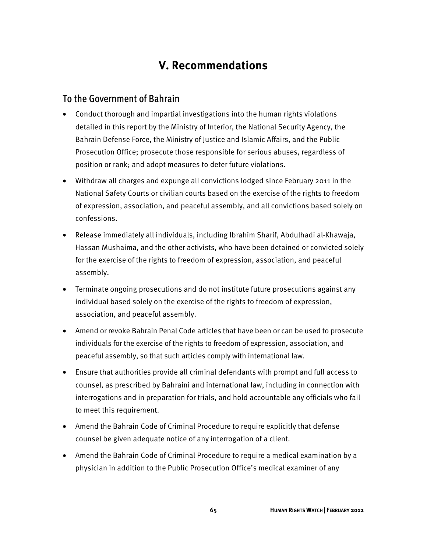# **V. Recommendations**

# To the Government of Bahrain

- Conduct thorough and impartial investigations into the human rights violations detailed in this report by the Ministry of Interior, the National Security Agency, the Bahrain Defense Force, the Ministry of Justice and Islamic Affairs, and the Public Prosecution Office; prosecute those responsible for serious abuses, regardless of position or rank; and adopt measures to deter future violations.
- Withdraw all charges and expunge all convictions lodged since February 2011 in the National Safety Courts or civilian courts based on the exercise of the rights to freedom of expression, association, and peaceful assembly, and all convictions based solely on confessions.
- Release immediately all individuals, including Ibrahim Sharif, Abdulhadi al-Khawaja, Hassan Mushaima, and the other activists, who have been detained or convicted solely for the exercise of the rights to freedom of expression, association, and peaceful assembly.
- Terminate ongoing prosecutions and do not institute future prosecutions against any individual based solely on the exercise of the rights to freedom of expression, association, and peaceful assembly.
- Amend or revoke Bahrain Penal Code articles that have been or can be used to prosecute individuals for the exercise of the rights to freedom of expression, association, and peaceful assembly, so that such articles comply with international law.
- Ensure that authorities provide all criminal defendants with prompt and full access to counsel, as prescribed by Bahraini and international law, including in connection with interrogations and in preparation for trials, and hold accountable any officials who fail to meet this requirement.
- Amend the Bahrain Code of Criminal Procedure to require explicitly that defense counsel be given adequate notice of any interrogation of a client.
- Amend the Bahrain Code of Criminal Procedure to require a medical examination by a physician in addition to the Public Prosecution Office's medical examiner of any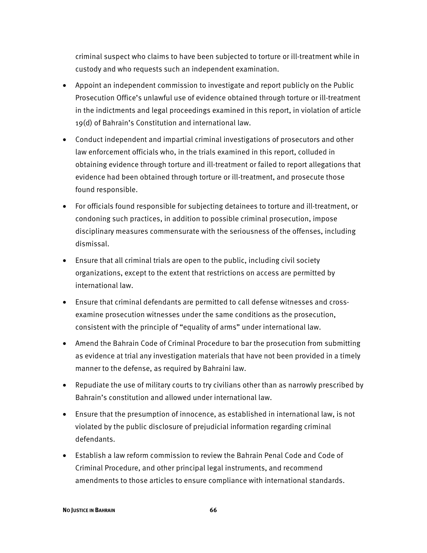criminal suspect who claims to have been subjected to torture or ill-treatment while in custody and who requests such an independent examination.

- Appoint an independent commission to investigate and report publicly on the Public Prosecution Office's unlawful use of evidence obtained through torture or ill-treatment in the indictments and legal proceedings examined in this report, in violation of article 19(d) of Bahrain's Constitution and international law.
- Conduct independent and impartial criminal investigations of prosecutors and other law enforcement officials who, in the trials examined in this report, colluded in obtaining evidence through torture and ill-treatment or failed to report allegations that evidence had been obtained through torture or ill-treatment, and prosecute those found responsible.
- For officials found responsible for subjecting detainees to torture and ill-treatment, or condoning such practices, in addition to possible criminal prosecution, impose disciplinary measures commensurate with the seriousness of the offenses, including dismissal.
- Ensure that all criminal trials are open to the public, including civil society organizations, except to the extent that restrictions on access are permitted by international law.
- Ensure that criminal defendants are permitted to call defense witnesses and crossexamine prosecution witnesses under the same conditions as the prosecution, consistent with the principle of "equality of arms" under international law.
- Amend the Bahrain Code of Criminal Procedure to bar the prosecution from submitting as evidence at trial any investigation materials that have not been provided in a timely manner to the defense, as required by Bahraini law.
- Repudiate the use of military courts to try civilians other than as narrowly prescribed by Bahrain's constitution and allowed under international law.
- Ensure that the presumption of innocence, as established in international law, is not violated by the public disclosure of prejudicial information regarding criminal defendants.
- Establish a law reform commission to review the Bahrain Penal Code and Code of Criminal Procedure, and other principal legal instruments, and recommend amendments to those articles to ensure compliance with international standards.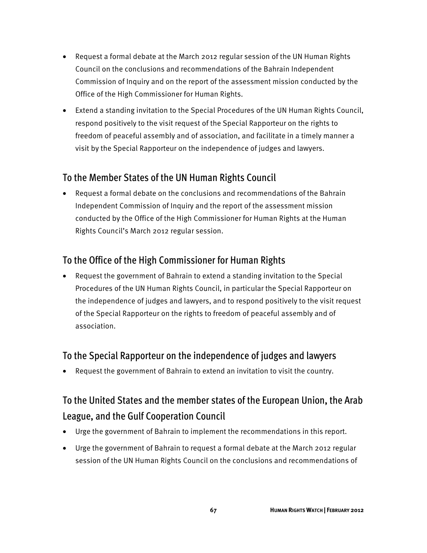- Request a formal debate at the March 2012 regular session of the UN Human Rights Council on the conclusions and recommendations of the Bahrain Independent Commission of Inquiry and on the report of the assessment mission conducted by the Office of the High Commissioner for Human Rights.
- Extend a standing invitation to the Special Procedures of the UN Human Rights Council, respond positively to the visit request of the Special Rapporteur on the rights to freedom of peaceful assembly and of association, and facilitate in a timely manner a visit by the Special Rapporteur on the independence of judges and lawyers.

# To the Member States of the UN Human Rights Council

• Request a formal debate on the conclusions and recommendations of the Bahrain Independent Commission of Inquiry and the report of the assessment mission conducted by the Office of the High Commissioner for Human Rights at the Human Rights Council's March 2012 regular session.

# To the Office of the High Commissioner for Human Rights

• Request the government of Bahrain to extend a standing invitation to the Special Procedures of the UN Human Rights Council, in particular the Special Rapporteur on the independence of judges and lawyers, and to respond positively to the visit request of the Special Rapporteur on the rights to freedom of peaceful assembly and of association.

# To the Special Rapporteur on the independence of judges and lawyers

• Request the government of Bahrain to extend an invitation to visit the country.

# To the United States and the member states of the European Union, the Arab League, and the Gulf Cooperation Council

- Urge the government of Bahrain to implement the recommendations in this report.
- Urge the government of Bahrain to request a formal debate at the March 2012 regular session of the UN Human Rights Council on the conclusions and recommendations of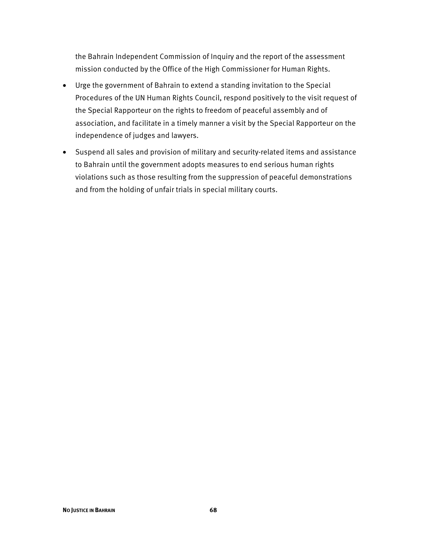the Bahrain Independent Commission of Inquiry and the report of the assessment mission conducted by the Office of the High Commissioner for Human Rights.

- Urge the government of Bahrain to extend a standing invitation to the Special Procedures of the UN Human Rights Council, respond positively to the visit request of the Special Rapporteur on the rights to freedom of peaceful assembly and of association, and facilitate in a timely manner a visit by the Special Rapporteur on the independence of judges and lawyers.
- Suspend all sales and provision of military and security-related items and assistance to Bahrain until the government adopts measures to end serious human rights violations such as those resulting from the suppression of peaceful demonstrations and from the holding of unfair trials in special military courts.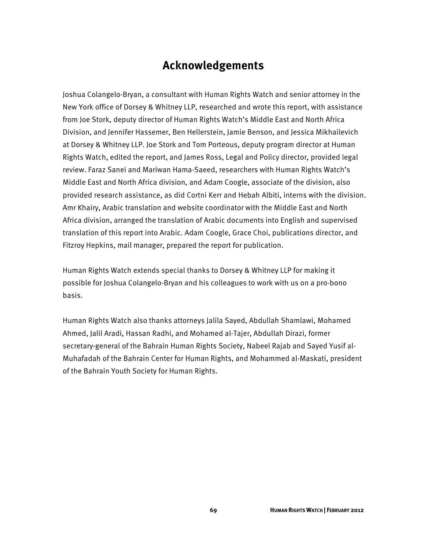## **Acknowledgements**

Joshua Colangelo-Bryan, a consultant with Human Rights Watch and senior attorney in the New York office of Dorsey & Whitney LLP, researched and wrote this report, with assistance from Joe Stork, deputy director of Human Rights Watch's Middle East and North Africa Division, and Jennifer Hassemer, Ben Hellerstein, Jamie Benson, and Jessica Mikhailevich at Dorsey & Whitney LLP. Joe Stork and Tom Porteous, deputy program director at Human Rights Watch, edited the report, and James Ross, Legal and Policy director, provided legal review. Faraz Sanei and Mariwan Hama-Saeed, researchers with Human Rights Watch's Middle East and North Africa division, and Adam Coogle, associate of the division, also provided research assistance, as did Cortni Kerr and Hebah Albiti, interns with the division. Amr Khairy, Arabic translation and website coordinator with the Middle East and North Africa division, arranged the translation of Arabic documents into English and supervised translation of this report into Arabic. Adam Coogle, Grace Choi, publications director, and Fitzroy Hepkins, mail manager, prepared the report for publication.

Human Rights Watch extends special thanks to Dorsey & Whitney LLP for making it possible for Joshua Colangelo-Bryan and his colleagues to work with us on a pro-bono basis.

Human Rights Watch also thanks attorneys Jalila Sayed, Abdullah Shamlawi, Mohamed Ahmed, Jalil Aradi, Hassan Radhi, and Mohamed al-Tajer, Abdullah Dirazi, former secretary-general of the Bahrain Human Rights Society, Nabeel Rajab and Sayed Yusif al-Muhafadah of the Bahrain Center for Human Rights, and Mohammed al-Maskati, president of the Bahrain Youth Society for Human Rights.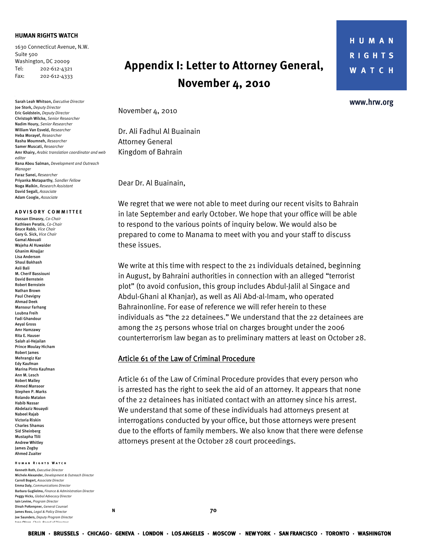#### **HUMAN RIGHTS WATCH**

1630 Connecticut Avenue, N.W. Suite 500 Washington, DC 20009 Tel: 202-612-4321 Fax: 202-612-4333

Sarah Leah Whitson, *Executive Director* Joe Stork, *Deputy Director*  Eric Goldstein, *Deputy Director*  Christoph Wilcke, *Senior Researcher* Nadim Houry, *Senior Researcher*  William Van Esveld, *Researcher* Heba Morayef, *Researcher*  Rasha Moumneh, *Researcher*  Samer Muscati, *Researcher* Amr Khairy, *Arabic translation coordinator and web editor*  Rana Abou Salman, *Development and Outreach Manager*  Faraz Sanei, *Researcher* Priyanka Motaparthy*, Sandler Fellow*  Noga Malkin, *Research Assistant* David Segall, *Associate*  Adam Coogle, *Associate* 

#### **A DVISORY COMMITTEE**

Hassan Elmasry, *Co-Chair*  Kathleen Peratis, *Co-Chair* Bruce Rabb, *Vice Chair*  Gary G. Sick, *Vice Chair* Gamal Abouali Wajeha Al Huwaider Ghanim Alnajjar Lisa Anderson Shaul Bakhash Asli Bali M. Cherif Bassiouni David Bernstein Robert Bernstein Nathan Brown Paul Chevigny Ahmad Deek Mansour Farhang Loubna Freih Fadi Ghandour Aeyal Gross Amr Hamzawy Rita E. Hauser Salah al-Hejailan Prince Moulay Hicham Robert James Mehrangiz Kar Edy Kaufman Marina Pinto Kaufman Ann M. Lesch Robert Malley Ahmed Mansoor Stephen P. Marks Rolando Matalon Habib Nassar Abdelaziz Nouaydi Nabeel Rajab Victoria Riskin Charles Shamas Sid Sheinberg Mustapha Tlili Andrew Whitley James Zogby Ahmed Zuaiter

#### **Human Rights Watch**

 $N$  **N 70** Kenneth Roth, *Executive Director* Michele Alexander, *Development & Outreach Director*  Carroll Bogert, *Associate Director*  Emma Daly, *Communications Director*  Barbara Guglielmo, *Finance & Administration Director*  Peggy Hicks, *Global Advocacy Director* Iain Levine, *Program Director*  Dinah PoKempner, *General Counsel*  James Ross, *Legal & Policy Director* Joe Saunders, *Deputy Program Director* Jane Olson *Chair Board of Directors*

## **Appendix I: Letter to Attorney General, November 4, 2010**

**HUMAN RIGHTS WATCH** 

www.hrw.org

November 4, 2010

Dr. Ali Fadhul Al Buainain Attorney General Kingdom of Bahrain

Dear Dr. Al Buainain,

We regret that we were not able to meet during our recent visits to Bahrain in late September and early October. We hope that your office will be able to respond to the various points of inquiry below. We would also be prepared to come to Manama to meet with you and your staff to discuss these issues.

We write at this time with respect to the 21 individuals detained, beginning in August, by Bahraini authorities in connection with an alleged "terrorist plot" (to avoid confusion, this group includes Abdul-Jalil al Singace and Abdul-Ghani al Khanjar), as well as Ali Abd-al-Imam, who operated Bahrainonline. For ease of reference we will refer herein to these individuals as "the 22 detainees." We understand that the 22 detainees are among the 25 persons whose trial on charges brought under the 2006 counterterrorism law began as to preliminary matters at least on October 28.

#### Article 61 of the Law of Criminal Procedure

Article 61 of the Law of Criminal Procedure provides that every person who is arrested has the right to seek the aid of an attorney. It appears that none of the 22 detainees has initiated contact with an attorney since his arrest. We understand that some of these individuals had attorneys present at interrogations conducted by your office, but those attorneys were present due to the efforts of family members. We also know that there were defense attorneys present at the October 28 court proceedings.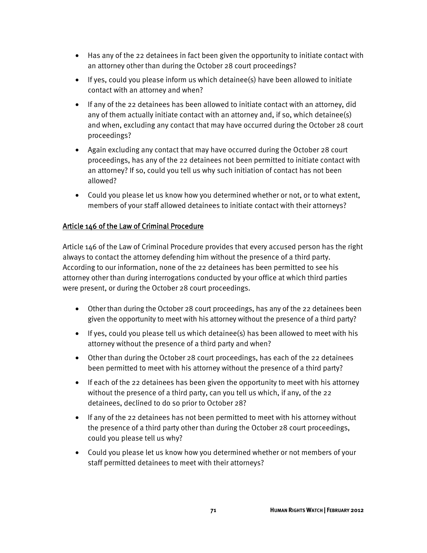- Has any of the 22 detainees in fact been given the opportunity to initiate contact with an attorney other than during the October 28 court proceedings?
- If yes, could you please inform us which detainee(s) have been allowed to initiate contact with an attorney and when?
- If any of the 22 detainees has been allowed to initiate contact with an attorney, did any of them actually initiate contact with an attorney and, if so, which detainee(s) and when, excluding any contact that may have occurred during the October 28 court proceedings?
- Again excluding any contact that may have occurred during the October 28 court proceedings, has any of the 22 detainees not been permitted to initiate contact with an attorney? If so, could you tell us why such initiation of contact has not been allowed?
- Could you please let us know how you determined whether or not, or to what extent, members of your staff allowed detainees to initiate contact with their attorneys?

### Article 146 of the Law of Criminal Procedure

Article 146 of the Law of Criminal Procedure provides that every accused person has the right always to contact the attorney defending him without the presence of a third party. According to our information, none of the 22 detainees has been permitted to see his attorney other than during interrogations conducted by your office at which third parties were present, or during the October 28 court proceedings.

- Other than during the October 28 court proceedings, has any of the 22 detainees been given the opportunity to meet with his attorney without the presence of a third party?
- If yes, could you please tell us which detainee(s) has been allowed to meet with his attorney without the presence of a third party and when?
- Other than during the October 28 court proceedings, has each of the 22 detainees been permitted to meet with his attorney without the presence of a third party?
- If each of the 22 detainees has been given the opportunity to meet with his attorney without the presence of a third party, can you tell us which, if any, of the 22 detainees, declined to do so prior to October 28?
- If any of the 22 detainees has not been permitted to meet with his attorney without the presence of a third party other than during the October 28 court proceedings, could you please tell us why?
- Could you please let us know how you determined whether or not members of your staff permitted detainees to meet with their attorneys?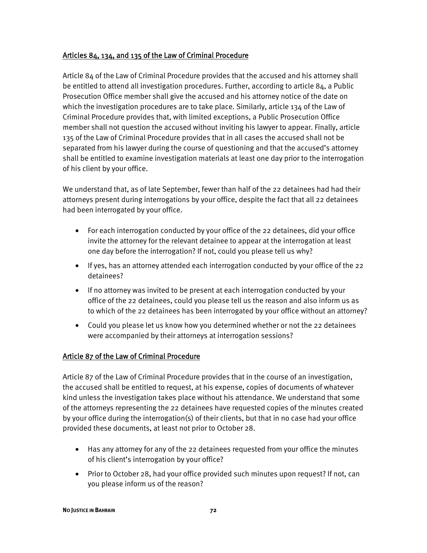#### Articles 84, 134, and 135 of the Law of Criminal Procedure

Article 84 of the Law of Criminal Procedure provides that the accused and his attorney shall be entitled to attend all investigation procedures. Further, according to article 84, a Public Prosecution Office member shall give the accused and his attorney notice of the date on which the investigation procedures are to take place. Similarly, article 134 of the Law of Criminal Procedure provides that, with limited exceptions, a Public Prosecution Office member shall not question the accused without inviting his lawyer to appear. Finally, article 135 of the Law of Criminal Procedure provides that in all cases the accused shall not be separated from his lawyer during the course of questioning and that the accused's attorney shall be entitled to examine investigation materials at least one day prior to the interrogation of his client by your office.

We understand that, as of late September, fewer than half of the 22 detainees had had their attorneys present during interrogations by your office, despite the fact that all 22 detainees had been interrogated by your office.

- For each interrogation conducted by your office of the 22 detainees, did your office invite the attorney for the relevant detainee to appear at the interrogation at least one day before the interrogation? If not, could you please tell us why?
- If yes, has an attorney attended each interrogation conducted by your office of the 22 detainees?
- If no attorney was invited to be present at each interrogation conducted by your office of the 22 detainees, could you please tell us the reason and also inform us as to which of the 22 detainees has been interrogated by your office without an attorney?
- Could you please let us know how you determined whether or not the 22 detainees were accompanied by their attorneys at interrogation sessions?

#### Article 87 of the Law of Criminal Procedure

Article 87 of the Law of Criminal Procedure provides that in the course of an investigation, the accused shall be entitled to request, at his expense, copies of documents of whatever kind unless the investigation takes place without his attendance. We understand that some of the attorneys representing the 22 detainees have requested copies of the minutes created by your office during the interrogation(s) of their clients, but that in no case had your office provided these documents, at least not prior to October 28.

- Has any attorney for any of the 22 detainees requested from your office the minutes of his client's interrogation by your office?
- Prior to October 28, had your office provided such minutes upon request? If not, can you please inform us of the reason?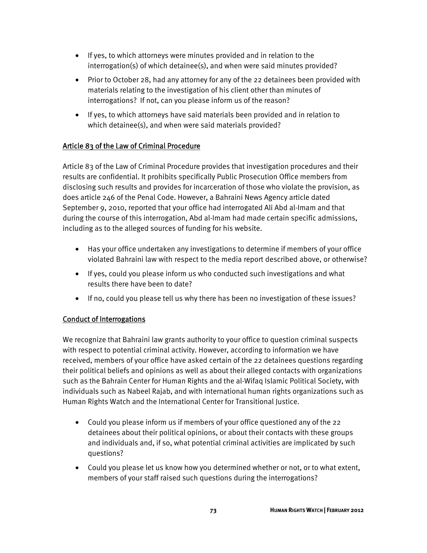- If yes, to which attorneys were minutes provided and in relation to the interrogation(s) of which detainee(s), and when were said minutes provided?
- Prior to October 28, had any attorney for any of the 22 detainees been provided with materials relating to the investigation of his client other than minutes of interrogations? If not, can you please inform us of the reason?
- If yes, to which attorneys have said materials been provided and in relation to which detainee(s), and when were said materials provided?

## Article 83 of the Law of Criminal Procedure

Article 83 of the Law of Criminal Procedure provides that investigation procedures and their results are confidential. It prohibits specifically Public Prosecution Office members from disclosing such results and provides for incarceration of those who violate the provision, as does article 246 of the Penal Code. However, a Bahraini News Agency article dated September 9, 2010, reported that your office had interrogated Ali Abd al-Imam and that during the course of this interrogation, Abd al-Imam had made certain specific admissions, including as to the alleged sources of funding for his website.

- Has your office undertaken any investigations to determine if members of your office violated Bahraini law with respect to the media report described above, or otherwise?
- If yes, could you please inform us who conducted such investigations and what results there have been to date?
- If no, could you please tell us why there has been no investigation of these issues?

## Conduct of Interrogations

We recognize that Bahraini law grants authority to your office to question criminal suspects with respect to potential criminal activity. However, according to information we have received, members of your office have asked certain of the 22 detainees questions regarding their political beliefs and opinions as well as about their alleged contacts with organizations such as the Bahrain Center for Human Rights and the al-Wifaq Islamic Political Society, with individuals such as Nabeel Rajab, and with international human rights organizations such as Human Rights Watch and the International Center for Transitional Justice.

- Could you please inform us if members of your office questioned any of the 22 detainees about their political opinions, or about their contacts with these groups and individuals and, if so, what potential criminal activities are implicated by such questions?
- Could you please let us know how you determined whether or not, or to what extent, members of your staff raised such questions during the interrogations?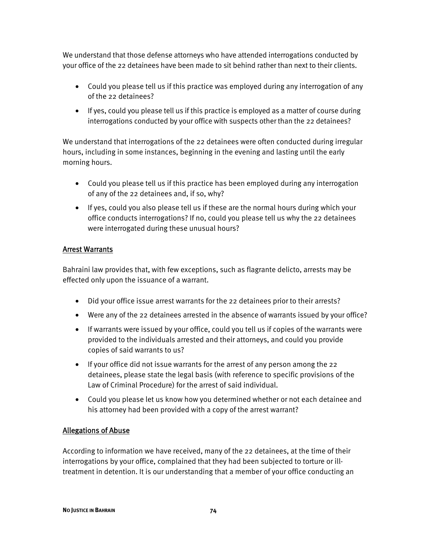We understand that those defense attorneys who have attended interrogations conducted by your office of the 22 detainees have been made to sit behind rather than next to their clients.

- Could you please tell us if this practice was employed during any interrogation of any of the 22 detainees?
- If yes, could you please tell us if this practice is employed as a matter of course during interrogations conducted by your office with suspects other than the 22 detainees?

We understand that interrogations of the 22 detainees were often conducted during irregular hours, including in some instances, beginning in the evening and lasting until the early morning hours.

- Could you please tell us if this practice has been employed during any interrogation of any of the 22 detainees and, if so, why?
- If yes, could you also please tell us if these are the normal hours during which your office conducts interrogations? If no, could you please tell us why the 22 detainees were interrogated during these unusual hours?

#### Arrest Warrants

Bahraini law provides that, with few exceptions, such as flagrante delicto, arrests may be effected only upon the issuance of a warrant.

- Did your office issue arrest warrants for the 22 detainees prior to their arrests?
- Were any of the 22 detainees arrested in the absence of warrants issued by your office?
- If warrants were issued by your office, could you tell us if copies of the warrants were provided to the individuals arrested and their attorneys, and could you provide copies of said warrants to us?
- If your office did not issue warrants for the arrest of any person among the 22 detainees, please state the legal basis (with reference to specific provisions of the Law of Criminal Procedure) for the arrest of said individual.
- Could you please let us know how you determined whether or not each detainee and his attorney had been provided with a copy of the arrest warrant?

#### Allegations of Abuse

According to information we have received, many of the 22 detainees, at the time of their interrogations by your office, complained that they had been subjected to torture or illtreatment in detention. It is our understanding that a member of your office conducting an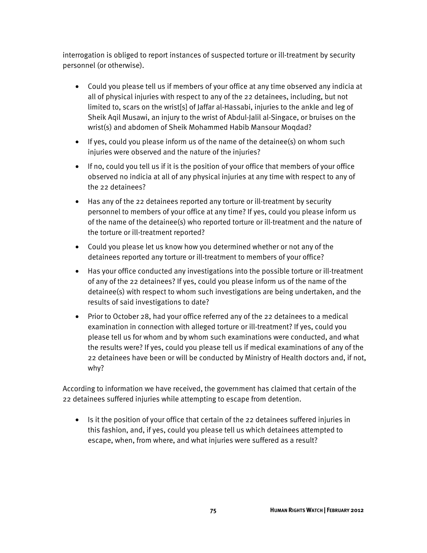interrogation is obliged to report instances of suspected torture or ill-treatment by security personnel (or otherwise).

- Could you please tell us if members of your office at any time observed any indicia at all of physical injuries with respect to any of the 22 detainees, including, but not limited to, scars on the wrist[s] of Jaffar al-Hassabi, injuries to the ankle and leg of Sheik Aqil Musawi, an injury to the wrist of Abdul-Jalil al-Singace, or bruises on the wrist(s) and abdomen of Sheik Mohammed Habib Mansour Moqdad?
- If yes, could you please inform us of the name of the detainee(s) on whom such injuries were observed and the nature of the injuries?
- If no, could you tell us if it is the position of your office that members of your office observed no indicia at all of any physical injuries at any time with respect to any of the 22 detainees?
- Has any of the 22 detainees reported any torture or ill-treatment by security personnel to members of your office at any time? If yes, could you please inform us of the name of the detainee(s) who reported torture or ill-treatment and the nature of the torture or ill-treatment reported?
- Could you please let us know how you determined whether or not any of the detainees reported any torture or ill-treatment to members of your office?
- Has your office conducted any investigations into the possible torture or ill-treatment of any of the 22 detainees? If yes, could you please inform us of the name of the detainee(s) with respect to whom such investigations are being undertaken, and the results of said investigations to date?
- Prior to October 28, had your office referred any of the 22 detainees to a medical examination in connection with alleged torture or ill-treatment? If yes, could you please tell us for whom and by whom such examinations were conducted, and what the results were? If yes, could you please tell us if medical examinations of any of the 22 detainees have been or will be conducted by Ministry of Health doctors and, if not, why?

According to information we have received, the government has claimed that certain of the 22 detainees suffered injuries while attempting to escape from detention.

• Is it the position of your office that certain of the 22 detainees suffered injuries in this fashion, and, if yes, could you please tell us which detainees attempted to escape, when, from where, and what injuries were suffered as a result?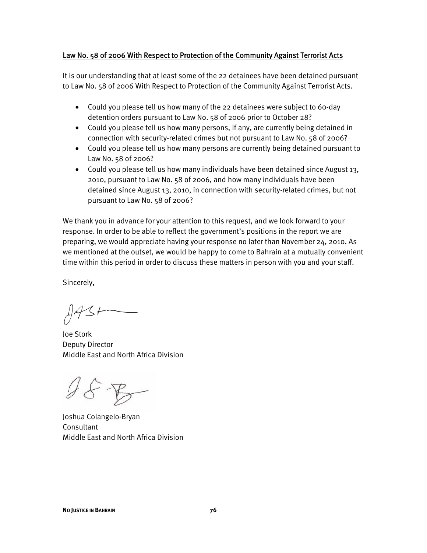#### Law No. 58 of 2006 With Respect to Protection of the Community Against Terrorist Acts

It is our understanding that at least some of the 22 detainees have been detained pursuant to Law No. 58 of 2006 With Respect to Protection of the Community Against Terrorist Acts.

- Could you please tell us how many of the 22 detainees were subject to 60-day detention orders pursuant to Law No. 58 of 2006 prior to October 28?
- Could you please tell us how many persons, if any, are currently being detained in connection with security-related crimes but not pursuant to Law No. 58 of 2006?
- Could you please tell us how many persons are currently being detained pursuant to Law No. 58 of 2006?
- Could you please tell us how many individuals have been detained since August 13, 2010, pursuant to Law No. 58 of 2006, and how many individuals have been detained since August 13, 2010, in connection with security-related crimes, but not pursuant to Law No. 58 of 2006?

We thank you in advance for your attention to this request, and we look forward to your response. In order to be able to reflect the government's positions in the report we are preparing, we would appreciate having your response no later than November 24, 2010. As we mentioned at the outset, we would be happy to come to Bahrain at a mutually convenient time within this period in order to discuss these matters in person with you and your staff.

Sincerely,

Joe Stork Deputy Director Middle East and North Africa Division

 $28B$ 

Joshua Colangelo-Bryan Consultant Middle East and North Africa Division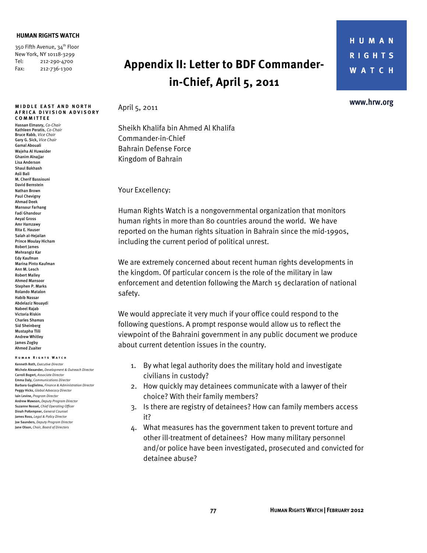#### **HUMAN RIGHTS WATCH**

350 Fifth Avenue, 34<sup>th</sup> Floor New York, NY 10118-3299 Tel: 212-290-4700 Fax: 212-736-1300

#### **MIDDLE EAST AND NORTH A FRICA DIVISION ADVISORY COMMITTEE**

Hassan Elmasry, *Co-Chair*  Kathleen Peratis, *Co-Chair* Bruce Rabb, *Vice Chair*  Gary G. Sick, *Vice Chair* Gamal Abouali Wajeha Al Huwaider Ghanim Alnajjar Lisa Anderson Shaul Bakhash Asli Bali M. Cherif Bassiouni David Bernstein Nathan Brown Paul Chevigny Ahmad Deek Mansour Farhang Fadi Ghandour Aeyal Gross Amr Hamzawy Rita E. Hauser Salah al-Hejailan Prince Moulay Hicham Robert James Mehrangiz Kar Edy Kaufman Marina Pinto Kaufman Ann M. Lesch Robert Malley Ahmed Mansoor Stephen P. Marks Rolando Matalon Habib Nassar Abdelaziz Nouaydi Nabeel Rajab Victoria Riskin Charles Shamas Sid Sheinberg Mustapha Tlili Andrew Whitley James Zogby Ahmed Zuaiter

#### **Human Rights Watch**

Kenneth Roth, *Executive Director* Michele Alexander, *Development & Outreach Director*  Carroll Bogert, *Associate Director*  Emma Daly, *Communications Director*  Barbara Guglielmo, *Finance & Administration Director*  Peggy Hicks, *Global Advocacy Director* Iain Levine, *Program Director*  Andrew Mawson, *Deputy Program Director*  Suzanne Nossel, *Chief Operating Officer*  Dinah PoKempner, *General Counsel*  James Ross, *Legal & Policy Director* Joe Saunders, *Deputy Program Director* Jane Olson, *Chair, Board of Directors*

## **Appendix II: Letter to BDF Commanderin-Chief, April 5, 2011**

April 5, 2011

Sheikh Khalifa bin Ahmed Al Khalifa Commander-in-Chief Bahrain Defense Force Kingdom of Bahrain

Your Excellency:

Human Rights Watch is a nongovernmental organization that monitors human rights in more than 80 countries around the world. We have reported on the human rights situation in Bahrain since the mid-1990s, including the current period of political unrest.

We are extremely concerned about recent human rights developments in the kingdom. Of particular concern is the role of the military in law enforcement and detention following the March 15 declaration of national safety.

We would appreciate it very much if your office could respond to the following questions. A prompt response would allow us to reflect the viewpoint of the Bahraini government in any public document we produce about current detention issues in the country.

- 1. By what legal authority does the military hold and investigate civilians in custody?
- 2. How quickly may detainees communicate with a lawyer of their choice? With their family members?
- 3. Is there are registry of detainees? How can family members access it?
- 4. What measures has the government taken to prevent torture and other ill-treatment of detainees? How many military personnel and/or police have been investigated, prosecuted and convicted for detainee abuse?

www.hrw.org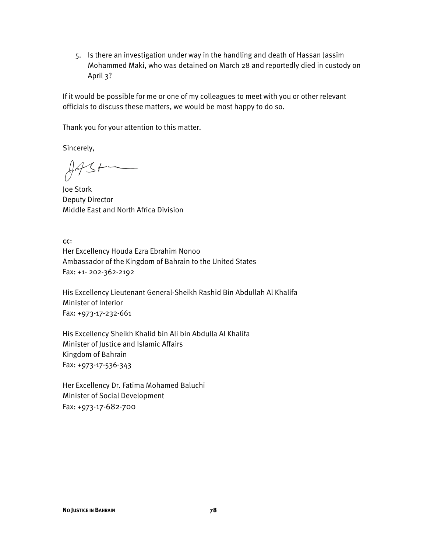5. Is there an investigation under way in the handling and death of Hassan Jassim Mohammed Maki, who was detained on March 28 and reportedly died in custody on April 3?

If it would be possible for me or one of my colleagues to meet with you or other relevant officials to discuss these matters, we would be most happy to do so.

Thank you for your attention to this matter.

Sincerely,

 $443+$ 

Joe Stork Deputy Director Middle East and North Africa Division

cc:

Her Excellency Houda Ezra Ebrahim Nonoo Ambassador of the Kingdom of Bahrain to the United States Fax: +1- 202-362-2192

His Excellency Lieutenant General-Sheikh Rashid Bin Abdullah Al Khalifa Minister of Interior Fax: +973-17-232-661

His Excellency Sheikh Khalid bin Ali bin Abdulla Al Khalifa Minister of Justice and Islamic Affairs Kingdom of Bahrain Fax: +973-17-536-343

Her Excellency Dr. Fatima Mohamed Baluchi Minister of Social Development Fax: +973-17-682-700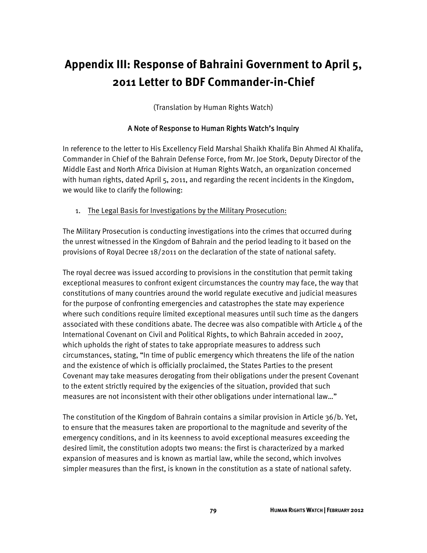## **Appendix III: Response of Bahraini Government to April 5, 2011 Letter to BDF Commander-in-Chief**

(Translation by Human Rights Watch)

#### A Note of Response to Human Rights Watch's Inquiry

In reference to the letter to His Excellency Field Marshal Shaikh Khalifa Bin Ahmed Al Khalifa, Commander in Chief of the Bahrain Defense Force, from Mr. Joe Stork, Deputy Director of the Middle East and North Africa Division at Human Rights Watch, an organization concerned with human rights, dated April 5, 2011, and regarding the recent incidents in the Kingdom, we would like to clarify the following:

1. The Legal Basis for Investigations by the Military Prosecution:

The Military Prosecution is conducting investigations into the crimes that occurred during the unrest witnessed in the Kingdom of Bahrain and the period leading to it based on the provisions of Royal Decree 18/2011 on the declaration of the state of national safety.

The royal decree was issued according to provisions in the constitution that permit taking exceptional measures to confront exigent circumstances the country may face, the way that constitutions of many countries around the world regulate executive and judicial measures for the purpose of confronting emergencies and catastrophes the state may experience where such conditions require limited exceptional measures until such time as the dangers associated with these conditions abate. The decree was also compatible with Article  $4$  of the International Covenant on Civil and Political Rights, to which Bahrain acceded in 2007, which upholds the right of states to take appropriate measures to address such circumstances, stating, "In time of public emergency which threatens the life of the nation and the existence of which is officially proclaimed, the States Parties to the present Covenant may take measures derogating from their obligations under the present Covenant to the extent strictly required by the exigencies of the situation, provided that such measures are not inconsistent with their other obligations under international law…"

The constitution of the Kingdom of Bahrain contains a similar provision in Article 36/b. Yet, to ensure that the measures taken are proportional to the magnitude and severity of the emergency conditions, and in its keenness to avoid exceptional measures exceeding the desired limit, the constitution adopts two means: the first is characterized by a marked expansion of measures and is known as martial law, while the second, which involves simpler measures than the first, is known in the constitution as a state of national safety.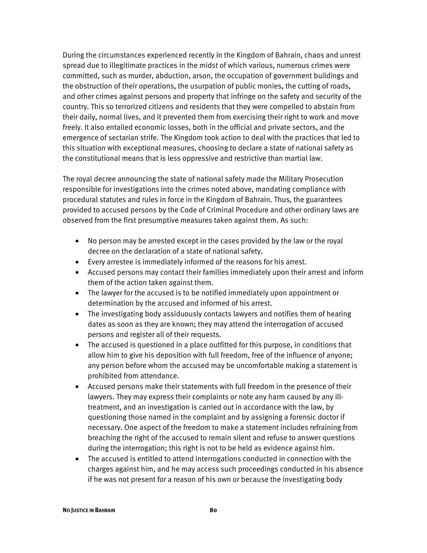During the circumstances experienced recently in the Kingdom of Bahrain, chaos and unrest spread due to illegitimate practices in the midst of which various, numerous crimes were committed, such as murder, abduction, arson, the occupation of government buildings and the obstruction of their operations, the usurpation of public monies, the cutting of roads, and other crimes against persons and property that infringe on the safety and security of the country. This so terrorized citizens and residents that they were compelled to abstain from their daily, normal lives, and it prevented them from exercising their right to work and move freely. It also entailed economic losses, both in the official and private sectors, and the emergence of sectarian strife. The Kingdom took action to deal with the practices that led to this situation with exceptional measures, choosing to declare a state of national safety as the constitutional means that is less oppressive and restrictive than martial law.

The royal decree announcing the state of national safety made the Military Prosecution responsible for investigations into the crimes noted above, mandating compliance with procedural statutes and rules in force in the Kingdom of Bahrain. Thus, the guarantees provided to accused persons by the Code of Criminal Procedure and other ordinary laws are observed from the first presumptive measures taken against them. As such:

- No person may be arrested except in the cases provided by the law or the royal decree on the declaration of a state of national safety.
- Every arrestee is immediately informed of the reasons for his arrest.
- Accused persons may contact their families immediately upon their arrest and inform them of the action taken against them.
- The lawyer for the accused is to be notified immediately upon appointment or determination by the accused and informed of his arrest.
- The investigating body assiduously contacts lawyers and notifies them of hearing dates as soon as they are known; they may attend the interrogation of accused persons and register all of their requests.
- The accused is questioned in a place outfitted for this purpose, in conditions that allow him to give his deposition with full freedom, free of the influence of anyone; any person before whom the accused may be uncomfortable making a statement is prohibited from attendance.
- Accused persons make their statements with full freedom in the presence of their lawyers. They may express their complaints or note any harm caused by any illtreatment, and an investigation is carried out in accordance with the law, by questioning those named in the complaint and by assigning a forensic doctor if necessary. One aspect of the freedom to make a statement includes refraining from breaching the right of the accused to remain silent and refuse to answer questions during the interrogation; this right is not to be held as evidence against him.
- The accused is entitled to attend interrogations conducted in connection with the charges against him, and he may access such proceedings conducted in his absence if he was not present for a reason of his own or because the investigating body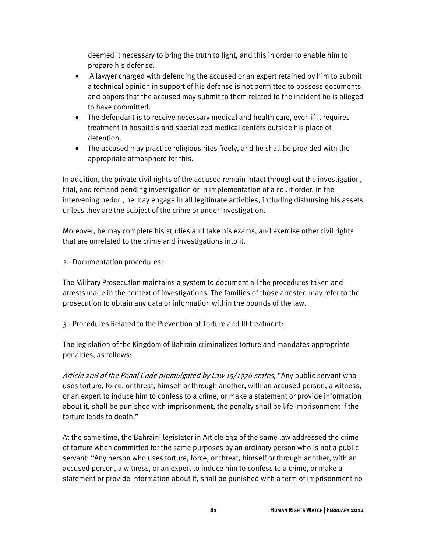deemed it necessary to bring the truth to light, and this in order to enable him to prepare his defense.

- A lawyer charged with defending the accused or an expert retained by him to submit a technical opinion in support of his defense is not permitted to possess documents and papers that the accused may submit to them related to the incident he is alleged to have committed.
- The defendant is to receive necessary medical and health care, even if it requires treatment in hospitals and specialized medical centers outside his place of detention.
- The accused may practice religious rites freely, and he shall be provided with the appropriate atmosphere for this.

In addition, the private civil rights of the accused remain intact throughout the investigation, trial, and remand pending investigation or in implementation of a court order. In the intervening period, he may engage in all legitimate activities, including disbursing his assets unless they are the subject of the crime or under investigation.

Moreover, he may complete his studies and take his exams, and exercise other civil rights that are unrelated to the crime and investigations into it.

#### 2 - Documentation procedures:

The Military Prosecution maintains a system to document all the procedures taken and arrests made in the context of investigations. The families of those arrested may refer to the prosecution to obtain any data or information within the bounds of the law.

#### 3 - Procedures Related to the Prevention of Torture and Ill-treatment:

The legislation of the Kingdom of Bahrain criminalizes torture and mandates appropriate penalties, as follows:

Article 208 of the Penal Code promulgated by Law 15/1976 states, "Any public servant who uses torture, force, or threat, himself or through another, with an accused person, a witness, or an expert to induce him to confess to a crime, or make a statement or provide information about it, shall be punished with imprisonment; the penalty shall be life imprisonment if the torture leads to death."

At the same time, the Bahraini legislator in Article 232 of the same law addressed the crime of torture when committed for the same purposes by an ordinary person who is not a public servant: "Any person who uses torture, force, or threat, himself or through another, with an accused person, a witness, or an expert to induce him to confess to a crime, or make a statement or provide information about it, shall be punished with a term of imprisonment no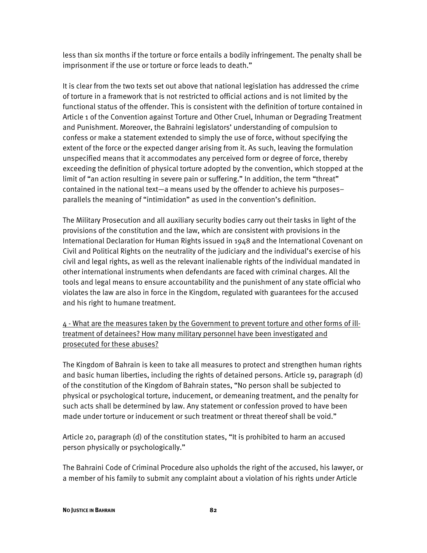less than six months if the torture or force entails a bodily infringement. The penalty shall be imprisonment if the use or torture or force leads to death."

It is clear from the two texts set out above that national legislation has addressed the crime of torture in a framework that is not restricted to official actions and is not limited by the functional status of the offender. This is consistent with the definition of torture contained in Article 1 of the Convention against Torture and Other Cruel, Inhuman or Degrading Treatment and Punishment. Moreover, the Bahraini legislators' understanding of compulsion to confess or make a statement extended to simply the use of force, without specifying the extent of the force or the expected danger arising from it. As such, leaving the formulation unspecified means that it accommodates any perceived form or degree of force, thereby exceeding the definition of physical torture adopted by the convention, which stopped at the limit of "an action resulting in severe pain or suffering." In addition, the term "threat" contained in the national text—a means used by the offender to achieve his purposes– parallels the meaning of "intimidation" as used in the convention's definition.

The Military Prosecution and all auxiliary security bodies carry out their tasks in light of the provisions of the constitution and the law, which are consistent with provisions in the International Declaration for Human Rights issued in 1948 and the International Covenant on Civil and Political Rights on the neutrality of the judiciary and the individual's exercise of his civil and legal rights, as well as the relevant inalienable rights of the individual mandated in other international instruments when defendants are faced with criminal charges. All the tools and legal means to ensure accountability and the punishment of any state official who violates the law are also in force in the Kingdom, regulated with guarantees for the accused and his right to humane treatment.

4 - What are the measures taken by the Government to prevent torture and other forms of illtreatment of detainees? How many military personnel have been investigated and prosecuted for these abuses?

The Kingdom of Bahrain is keen to take all measures to protect and strengthen human rights and basic human liberties, including the rights of detained persons. Article 19, paragraph (d) of the constitution of the Kingdom of Bahrain states, "No person shall be subjected to physical or psychological torture, inducement, or demeaning treatment, and the penalty for such acts shall be determined by law. Any statement or confession proved to have been made under torture or inducement or such treatment or threat thereof shall be void."

Article 20, paragraph (d) of the constitution states, "It is prohibited to harm an accused person physically or psychologically."

The Bahraini Code of Criminal Procedure also upholds the right of the accused, his lawyer, or a member of his family to submit any complaint about a violation of his rights under Article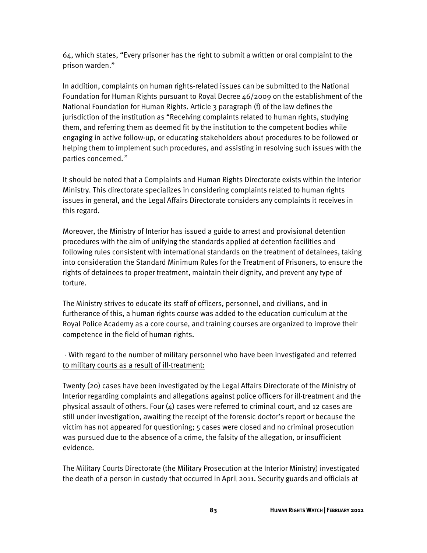64, which states, "Every prisoner has the right to submit a written or oral complaint to the prison warden."

In addition, complaints on human rights-related issues can be submitted to the National Foundation for Human Rights pursuant to Royal Decree 46/2009 on the establishment of the National Foundation for Human Rights. Article 3 paragraph (f) of the law defines the jurisdiction of the institution as "Receiving complaints related to human rights, studying them, and referring them as deemed fit by the institution to the competent bodies while engaging in active follow-up, or educating stakeholders about procedures to be followed or helping them to implement such procedures, and assisting in resolving such issues with the parties concerned."

It should be noted that a Complaints and Human Rights Directorate exists within the Interior Ministry. This directorate specializes in considering complaints related to human rights issues in general, and the Legal Affairs Directorate considers any complaints it receives in this regard.

Moreover, the Ministry of Interior has issued a guide to arrest and provisional detention procedures with the aim of unifying the standards applied at detention facilities and following rules consistent with international standards on the treatment of detainees, taking into consideration the Standard Minimum Rules for the Treatment of Prisoners, to ensure the rights of detainees to proper treatment, maintain their dignity, and prevent any type of torture.

The Ministry strives to educate its staff of officers, personnel, and civilians, and in furtherance of this, a human rights course was added to the education curriculum at the Royal Police Academy as a core course, and training courses are organized to improve their competence in the field of human rights.

### - With regard to the number of military personnel who have been investigated and referred to military courts as a result of ill-treatment:

Twenty (20) cases have been investigated by the Legal Affairs Directorate of the Ministry of Interior regarding complaints and allegations against police officers for ill-treatment and the physical assault of others. Four  $(4)$  cases were referred to criminal court, and 12 cases are still under investigation, awaiting the receipt of the forensic doctor's report or because the victim has not appeared for questioning; 5 cases were closed and no criminal prosecution was pursued due to the absence of a crime, the falsity of the allegation, or insufficient evidence.

The Military Courts Directorate (the Military Prosecution at the Interior Ministry) investigated the death of a person in custody that occurred in April 2011. Security guards and officials at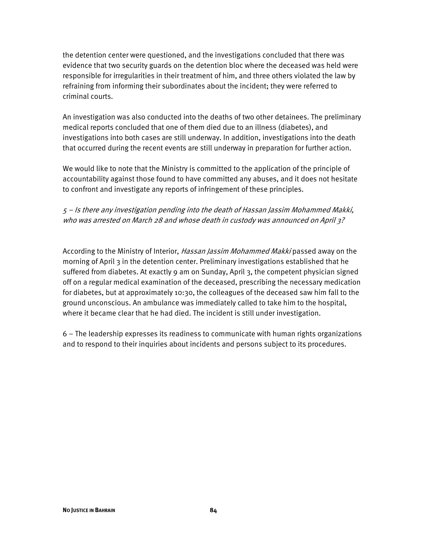the detention center were questioned, and the investigations concluded that there was evidence that two security guards on the detention bloc where the deceased was held were responsible for irregularities in their treatment of him, and three others violated the law by refraining from informing their subordinates about the incident; they were referred to criminal courts.

An investigation was also conducted into the deaths of two other detainees. The preliminary medical reports concluded that one of them died due to an illness (diabetes), and investigations into both cases are still underway. In addition, investigations into the death that occurred during the recent events are still underway in preparation for further action.

We would like to note that the Ministry is committed to the application of the principle of accountability against those found to have committed any abuses, and it does not hesitate to confront and investigate any reports of infringement of these principles.

### 5 – Is there any investigation pending into the death of Hassan Jassim Mohammed Makki, who was arrested on March 28 and whose death in custody was announced on April 3?

According to the Ministry of Interior, *Hassan Jassim Mohammed Makki* passed away on the morning of April 3 in the detention center. Preliminary investigations established that he suffered from diabetes. At exactly 9 am on Sunday, April 3, the competent physician signed off on a regular medical examination of the deceased, prescribing the necessary medication for diabetes, but at approximately 10:30, the colleagues of the deceased saw him fall to the ground unconscious. An ambulance was immediately called to take him to the hospital, where it became clear that he had died. The incident is still under investigation.

6 – The leadership expresses its readiness to communicate with human rights organizations and to respond to their inquiries about incidents and persons subject to its procedures.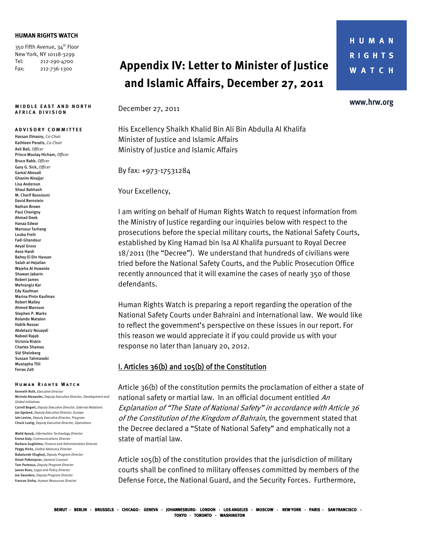#### **HUMAN RIGHTS WATCH**

350 Fifth Avenue, 34<sup>th</sup> Floor New York, NY 10118-3299 Tel: 212-290-4700 Fax: 212-736-1300

#### **MIDDLE EAST AND NORTH A FRICA DIVISION**

#### **A DVISORY COMMITTEE**

Hassan Elmasry, *Co-Chair*  Kathleen Peratis, *Co-Chair*  Asli Bali, *Officer* Prince Moulay Hicham, *Officer* Bruce Rabb, *Officer*  Gary G. Sick, *Officer* Gamal Abouali Ghanim Alnajjar Lisa Anderson Shaul Bakhash M. Cherif Bassiouni David Bernstein Nathan Brown Paul Chevigny Ahmad Deek Hanaa Edwar Mansour Farhang Louba Freih Fadi Ghandour Aeyal Gross Asos Hardi Bahey El Din Hassan Salah al-Hejailan Wajeha Al Huwaide Shawan Jabarin Robert James Mehrangiz Kar Edy Kaufman Marina Pinto Kaufman Robert Malley **Ahmed Mansoor** Stephen P. Marks Rolando Matalon Habib Nassar Abdelaziz Nouaydi Nabeel Rajab Victoria Riskin Charles Shamas Sid Sheinberg Sussan Tahmasebi Mustapha Tlili Ferras Zalt

#### **Human Rights Watch**

Kenneth Roth, *Executive Director* Michele Alexander, *Deputy Executive Director, Development and Global initiatives*  Carroll Bogert, *Deputy Executive Director, External Relations*  Jan Egeland, *Deputy Executive Director, Europe*  Iain Levine, *Deputy Executive Director, Program*  Chuck Lustig, *Deputy Executive Director, Operations* 

Walid Ayoub, *Information Technology Director* Emma Daly, *Communications Director*  Barbara Guglielmo, *Finance and Administration Director*  Peggy Hicks, *Global Advocacy Director*  Babatunde Olugboji, *Deputy Program Director*  Dinah PoKempner, *General Counsel*  Tom Porteous, *Deputy Program Director*  James Ross, *Legal and Policy Director* Joe Saunders, *Deputy Program Director* Frances Sinha, *Human Resources Director*

## **Appendix IV: Letter to Minister of Justice and Islamic Affairs, December 27, 2011**

December 27, 2011

His Excellency Shaikh Khalid Bin Ali Bin Abdulla Al Khalifa Minister of Justice and Islamic Affairs Ministry of Justice and Islamic Affairs

By fax: +973-17531284

Your Excellency,

I am writing on behalf of Human Rights Watch to request information from the Ministry of Justice regarding our inquiries below with respect to the prosecutions before the special military courts, the National Safety Courts, established by King Hamad bin Isa Al Khalifa pursuant to Royal Decree 18/2011 (the "Decree"). We understand that hundreds of civilians were tried before the National Safety Courts, and the Public Prosecution Office recently announced that it will examine the cases of nearly 350 of those defendants.

Human Rights Watch is preparing a report regarding the operation of the National Safety Courts under Bahraini and international law. We would like to reflect the government's perspective on these issues in our report. For this reason we would appreciate it if you could provide us with your response no later than January 20, 2012.

#### I. Articles 36(b) and 105(b) of the Constitution

Article 36(b) of the constitution permits the proclamation of either a state of national safety or martial law. In an official document entitled An Explanation of "The State of National Safety" in accordance with Article 36 of the Constitution of the Kingdom of Bahrain, the government stated that the Decree declared a "State of National Safety" and emphatically not a state of martial law.

Article 105(b) of the constitution provides that the jurisdiction of military courts shall be confined to military offenses committed by members of the Defense Force, the National Guard, and the Security Forces. Furthermore,

#### www.hrw.org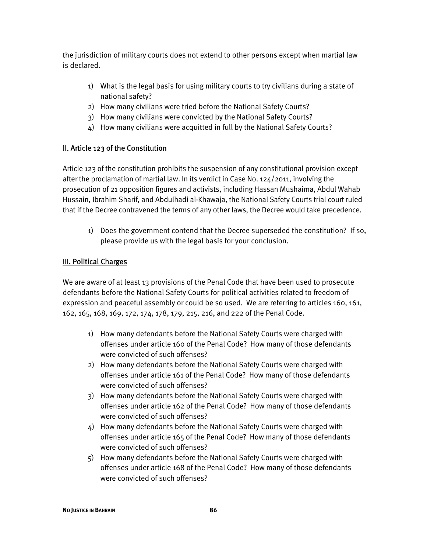the jurisdiction of military courts does not extend to other persons except when martial law is declared.

- 1) What is the legal basis for using military courts to try civilians during a state of national safety?
- 2) How many civilians were tried before the National Safety Courts?
- 3) How many civilians were convicted by the National Safety Courts?
- 4) How many civilians were acquitted in full by the National Safety Courts?

## II. Article 123 of the Constitution

Article 123 of the constitution prohibits the suspension of any constitutional provision except after the proclamation of martial law. In its verdict in Case No. 124/2011, involving the prosecution of 21 opposition figures and activists, including Hassan Mushaima, Abdul Wahab Hussain, Ibrahim Sharif, and Abdulhadi al-Khawaja, the National Safety Courts trial court ruled that if the Decree contravened the terms of any other laws, the Decree would take precedence.

1) Does the government contend that the Decree superseded the constitution? If so, please provide us with the legal basis for your conclusion.

### III. Political Charges

We are aware of at least 13 provisions of the Penal Code that have been used to prosecute defendants before the National Safety Courts for political activities related to freedom of expression and peaceful assembly or could be so used. We are referring to articles 160, 161, 162, 165, 168, 169, 172, 174, 178, 179, 215, 216, and 222 of the Penal Code.

- 1) How many defendants before the National Safety Courts were charged with offenses under article 160 of the Penal Code? How many of those defendants were convicted of such offenses?
- 2) How many defendants before the National Safety Courts were charged with offenses under article 161 of the Penal Code? How many of those defendants were convicted of such offenses?
- 3) How many defendants before the National Safety Courts were charged with offenses under article 162 of the Penal Code? How many of those defendants were convicted of such offenses?
- 4) How many defendants before the National Safety Courts were charged with offenses under article 165 of the Penal Code? How many of those defendants were convicted of such offenses?
- 5) How many defendants before the National Safety Courts were charged with offenses under article 168 of the Penal Code? How many of those defendants were convicted of such offenses?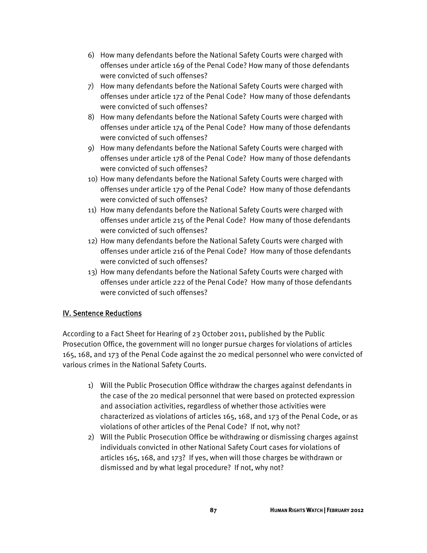- 6) How many defendants before the National Safety Courts were charged with offenses under article 169 of the Penal Code? How many of those defendants were convicted of such offenses?
- 7) How many defendants before the National Safety Courts were charged with offenses under article 172 of the Penal Code? How many of those defendants were convicted of such offenses?
- 8) How many defendants before the National Safety Courts were charged with offenses under article 174 of the Penal Code? How many of those defendants were convicted of such offenses?
- 9) How many defendants before the National Safety Courts were charged with offenses under article 178 of the Penal Code? How many of those defendants were convicted of such offenses?
- 10) How many defendants before the National Safety Courts were charged with offenses under article 179 of the Penal Code? How many of those defendants were convicted of such offenses?
- 11) How many defendants before the National Safety Courts were charged with offenses under article 215 of the Penal Code? How many of those defendants were convicted of such offenses?
- 12) How many defendants before the National Safety Courts were charged with offenses under article 216 of the Penal Code? How many of those defendants were convicted of such offenses?
- 13) How many defendants before the National Safety Courts were charged with offenses under article 222 of the Penal Code? How many of those defendants were convicted of such offenses?

## IV. Sentence Reductions

According to a Fact Sheet for Hearing of 23 October 2011, published by the Public Prosecution Office, the government will no longer pursue charges for violations of articles 165, 168, and 173 of the Penal Code against the 20 medical personnel who were convicted of various crimes in the National Safety Courts.

- 1) Will the Public Prosecution Office withdraw the charges against defendants in the case of the 20 medical personnel that were based on protected expression and association activities, regardless of whether those activities were characterized as violations of articles 165, 168, and 173 of the Penal Code, or as violations of other articles of the Penal Code? If not, why not?
- 2) Will the Public Prosecution Office be withdrawing or dismissing charges against individuals convicted in other National Safety Court cases for violations of articles 165, 168, and 173? If yes, when will those charges be withdrawn or dismissed and by what legal procedure? If not, why not?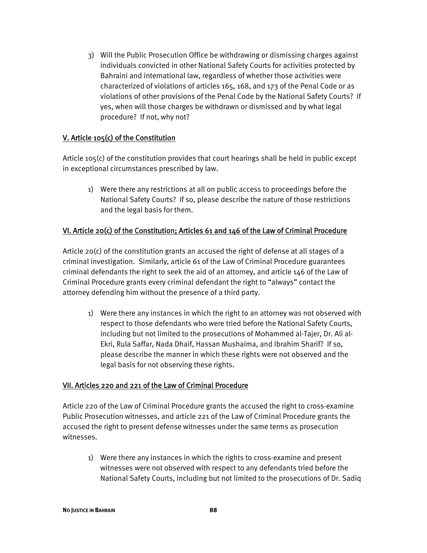3) Will the Public Prosecution Office be withdrawing or dismissing charges against individuals convicted in other National Safety Courts for activities protected by Bahraini and international law, regardless of whether those activities were characterized of violations of articles 165, 168, and 173 of the Penal Code or as violations of other provisions of the Penal Code by the National Safety Courts? If yes, when will those charges be withdrawn or dismissed and by what legal procedure? If not, why not?

#### V. Article 105(c) of the Constitution

Article 105(c) of the constitution provides that court hearings shall be held in public except in exceptional circumstances prescribed by law.

1) Were there any restrictions at all on public access to proceedings before the National Safety Courts? If so, please describe the nature of those restrictions and the legal basis for them.

#### VI. Article 20(c) of the Constitution; Articles 61 and 146 of the Law of Criminal Procedure

Article 20(c) of the constitution grants an accused the right of defense at all stages of a criminal investigation. Similarly, article 61 of the Law of Criminal Procedure guarantees criminal defendants the right to seek the aid of an attorney, and article 146 of the Law of Criminal Procedure grants every criminal defendant the right to "always" contact the attorney defending him without the presence of a third party.

1) Were there any instances in which the right to an attorney was not observed with respect to those defendants who were tried before the National Safety Courts, including but not limited to the prosecutions of Mohammed al-Tajer, Dr. Ali al-Ekri, Rula Saffar, Nada Dhaif, Hassan Mushaima, and Ibrahim Sharif? If so, please describe the manner in which these rights were not observed and the legal basis for not observing these rights.

#### VII. Articles 220 and 221 of the Law of Criminal Procedure

Article 220 of the Law of Criminal Procedure grants the accused the right to cross-examine Public Prosecution witnesses, and article 221 of the Law of Criminal Procedure grants the accused the right to present defense witnesses under the same terms as prosecution witnesses.

1) Were there any instances in which the rights to cross-examine and present witnesses were not observed with respect to any defendants tried before the National Safety Courts, including but not limited to the prosecutions of Dr. Sadiq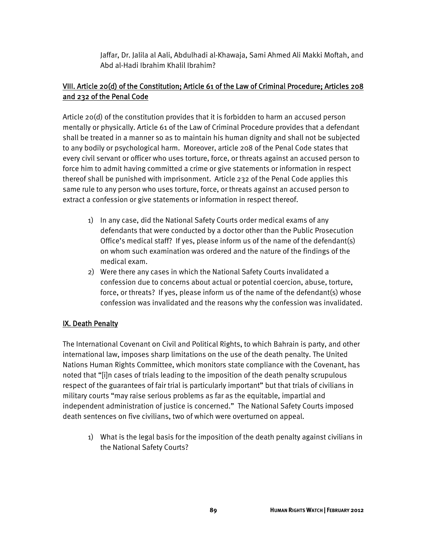Jaffar, Dr. Jalila al Aali, Abdulhadi al-Khawaja, Sami Ahmed Ali Makki Moftah, and Abd al-Hadi Ibrahim Khalil Ibrahim?

## VIII. Article 20(d) of the Constitution; Article 61 of the Law of Criminal Procedure; Articles 208 and 232 of the Penal Code

Article 20(d) of the constitution provides that it is forbidden to harm an accused person mentally or physically. Article 61 of the Law of Criminal Procedure provides that a defendant shall be treated in a manner so as to maintain his human dignity and shall not be subjected to any bodily or psychological harm. Moreover, article 208 of the Penal Code states that every civil servant or officer who uses torture, force, or threats against an accused person to force him to admit having committed a crime or give statements or information in respect thereof shall be punished with imprisonment. Article 232 of the Penal Code applies this same rule to any person who uses torture, force, or threats against an accused person to extract a confession or give statements or information in respect thereof.

- 1) In any case, did the National Safety Courts order medical exams of any defendants that were conducted by a doctor other than the Public Prosecution Office's medical staff? If yes, please inform us of the name of the defendant(s) on whom such examination was ordered and the nature of the findings of the medical exam.
- 2) Were there any cases in which the National Safety Courts invalidated a confession due to concerns about actual or potential coercion, abuse, torture, force, or threats? If yes, please inform us of the name of the defendant(s) whose confession was invalidated and the reasons why the confession was invalidated.

#### IX. Death Penalty

The International Covenant on Civil and Political Rights, to which Bahrain is party, and other international law, imposes sharp limitations on the use of the death penalty. The United Nations Human Rights Committee, which monitors state compliance with the Covenant, has noted that "[i]n cases of trials leading to the imposition of the death penalty scrupulous respect of the guarantees of fair trial is particularly important" but that trials of civilians in military courts "may raise serious problems as far as the equitable, impartial and independent administration of justice is concerned." The National Safety Courts imposed death sentences on five civilians, two of which were overturned on appeal.

1) What is the legal basis for the imposition of the death penalty against civilians in the National Safety Courts?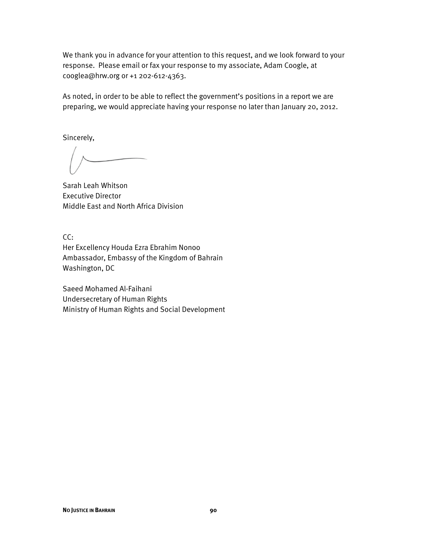We thank you in advance for your attention to this request, and we look forward to your response. Please email or fax your response to my associate, Adam Coogle, at cooglea@hrw.org or +1 202-612-4363.

As noted, in order to be able to reflect the government's positions in a report we are preparing, we would appreciate having your response no later than January 20, 2012.

Sincerely,

Sarah Leah Whitson Executive Director Middle East and North Africa Division

CC:

Her Excellency Houda Ezra Ebrahim Nonoo Ambassador, Embassy of the Kingdom of Bahrain Washington, DC

Saeed Mohamed Al-Faihani Undersecretary of Human Rights Ministry of Human Rights and Social Development